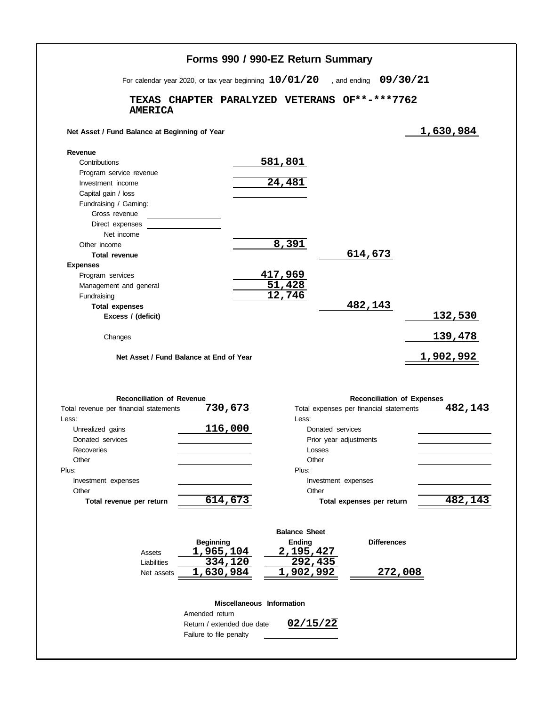|                                                                         | For calendar year 2020, or tax year beginning $10/01/20$ |                                       | , and ending $09/30/21$                 |                                   |                                    |
|-------------------------------------------------------------------------|----------------------------------------------------------|---------------------------------------|-----------------------------------------|-----------------------------------|------------------------------------|
| <b>AMERICA</b>                                                          | TEXAS CHAPTER PARALYZED VETERANS                         |                                       | OF**-***7762                            |                                   |                                    |
| Net Asset / Fund Balance at Beginning of Year                           |                                                          |                                       |                                         |                                   | 1,630,984                          |
| Revenue                                                                 |                                                          |                                       |                                         |                                   |                                    |
| Contributions                                                           |                                                          | 581,801                               |                                         |                                   |                                    |
| Program service revenue                                                 |                                                          |                                       |                                         |                                   |                                    |
| Investment income                                                       |                                                          | 24,481                                |                                         |                                   |                                    |
| Capital gain / loss                                                     |                                                          |                                       |                                         |                                   |                                    |
| Fundraising / Gaming:                                                   |                                                          |                                       |                                         |                                   |                                    |
| Gross revenue                                                           |                                                          |                                       |                                         |                                   |                                    |
| Direct expenses                                                         |                                                          |                                       |                                         |                                   |                                    |
| Net income                                                              |                                                          |                                       |                                         |                                   |                                    |
| Other income<br><b>Total revenue</b>                                    |                                                          | 8,391                                 | 614,673                                 |                                   |                                    |
| <b>Expenses</b>                                                         |                                                          |                                       |                                         |                                   |                                    |
| Program services                                                        |                                                          | 417,969                               |                                         |                                   |                                    |
| Management and general                                                  |                                                          |                                       |                                         |                                   |                                    |
| Fundraising                                                             |                                                          | $\frac{51,428}{12,746}$               |                                         |                                   |                                    |
| <b>Total expenses</b>                                                   |                                                          |                                       | 482,143                                 |                                   |                                    |
| Excess / (deficit)                                                      |                                                          |                                       |                                         |                                   | <u>132,530</u>                     |
|                                                                         |                                                          |                                       |                                         |                                   |                                    |
|                                                                         |                                                          |                                       |                                         |                                   |                                    |
| Changes                                                                 | Net Asset / Fund Balance at End of Year                  |                                       |                                         |                                   | <u>139,478</u><br><u>1,902,992</u> |
|                                                                         |                                                          |                                       |                                         |                                   |                                    |
| <b>Reconciliation of Revenue</b>                                        |                                                          |                                       |                                         | <b>Reconciliation of Expenses</b> |                                    |
|                                                                         | 730,673                                                  | Less:                                 | Total expenses per financial statements |                                   |                                    |
| Unrealized gains                                                        | 116,000                                                  |                                       | Donated services                        |                                   |                                    |
| Donated services                                                        |                                                          |                                       | Prior year adjustments                  |                                   |                                    |
| Recoveries                                                              |                                                          |                                       | Losses                                  |                                   |                                    |
| Other                                                                   |                                                          | Other                                 |                                         |                                   |                                    |
|                                                                         |                                                          | Plus:                                 |                                         |                                   |                                    |
| Investment expenses                                                     |                                                          |                                       | Investment expenses                     |                                   |                                    |
| Other                                                                   |                                                          |                                       | Other                                   |                                   |                                    |
| Total revenue per return                                                | 614,673                                                  |                                       | Total expenses per return               |                                   |                                    |
|                                                                         | <b>Beginning</b>                                         | <b>Balance Sheet</b><br><b>Ending</b> |                                         | <b>Differences</b>                |                                    |
| Assets                                                                  | 1,965,104                                                | 2,195,427                             |                                         |                                   |                                    |
| Total revenue per financial statements<br>Less:<br>Plus:<br>Liabilities | 334,120                                                  | 292,435                               |                                         |                                   | 482,143<br>482,143                 |
| Net assets                                                              | 1,630,984                                                | 1,902,992                             |                                         | 272,008                           |                                    |
|                                                                         |                                                          | Miscellaneous Information             |                                         |                                   |                                    |
|                                                                         | Amended return<br>Return / extended due date             | 02/15/22                              |                                         |                                   |                                    |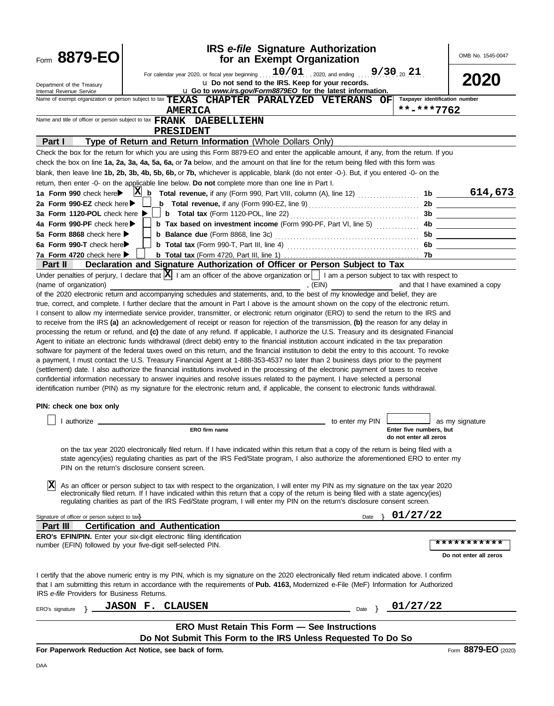| Form 8879-EO                                                                                                                                                                                                                                                                                                                      |                                         |                                                                                                                                                                                                                                                                              | <b>IRS</b> e-file Signature Authorization<br>for an Exempt Organization |                                        |                         | OMB No. 1545-0047               |
|-----------------------------------------------------------------------------------------------------------------------------------------------------------------------------------------------------------------------------------------------------------------------------------------------------------------------------------|-----------------------------------------|------------------------------------------------------------------------------------------------------------------------------------------------------------------------------------------------------------------------------------------------------------------------------|-------------------------------------------------------------------------|----------------------------------------|-------------------------|---------------------------------|
| Department of the Treasury<br>Internal Revenue Service                                                                                                                                                                                                                                                                            |                                         | For calendar year 2020, or fiscal year beginning<br>u Go to www.irs.gov/Form8879EO for the latest information.                                                                                                                                                               | u Do not send to the IRS. Keep for your records.                        | $10/01$ , 2020, and ending 9/30, 20 21 |                         | 2020                            |
| Name of exempt organization or person subject to tax TEXAS CHAPTER PARALYZED VETERANS OF                                                                                                                                                                                                                                          |                                         |                                                                                                                                                                                                                                                                              |                                                                         |                                        |                         | Taxpayer identification number  |
|                                                                                                                                                                                                                                                                                                                                   |                                         | <b>AMERICA</b>                                                                                                                                                                                                                                                               |                                                                         |                                        | **-***7762              |                                 |
| Name and title of officer or person subject to tax FRANK DAEBELLIEHN                                                                                                                                                                                                                                                              |                                         |                                                                                                                                                                                                                                                                              |                                                                         |                                        |                         |                                 |
|                                                                                                                                                                                                                                                                                                                                   | <b>PRESIDENT</b>                        |                                                                                                                                                                                                                                                                              |                                                                         |                                        |                         |                                 |
| Part I                                                                                                                                                                                                                                                                                                                            |                                         | Type of Return and Return Information (Whole Dollars Only)                                                                                                                                                                                                                   |                                                                         |                                        |                         |                                 |
| Check the box for the return for which you are using this Form 8879-EO and enter the applicable amount, if any, from the return. If you                                                                                                                                                                                           |                                         |                                                                                                                                                                                                                                                                              |                                                                         |                                        |                         |                                 |
| check the box on line 1a, 2a, 3a, 4a, 5a, 6a, or 7a below, and the amount on that line for the return being filed with this form was<br>blank, then leave line 1b, 2b, 3b, 4b, 5b, 6b, or 7b, whichever is applicable, blank (do not enter -0-). But, if you entered -0- on the                                                   |                                         |                                                                                                                                                                                                                                                                              |                                                                         |                                        |                         |                                 |
| return, then enter -0- on the applicable line below. Do not complete more than one line in Part I.                                                                                                                                                                                                                                |                                         |                                                                                                                                                                                                                                                                              |                                                                         |                                        |                         |                                 |
| 1a Form 990 check here                                                                                                                                                                                                                                                                                                            |                                         | $X_{b}$ Total revenue, if any (Form 990, Part VIII, column (A), line 12) $\ldots$                                                                                                                                                                                            |                                                                         |                                        |                         | 614,673<br>1b                   |
| 2a Form 990-EZ check here $\blacktriangleright$                                                                                                                                                                                                                                                                                   |                                         | <b>b</b> Total revenue, if any (Form 990-EZ, line 9) $\ldots$ $\ldots$ $\ldots$ $\ldots$ $\ldots$ $\ldots$                                                                                                                                                                   |                                                                         |                                        | 2b                      |                                 |
| 3a Form 1120-POL check here ▶                                                                                                                                                                                                                                                                                                     |                                         | <b>b</b> Total tax (Form 1120-POL, line 22) $\ldots$ $\ldots$ $\ldots$ $\ldots$ $\ldots$ $\ldots$                                                                                                                                                                            |                                                                         |                                        | 3b                      |                                 |
| 4a Form 990-PF check here                                                                                                                                                                                                                                                                                                         |                                         | <b>b</b> Tax based on investment income (Form 990-PF, Part VI, line 5) <i>[[[[[[[[[[[[[]]]]</i>                                                                                                                                                                              |                                                                         |                                        | 4b.                     |                                 |
| 5a Form 8868 check here $\blacktriangleright$                                                                                                                                                                                                                                                                                     |                                         |                                                                                                                                                                                                                                                                              |                                                                         |                                        | 5b                      |                                 |
| 6a Form 990-T check here                                                                                                                                                                                                                                                                                                          |                                         |                                                                                                                                                                                                                                                                              |                                                                         |                                        | 6b                      |                                 |
| 7a Form 4720 check here $\blacktriangleright$                                                                                                                                                                                                                                                                                     |                                         |                                                                                                                                                                                                                                                                              |                                                                         |                                        | 7b                      |                                 |
| <b>Part II</b>                                                                                                                                                                                                                                                                                                                    |                                         | Declaration and Signature Authorization of Officer or Person Subject to Tax                                                                                                                                                                                                  |                                                                         |                                        |                         |                                 |
| Under penalties of perjury, I declare that $ X $ I am an officer of the above organization or     I am a person subject to tax with respect to                                                                                                                                                                                    |                                         |                                                                                                                                                                                                                                                                              |                                                                         |                                        |                         |                                 |
| (name of organization)<br>of the 2020 electronic return and accompanying schedules and statements, and, to the best of my knowledge and belief, they are                                                                                                                                                                          |                                         |                                                                                                                                                                                                                                                                              | , $(EIN)$                                                               |                                        |                         | and that I have examined a copy |
| true, correct, and complete. I further declare that the amount in Part I above is the amount shown on the copy of the electronic return.                                                                                                                                                                                          |                                         |                                                                                                                                                                                                                                                                              |                                                                         |                                        |                         |                                 |
| I consent to allow my intermediate service provider, transmitter, or electronic return originator (ERO) to send the return to the IRS and                                                                                                                                                                                         |                                         |                                                                                                                                                                                                                                                                              |                                                                         |                                        |                         |                                 |
| to receive from the IRS (a) an acknowledgement of receipt or reason for rejection of the transmission, (b) the reason for any delay in                                                                                                                                                                                            |                                         |                                                                                                                                                                                                                                                                              |                                                                         |                                        |                         |                                 |
| processing the return or refund, and (c) the date of any refund. If applicable, I authorize the U.S. Treasury and its designated Financial                                                                                                                                                                                        |                                         |                                                                                                                                                                                                                                                                              |                                                                         |                                        |                         |                                 |
| Agent to initiate an electronic funds withdrawal (direct debit) entry to the financial institution account indicated in the tax preparation                                                                                                                                                                                       |                                         |                                                                                                                                                                                                                                                                              |                                                                         |                                        |                         |                                 |
| software for payment of the federal taxes owed on this return, and the financial institution to debit the entry to this account. To revoke<br>a payment, I must contact the U.S. Treasury Financial Agent at 1-888-353-4537 no later than 2 business days prior to the payment                                                    |                                         |                                                                                                                                                                                                                                                                              |                                                                         |                                        |                         |                                 |
| (settlement) date. I also authorize the financial institutions involved in the processing of the electronic payment of taxes to receive                                                                                                                                                                                           |                                         |                                                                                                                                                                                                                                                                              |                                                                         |                                        |                         |                                 |
| confidential information necessary to answer inquiries and resolve issues related to the payment. I have selected a personal                                                                                                                                                                                                      |                                         |                                                                                                                                                                                                                                                                              |                                                                         |                                        |                         |                                 |
| identification number (PIN) as my signature for the electronic return and, if applicable, the consent to electronic funds withdrawal.                                                                                                                                                                                             |                                         |                                                                                                                                                                                                                                                                              |                                                                         |                                        |                         |                                 |
|                                                                                                                                                                                                                                                                                                                                   |                                         |                                                                                                                                                                                                                                                                              |                                                                         |                                        |                         |                                 |
| PIN: check one box only                                                                                                                                                                                                                                                                                                           |                                         |                                                                                                                                                                                                                                                                              |                                                                         |                                        |                         |                                 |
| $\vert$ I authorize                                                                                                                                                                                                                                                                                                               |                                         |                                                                                                                                                                                                                                                                              |                                                                         | _ to enter my PIN $\Box$               |                         | as my signature                 |
|                                                                                                                                                                                                                                                                                                                                   |                                         | ERO firm name                                                                                                                                                                                                                                                                |                                                                         |                                        | Enter five numbers, but |                                 |
|                                                                                                                                                                                                                                                                                                                                   |                                         |                                                                                                                                                                                                                                                                              |                                                                         |                                        | do not enter all zeros  |                                 |
| PIN on the return's disclosure consent screen.                                                                                                                                                                                                                                                                                    |                                         | on the tax year 2020 electronically filed return. If I have indicated within this return that a copy of the return is being filed with a<br>state agency(ies) regulating charities as part of the IRS Fed/State program, I also authorize the aforementioned ERO to enter my |                                                                         |                                        |                         |                                 |
|                                                                                                                                                                                                                                                                                                                                   |                                         | As an officer or person subject to tax with respect to the organization, I will enter my PIN as my signature on the tax year 2020<br>electronically filed return. If I have indicated within this return that a copy of the return is being filed with a state agency(ies)   |                                                                         |                                        |                         |                                 |
|                                                                                                                                                                                                                                                                                                                                   |                                         | regulating charities as part of the IRS Fed/State program, I will enter my PIN on the return's disclosure consent screen.                                                                                                                                                    |                                                                         |                                        |                         |                                 |
| Signature of officer or person subject to tax                                                                                                                                                                                                                                                                                     |                                         |                                                                                                                                                                                                                                                                              |                                                                         | Date                                   | 01/27/22                |                                 |
| Part III                                                                                                                                                                                                                                                                                                                          | <b>Certification and Authentication</b> |                                                                                                                                                                                                                                                                              |                                                                         |                                        |                         |                                 |
| <b>ERO's EFIN/PIN.</b> Enter your six-digit electronic filing identification                                                                                                                                                                                                                                                      |                                         |                                                                                                                                                                                                                                                                              |                                                                         |                                        |                         |                                 |
| number (EFIN) followed by your five-digit self-selected PIN.                                                                                                                                                                                                                                                                      |                                         |                                                                                                                                                                                                                                                                              |                                                                         |                                        |                         | ***********                     |
|                                                                                                                                                                                                                                                                                                                                   |                                         |                                                                                                                                                                                                                                                                              |                                                                         |                                        |                         | Do not enter all zeros          |
| I certify that the above numeric entry is my PIN, which is my signature on the 2020 electronically filed return indicated above. I confirm<br>that I am submitting this return in accordance with the requirements of Pub. 4163, Modernized e-File (MeF) Information for Authorized<br>IRS e-file Providers for Business Returns. |                                         |                                                                                                                                                                                                                                                                              |                                                                         |                                        |                         |                                 |
|                                                                                                                                                                                                                                                                                                                                   | <b>JASON F. CLAUSEN</b>                 |                                                                                                                                                                                                                                                                              |                                                                         | Date                                   | 01/27/22                |                                 |
| ERO's signature                                                                                                                                                                                                                                                                                                                   |                                         |                                                                                                                                                                                                                                                                              |                                                                         |                                        |                         |                                 |
|                                                                                                                                                                                                                                                                                                                                   |                                         | <b>ERO Must Retain This Form - See Instructions</b>                                                                                                                                                                                                                          |                                                                         |                                        |                         |                                 |
|                                                                                                                                                                                                                                                                                                                                   |                                         | Do Not Submit This Form to the IRS Unless Requested To Do So                                                                                                                                                                                                                 |                                                                         |                                        |                         |                                 |
| For Paperwork Reduction Act Notice, see back of form.                                                                                                                                                                                                                                                                             |                                         |                                                                                                                                                                                                                                                                              |                                                                         |                                        |                         | Form 8879-EO (2020)             |
| DAA                                                                                                                                                                                                                                                                                                                               |                                         |                                                                                                                                                                                                                                                                              |                                                                         |                                        |                         |                                 |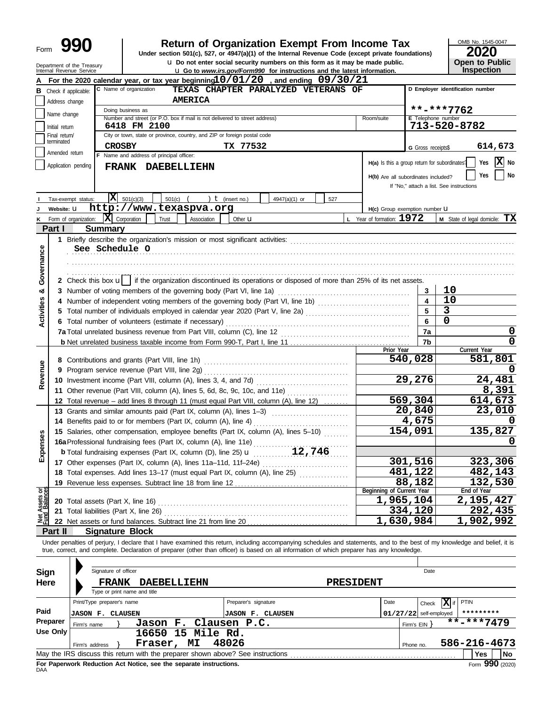| Form | $\mathbf \Omega$<br>Y,<br>0 |
|------|-----------------------------|
|------|-----------------------------|

# **990 2020 2010 2020 2020 2020 2020 2020 2020 2020 2020 2020 2020 2020 2020 2020 2020 2020 2020 2020 2020 2020 2020 2020 2020 2020 2020 2020 2020 2020 2020 2020**

u **Do not enter social security numbers on this form as it may be made public. Open to Public**

OMB No. 1545-0047 **Open to Public** 

|                   |                               | Department of the Treasury<br>Internal Revenue Service |                            |                                          |                                                                            |                  | Q Do not enter social security numbers on this form as it may be made public.<br><b>u</b> Go to www.irs.gov/Form990 for instructions and the latest information.                                                                                                                                                         |                  |                                               |                          | <b>Open to Public</b><br>Inspection      |      |
|-------------------|-------------------------------|--------------------------------------------------------|----------------------------|------------------------------------------|----------------------------------------------------------------------------|------------------|--------------------------------------------------------------------------------------------------------------------------------------------------------------------------------------------------------------------------------------------------------------------------------------------------------------------------|------------------|-----------------------------------------------|--------------------------|------------------------------------------|------|
|                   |                               |                                                        |                            |                                          |                                                                            |                  | For the 2020 calendar year, or tax year beginning $10/01/20$ , and ending $09/30/21$                                                                                                                                                                                                                                     |                  |                                               |                          |                                          |      |
|                   | <b>B</b> Check if applicable: |                                                        |                            | C Name of organization                   |                                                                            |                  | TEXAS CHAPTER PARALYZED VETERANS OF                                                                                                                                                                                                                                                                                      |                  |                                               |                          | D Employer identification number         |      |
|                   | Address change                |                                                        |                            |                                          | <b>AMERICA</b>                                                             |                  |                                                                                                                                                                                                                                                                                                                          |                  |                                               |                          |                                          |      |
|                   | Name change                   |                                                        |                            | Doing business as                        |                                                                            |                  |                                                                                                                                                                                                                                                                                                                          |                  |                                               |                          | **-***7762                               |      |
|                   | Initial return                |                                                        |                            | 6418 FM 2100                             | Number and street (or P.O. box if mail is not delivered to street address) |                  |                                                                                                                                                                                                                                                                                                                          |                  | Room/suite                                    | E Telephone number       | 713-520-8782                             |      |
|                   | Final return/                 |                                                        |                            |                                          | City or town, state or province, country, and ZIP or foreign postal code   |                  |                                                                                                                                                                                                                                                                                                                          |                  |                                               |                          |                                          |      |
|                   | terminated                    |                                                        | <b>CROSBY</b>              |                                          |                                                                            |                  | TX 77532                                                                                                                                                                                                                                                                                                                 |                  |                                               | G Gross receipts\$       | 614,673                                  |      |
|                   | Amended return                |                                                        |                            | F Name and address of principal officer: |                                                                            |                  |                                                                                                                                                                                                                                                                                                                          |                  |                                               |                          |                                          |      |
|                   |                               | Application pending                                    |                            |                                          | FRANK DAEBELLIEHN                                                          |                  |                                                                                                                                                                                                                                                                                                                          |                  | H(a) Is this a group return for subordinates? |                          | Yes                                      | X No |
|                   |                               |                                                        |                            |                                          |                                                                            |                  |                                                                                                                                                                                                                                                                                                                          |                  | H(b) Are all subordinates included?           |                          | Yes                                      | No   |
|                   |                               |                                                        |                            |                                          |                                                                            |                  |                                                                                                                                                                                                                                                                                                                          |                  |                                               |                          | If "No," attach a list. See instructions |      |
|                   |                               | Tax-exempt status:                                     |                            | $ \mathbf{X} $ 501(c)(3)                 | 501(c)<br>$\lambda$                                                        | $t$ (insert no.) | 4947(a)(1) or                                                                                                                                                                                                                                                                                                            | 527              |                                               |                          |                                          |      |
|                   | Website: U                    |                                                        |                            |                                          | http://www.texaspva.org                                                    |                  |                                                                                                                                                                                                                                                                                                                          |                  | H(c) Group exemption number U                 |                          |                                          |      |
| ĸ                 |                               | Form of organization:                                  | $ \mathbf{X} $ Corporation |                                          | Trust<br>Association                                                       | Other <b>u</b>   |                                                                                                                                                                                                                                                                                                                          |                  | L Year of formation: $1972$                   |                          | <b>M</b> State of legal domicile: $TX$   |      |
|                   | Part I                        |                                                        | <b>Summary</b>             |                                          |                                                                            |                  |                                                                                                                                                                                                                                                                                                                          |                  |                                               |                          |                                          |      |
|                   |                               |                                                        |                            |                                          |                                                                            |                  |                                                                                                                                                                                                                                                                                                                          |                  |                                               |                          |                                          |      |
|                   |                               |                                                        |                            | See Schedule O                           |                                                                            |                  |                                                                                                                                                                                                                                                                                                                          |                  |                                               |                          |                                          |      |
| Governance        |                               |                                                        |                            |                                          |                                                                            |                  |                                                                                                                                                                                                                                                                                                                          |                  |                                               |                          |                                          |      |
|                   |                               |                                                        |                            |                                          |                                                                            |                  |                                                                                                                                                                                                                                                                                                                          |                  |                                               |                          |                                          |      |
|                   |                               |                                                        |                            |                                          |                                                                            |                  | 2 Check this box $\mathbf{u}$   if the organization discontinued its operations or disposed of more than 25% of its net assets.                                                                                                                                                                                          |                  |                                               |                          |                                          |      |
| ఱ                 |                               |                                                        |                            |                                          | 3 Number of voting members of the governing body (Part VI, line 1a)        |                  |                                                                                                                                                                                                                                                                                                                          |                  |                                               | 3<br>4                   | 10<br>10                                 |      |
|                   |                               |                                                        |                            |                                          |                                                                            |                  | 4 Number of independent voting members of the governing body (Part VI, line 1b)<br>5 Total number of individuals employed in calendar year 2020 (Part V, line 2a) [[[[[[[[[[[[[[[[[[[[[[[[[[[[[[[                                                                                                                        |                  |                                               | 5                        | 3                                        |      |
| <b>Activities</b> |                               |                                                        |                            |                                          | 6 Total number of volunteers (estimate if necessary)                       |                  |                                                                                                                                                                                                                                                                                                                          |                  |                                               | 6                        | $\mathbf 0$                              |      |
|                   |                               |                                                        |                            |                                          |                                                                            |                  |                                                                                                                                                                                                                                                                                                                          |                  |                                               | 7a                       |                                          | 0    |
|                   |                               |                                                        |                            |                                          |                                                                            |                  |                                                                                                                                                                                                                                                                                                                          |                  |                                               | 7b                       |                                          | 0    |
|                   |                               |                                                        |                            |                                          |                                                                            |                  |                                                                                                                                                                                                                                                                                                                          |                  | Prior Year                                    |                          | Current Year                             |      |
|                   |                               |                                                        |                            |                                          |                                                                            |                  |                                                                                                                                                                                                                                                                                                                          |                  |                                               | 540,028                  | 581,801                                  |      |
| Revenue           |                               |                                                        |                            |                                          | 9 Program service revenue (Part VIII, line 2g)                             |                  |                                                                                                                                                                                                                                                                                                                          |                  |                                               |                          |                                          |      |
|                   |                               |                                                        |                            |                                          | 10 Investment income (Part VIII, column (A), lines 3, 4, and 7d)           |                  |                                                                                                                                                                                                                                                                                                                          |                  |                                               | 29,276                   | 24,481                                   |      |
|                   |                               |                                                        |                            |                                          |                                                                            |                  | 11 Other revenue (Part VIII, column (A), lines 5, 6d, 8c, 9c, 10c, and 11e)                                                                                                                                                                                                                                              |                  |                                               |                          | 8,391                                    |      |
|                   |                               |                                                        |                            |                                          |                                                                            |                  | 12 Total revenue - add lines 8 through 11 (must equal Part VIII, column (A), line 12)                                                                                                                                                                                                                                    |                  |                                               | $\overline{569,304}$     | <u>614,673</u>                           |      |
|                   |                               |                                                        |                            |                                          |                                                                            |                  | 13 Grants and similar amounts paid (Part IX, column (A), lines 1-3)                                                                                                                                                                                                                                                      |                  |                                               | 20,840                   | 23,010                                   |      |
|                   |                               |                                                        |                            |                                          | 14 Benefits paid to or for members (Part IX, column (A), line 4)           |                  |                                                                                                                                                                                                                                                                                                                          |                  |                                               | 4,675                    |                                          |      |
| nses              |                               |                                                        |                            |                                          |                                                                            |                  | 15 Salaries, other compensation, employee benefits (Part IX, column (A), lines 5-10)                                                                                                                                                                                                                                     |                  |                                               | 154,091                  | 135,827                                  |      |
|                   |                               |                                                        |                            |                                          | 16a Professional fundraising fees (Part IX, column (A), line 11e)          |                  |                                                                                                                                                                                                                                                                                                                          |                  |                                               |                          |                                          | 0    |
| Exper             |                               |                                                        |                            |                                          |                                                                            |                  |                                                                                                                                                                                                                                                                                                                          |                  |                                               | 301,516                  | 323,306                                  |      |
|                   |                               |                                                        |                            |                                          |                                                                            |                  | 18 Total expenses. Add lines 13-17 (must equal Part IX, column (A), line 25)                                                                                                                                                                                                                                             |                  |                                               | 481,122                  | 482,143                                  |      |
|                   |                               |                                                        |                            |                                          |                                                                            |                  |                                                                                                                                                                                                                                                                                                                          |                  |                                               | 88,182                   | 132,530                                  |      |
|                   |                               |                                                        |                            |                                          |                                                                            |                  |                                                                                                                                                                                                                                                                                                                          |                  | Beginning of Current Year                     |                          | End of Year                              |      |
| Net Assets or     |                               |                                                        |                            |                                          |                                                                            |                  |                                                                                                                                                                                                                                                                                                                          |                  |                                               | 1,965,104                | 2,195,427                                |      |
|                   |                               |                                                        |                            | 21 Total liabilities (Part X, line 26)   |                                                                            |                  |                                                                                                                                                                                                                                                                                                                          |                  |                                               | 334,120                  | 292,435                                  |      |
|                   |                               |                                                        |                            |                                          |                                                                            |                  |                                                                                                                                                                                                                                                                                                                          |                  |                                               | $\overline{1,630,984}$   | 1,902,992                                |      |
|                   | Part II                       |                                                        |                            | <b>Signature Block</b>                   |                                                                            |                  |                                                                                                                                                                                                                                                                                                                          |                  |                                               |                          |                                          |      |
|                   |                               |                                                        |                            |                                          |                                                                            |                  | Under penalties of perjury, I declare that I have examined this return, including accompanying schedules and statements, and to the best of my knowledge and belief, it is<br>true, correct, and complete. Declaration of preparer (other than officer) is based on all information of which preparer has any knowledge. |                  |                                               |                          |                                          |      |
|                   |                               |                                                        |                            |                                          |                                                                            |                  |                                                                                                                                                                                                                                                                                                                          |                  |                                               |                          |                                          |      |
|                   |                               |                                                        | Signature of officer       |                                          |                                                                            |                  |                                                                                                                                                                                                                                                                                                                          |                  |                                               | Date                     |                                          |      |
| <b>Sign</b>       |                               |                                                        |                            |                                          |                                                                            |                  |                                                                                                                                                                                                                                                                                                                          |                  |                                               |                          |                                          |      |
| <b>Here</b>       |                               |                                                        | <b>FRANK</b>               | Type or print name and title             | <b>DAEBELLIEHN</b>                                                         |                  |                                                                                                                                                                                                                                                                                                                          | <b>PRESIDENT</b> |                                               |                          |                                          |      |
|                   |                               | Print/Type preparer's name                             |                            |                                          |                                                                            |                  | Preparer's signature                                                                                                                                                                                                                                                                                                     |                  | Date                                          | Check                    | $ \mathbf{X} $ if<br><b>PTIN</b>         |      |
| Paid              |                               | <b>JASON F. CLAUSEN</b>                                |                            |                                          |                                                                            |                  | <b>JASON F. CLAUSEN</b>                                                                                                                                                                                                                                                                                                  |                  |                                               | $01/27/22$ self-employed | *********                                |      |
|                   | Preparer                      | Firm's name                                            |                            |                                          | Jason F. Clausen P.C.                                                      |                  |                                                                                                                                                                                                                                                                                                                          |                  |                                               | Firm's EIN               | $\overline{\texttt{***}}$ ****7479       |      |
|                   | <b>Use Only</b>               |                                                        |                            |                                          | 16650 15 Mile Rd.                                                          |                  |                                                                                                                                                                                                                                                                                                                          |                  |                                               |                          |                                          |      |
|                   |                               | Firm's address                                         |                            |                                          | Fraser, MI                                                                 | 48026            |                                                                                                                                                                                                                                                                                                                          |                  |                                               | Phone no.                | 586-216-4673                             |      |
|                   |                               |                                                        |                            |                                          |                                                                            |                  |                                                                                                                                                                                                                                                                                                                          |                  |                                               |                          | Yes                                      | No   |

|                                                                                                | Print/Type preparer's name                                                            |                       | Preparer's signature    | Date |              | Check                    | $ {\bf X} $ if | <b>PTIN</b>      |
|------------------------------------------------------------------------------------------------|---------------------------------------------------------------------------------------|-----------------------|-------------------------|------|--------------|--------------------------|----------------|------------------|
| Paid                                                                                           | <b>JASON F. CLAUSEN</b>                                                               |                       | <b>JASON F. CLAUSEN</b> |      |              | $01/27/22$ self-employed |                | *********        |
| Preparer                                                                                       | Firm's name                                                                           | Jason F. Clausen P.C. |                         |      | Firm's $EIN$ |                          |                | $***$ $***$ 7479 |
| Use Only                                                                                       | 16650 15 Mile Rd.                                                                     |                       |                         |      |              |                          |                |                  |
|                                                                                                | Firm's address                                                                        | МI<br>Fraser,         | 48026                   |      | Phone no.    |                          |                | 586-216-4673     |
| May the IRS discuss this return with the preparer shown above? See instructions<br>l No<br>Yes |                                                                                       |                       |                         |      |              |                          |                |                  |
| DAA                                                                                            | Form 990 (2020)<br>For Paperwork Reduction Act Notice, see the separate instructions. |                       |                         |      |              |                          |                |                  |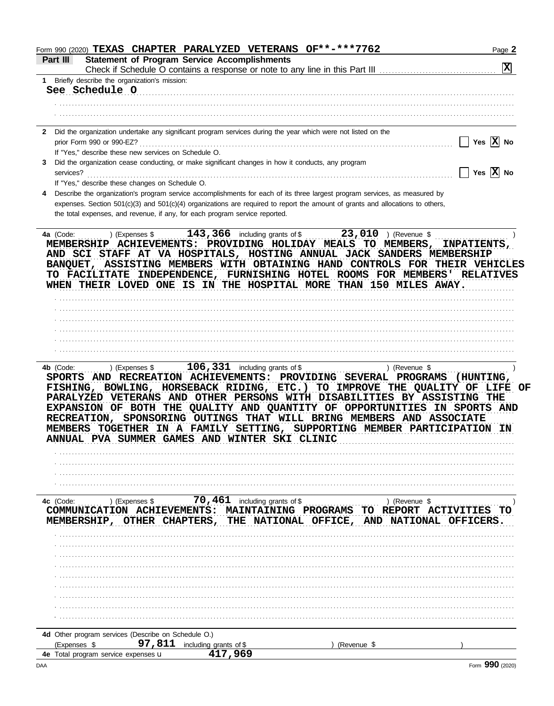| Form 990 (2020) TEXAS CHAPTER PARALYZED VETERANS OF**-***7762                                                                                                                                                                                                                                                                                                                                                                                                                                                     | Page 2                                                  |
|-------------------------------------------------------------------------------------------------------------------------------------------------------------------------------------------------------------------------------------------------------------------------------------------------------------------------------------------------------------------------------------------------------------------------------------------------------------------------------------------------------------------|---------------------------------------------------------|
| <b>Statement of Program Service Accomplishments</b><br>Part III                                                                                                                                                                                                                                                                                                                                                                                                                                                   |                                                         |
|                                                                                                                                                                                                                                                                                                                                                                                                                                                                                                                   | $\mathbf{x}$                                            |
| 1 Briefly describe the organization's mission:<br>See Schedule O                                                                                                                                                                                                                                                                                                                                                                                                                                                  |                                                         |
|                                                                                                                                                                                                                                                                                                                                                                                                                                                                                                                   |                                                         |
|                                                                                                                                                                                                                                                                                                                                                                                                                                                                                                                   |                                                         |
|                                                                                                                                                                                                                                                                                                                                                                                                                                                                                                                   |                                                         |
| Did the organization undertake any significant program services during the year which were not listed on the<br>$\mathbf{2}$                                                                                                                                                                                                                                                                                                                                                                                      |                                                         |
| prior Form 990 or 990-EZ?                                                                                                                                                                                                                                                                                                                                                                                                                                                                                         | Yes $\overline{X}$ No                                   |
| If "Yes," describe these new services on Schedule O.                                                                                                                                                                                                                                                                                                                                                                                                                                                              |                                                         |
| Did the organization cease conducting, or make significant changes in how it conducts, any program<br>3<br>services?                                                                                                                                                                                                                                                                                                                                                                                              | $\overline{\phantom{a}}$ Yes $\overline{\mathrm{X}}$ No |
| If "Yes," describe these changes on Schedule O.                                                                                                                                                                                                                                                                                                                                                                                                                                                                   |                                                         |
| Describe the organization's program service accomplishments for each of its three largest program services, as measured by<br>4                                                                                                                                                                                                                                                                                                                                                                                   |                                                         |
| expenses. Section 501(c)(3) and 501(c)(4) organizations are required to report the amount of grants and allocations to others,                                                                                                                                                                                                                                                                                                                                                                                    |                                                         |
| the total expenses, and revenue, if any, for each program service reported.                                                                                                                                                                                                                                                                                                                                                                                                                                       |                                                         |
| $143,366$ including grants of \$                                                                                                                                                                                                                                                                                                                                                                                                                                                                                  | $23,010$ ) (Revenue \$                                  |
| AND SCI STAFF AT VA HOSPITALS, HOSTING ANNUAL JACK SANDERS MEMBERSHIP<br>BANQUET, ASSISTING MEMBERS WITH OBTAINING HAND CONTROLS FOR THEIR VEHICLES<br>TO FACILITATE INDEPENDENCE, FURNISHING HOTEL ROOMS FOR MEMBERS'<br>WHEN THEIR LOVED ONE IS IN THE HOSPITAL MORE THAN 150 MILES AWAY.                                                                                                                                                                                                                       | <b>RELATIVES</b>                                        |
|                                                                                                                                                                                                                                                                                                                                                                                                                                                                                                                   |                                                         |
|                                                                                                                                                                                                                                                                                                                                                                                                                                                                                                                   |                                                         |
|                                                                                                                                                                                                                                                                                                                                                                                                                                                                                                                   |                                                         |
|                                                                                                                                                                                                                                                                                                                                                                                                                                                                                                                   |                                                         |
|                                                                                                                                                                                                                                                                                                                                                                                                                                                                                                                   |                                                         |
|                                                                                                                                                                                                                                                                                                                                                                                                                                                                                                                   |                                                         |
| SPORTS AND RECREATION ACHIEVEMENTS: PROVIDING SEVERAL PROGRAMS (HUNTING,<br>FISHING, BOWLING, HORSEBACK RIDING, ETC.) TO IMPROVE THE QUALITY OF LIFE OF<br>PARALYZED VETERANS AND OTHER PERSONS WITH DISABILITIES BY ASSISTING THE<br>EXPANSION OF BOTH THE QUALITY AND QUANTITY OF OPPORTUNITIES IN SPORTS AND<br>RECREATION, SPONSORING OUTINGS THAT WILL BRING MEMBERS AND ASSOCIATE<br>TOGETHER<br>IN A FAMILY<br>SETTING, SUPPORTING MEMBER<br>PVA SUMMER<br><b>GAMES AND WINTER</b><br>SKI CLINIC<br>ANNUAL | <b>PARTICIPATION</b>                                    |
|                                                                                                                                                                                                                                                                                                                                                                                                                                                                                                                   |                                                         |
|                                                                                                                                                                                                                                                                                                                                                                                                                                                                                                                   |                                                         |
| 70,461<br>including grants of \$<br>4c (Code:<br>) (Expenses \$                                                                                                                                                                                                                                                                                                                                                                                                                                                   | ) (Revenue \$                                           |
| COMMUNICATION ACHIEVEMENTS: MAINTAINING PROGRAMS TO REPORT ACTIVITIES                                                                                                                                                                                                                                                                                                                                                                                                                                             | TO                                                      |
| MEMBERSHIP, OTHER<br>NATIONAL OFFICE, AND NATIONAL OFFICERS.<br><b>CHAPTERS,</b><br>THE                                                                                                                                                                                                                                                                                                                                                                                                                           |                                                         |
|                                                                                                                                                                                                                                                                                                                                                                                                                                                                                                                   |                                                         |
|                                                                                                                                                                                                                                                                                                                                                                                                                                                                                                                   |                                                         |
|                                                                                                                                                                                                                                                                                                                                                                                                                                                                                                                   |                                                         |
|                                                                                                                                                                                                                                                                                                                                                                                                                                                                                                                   |                                                         |
|                                                                                                                                                                                                                                                                                                                                                                                                                                                                                                                   |                                                         |
|                                                                                                                                                                                                                                                                                                                                                                                                                                                                                                                   |                                                         |
|                                                                                                                                                                                                                                                                                                                                                                                                                                                                                                                   |                                                         |
|                                                                                                                                                                                                                                                                                                                                                                                                                                                                                                                   |                                                         |
|                                                                                                                                                                                                                                                                                                                                                                                                                                                                                                                   |                                                         |
|                                                                                                                                                                                                                                                                                                                                                                                                                                                                                                                   |                                                         |
| 4d Other program services (Describe on Schedule O.)                                                                                                                                                                                                                                                                                                                                                                                                                                                               |                                                         |
| 97,811<br>(Expenses \$<br>including grants of \$<br>(Revenue \$<br>417,969<br>4e Total program service expenses <b>u</b>                                                                                                                                                                                                                                                                                                                                                                                          |                                                         |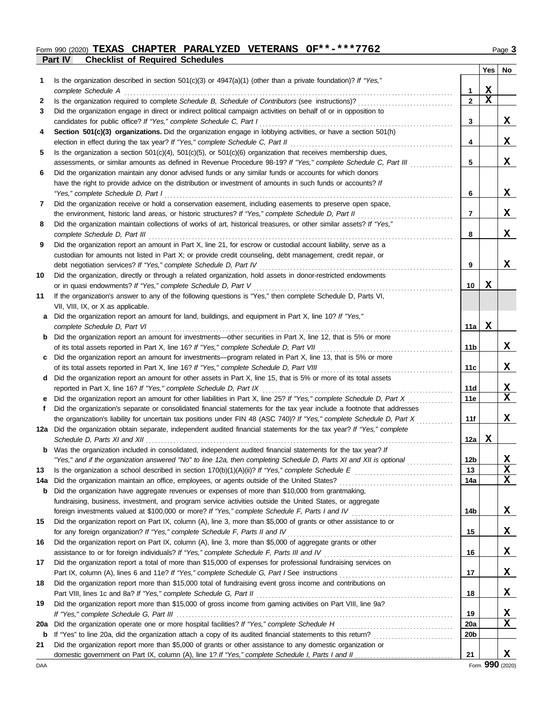### **Part IV Checklist of Required Schedules** Form 990 (2020) **TEXAS CHAPTER PARALYZED VETERANS OF\*\*-\*\*\*7762** Page 3

|--|--|--|

|     |                                                                                                                                                                                                                                                   |                 |             | Yes No      |
|-----|---------------------------------------------------------------------------------------------------------------------------------------------------------------------------------------------------------------------------------------------------|-----------------|-------------|-------------|
| 1.  | Is the organization described in section $501(c)(3)$ or $4947(a)(1)$ (other than a private foundation)? If "Yes,"                                                                                                                                 |                 |             |             |
|     | complete Schedule A                                                                                                                                                                                                                               | 1               | $\mathbf x$ |             |
| 2   | Is the organization required to complete Schedule B, Schedule of Contributors (see instructions)?                                                                                                                                                 | $\mathbf{2}$    | X           |             |
| 3   | Did the organization engage in direct or indirect political campaign activities on behalf of or in opposition to                                                                                                                                  |                 |             |             |
|     | candidates for public office? If "Yes," complete Schedule C, Part I                                                                                                                                                                               | 3               |             | X           |
| 4   | Section 501(c)(3) organizations. Did the organization engage in lobbying activities, or have a section 501(h)                                                                                                                                     | 4               |             | X           |
| 5   | election in effect during the tax year? If "Yes," complete Schedule C, Part II<br>Is the organization a section $501(c)(4)$ , $501(c)(5)$ , or $501(c)(6)$ organization that receives membership dues,                                            |                 |             |             |
|     | assessments, or similar amounts as defined in Revenue Procedure 98-19? If "Yes," complete Schedule C, Part III                                                                                                                                    | 5               |             | X           |
| 6   | Did the organization maintain any donor advised funds or any similar funds or accounts for which donors                                                                                                                                           |                 |             |             |
|     | have the right to provide advice on the distribution or investment of amounts in such funds or accounts? If                                                                                                                                       |                 |             |             |
|     | "Yes," complete Schedule D, Part I                                                                                                                                                                                                                | 6               |             | X           |
| 7   | Did the organization receive or hold a conservation easement, including easements to preserve open space,                                                                                                                                         |                 |             |             |
|     | the environment, historic land areas, or historic structures? If "Yes," complete Schedule D, Part II                                                                                                                                              | 7               |             | X           |
| 8   | Did the organization maintain collections of works of art, historical treasures, or other similar assets? If "Yes,"                                                                                                                               |                 |             |             |
|     | complete Schedule D, Part III                                                                                                                                                                                                                     | 8               |             | X           |
| 9   | Did the organization report an amount in Part X, line 21, for escrow or custodial account liability, serve as a                                                                                                                                   |                 |             |             |
|     | custodian for amounts not listed in Part X; or provide credit counseling, debt management, credit repair, or                                                                                                                                      |                 |             |             |
|     | debt negotiation services? If "Yes," complete Schedule D, Part IV                                                                                                                                                                                 | 9               |             | X           |
| 10  | Did the organization, directly or through a related organization, hold assets in donor-restricted endowments                                                                                                                                      |                 |             |             |
|     | or in quasi endowments? If "Yes," complete Schedule D, Part V                                                                                                                                                                                     | 10              | X           |             |
| 11  | If the organization's answer to any of the following questions is "Yes," then complete Schedule D, Parts VI,                                                                                                                                      |                 |             |             |
|     | VII, VIII, IX, or X as applicable.                                                                                                                                                                                                                |                 |             |             |
| a   | Did the organization report an amount for land, buildings, and equipment in Part X, line 10? If "Yes,"                                                                                                                                            |                 |             |             |
|     | complete Schedule D, Part VI                                                                                                                                                                                                                      | 11a             | X           |             |
|     | <b>b</b> Did the organization report an amount for investments—other securities in Part X, line 12, that is 5% or more                                                                                                                            |                 |             |             |
|     | of its total assets reported in Part X, line 16? If "Yes," complete Schedule D, Part VII                                                                                                                                                          | 11 <sub>b</sub> |             | X           |
| c   | Did the organization report an amount for investments—program related in Part X, line 13, that is 5% or more                                                                                                                                      |                 |             |             |
|     |                                                                                                                                                                                                                                                   | 11c             |             | X           |
| d   | Did the organization report an amount for other assets in Part X, line 15, that is 5% or more of its total assets                                                                                                                                 |                 |             |             |
|     | reported in Part X, line 16? If "Yes," complete Schedule D, Part IX                                                                                                                                                                               | 11d             |             | X           |
| е   | Did the organization report an amount for other liabilities in Part X, line 25? If "Yes," complete Schedule D, Part X                                                                                                                             | 11e             |             | $\mathbf x$ |
| f   | Did the organization's separate or consolidated financial statements for the tax year include a footnote that addresses                                                                                                                           |                 |             | X           |
|     | the organization's liability for uncertain tax positions under FIN 48 (ASC 740)? If "Yes," complete Schedule D, Part X<br>12a Did the organization obtain separate, independent audited financial statements for the tax year? If "Yes," complete | 11f             |             |             |
|     | Schedule D, Parts XI and XII $\ldots$ , $\ldots$ , $\ldots$                                                                                                                                                                                       | 12a             | х           |             |
|     | Was the organization included in consolidated, independent audited financial statements for the tax year? If                                                                                                                                      |                 |             |             |
|     | "Yes," and if the organization answered "No" to line 12a, then completing Schedule D, Parts XI and XII is optional                                                                                                                                | 12 <sub>b</sub> |             | X           |
| 13  |                                                                                                                                                                                                                                                   | 13              |             | X           |
| 14a |                                                                                                                                                                                                                                                   | 14a             |             | X           |
| b   | Did the organization have aggregate revenues or expenses of more than \$10,000 from grantmaking,                                                                                                                                                  |                 |             |             |
|     | fundraising, business, investment, and program service activities outside the United States, or aggregate                                                                                                                                         |                 |             |             |
|     | foreign investments valued at \$100,000 or more? If "Yes," complete Schedule F, Parts I and IV [[[[[[[[[[[[[[[[                                                                                                                                   | 14b             |             | X           |
| 15  | Did the organization report on Part IX, column (A), line 3, more than \$5,000 of grants or other assistance to or                                                                                                                                 |                 |             |             |
|     | for any foreign organization? If "Yes," complete Schedule F, Parts II and IV                                                                                                                                                                      | 15              |             | X           |
| 16  | Did the organization report on Part IX, column (A), line 3, more than \$5,000 of aggregate grants or other                                                                                                                                        |                 |             |             |
|     |                                                                                                                                                                                                                                                   | 16              |             | X           |
| 17  | Did the organization report a total of more than \$15,000 of expenses for professional fundraising services on                                                                                                                                    |                 |             |             |
|     |                                                                                                                                                                                                                                                   | 17              |             | X           |
| 18  | Did the organization report more than \$15,000 total of fundraising event gross income and contributions on                                                                                                                                       |                 |             |             |
|     | Part VIII, lines 1c and 8a? If "Yes," complete Schedule G, Part II                                                                                                                                                                                | 18              |             | X           |
| 19  | Did the organization report more than \$15,000 of gross income from gaming activities on Part VIII, line 9a?                                                                                                                                      |                 |             |             |
|     |                                                                                                                                                                                                                                                   | 19              |             | X           |
| 20a |                                                                                                                                                                                                                                                   | 20a             |             | X           |
| b   | If "Yes" to line 20a, did the organization attach a copy of its audited financial statements to this return?                                                                                                                                      | 20 <sub>b</sub> |             |             |
| 21  | Did the organization report more than \$5,000 of grants or other assistance to any domestic organization or                                                                                                                                       |                 |             |             |
|     |                                                                                                                                                                                                                                                   | 21              |             | X           |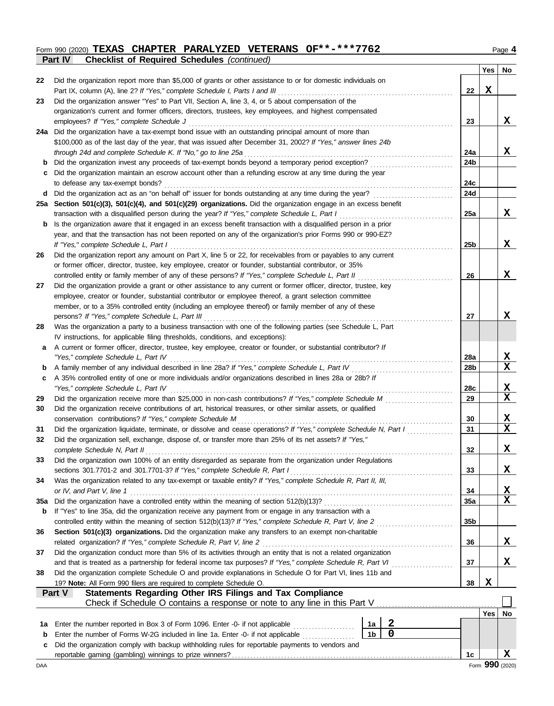#### Form 990 (2020) **TEXAS CHAPTER PARALYZED VETERANS OF\*\*-\*\*\*7762** Page 4 **Part IV Checklist of Required Schedules** *(continued)* **TEXAS CHAPTER PARALYZED VETERANS OF\*\*-\*\*\*7762**

| ı.<br>r<br>. . |  |
|----------------|--|
|                |  |

| Did the organization report more than \$5,000 of grants or other assistance to or for domestic individuals on<br>22<br>X<br>22<br>Did the organization answer "Yes" to Part VII, Section A, line 3, 4, or 5 about compensation of the<br>23<br>organization's current and former officers, directors, trustees, key employees, and highest compensated<br>23<br>employees? If "Yes," complete Schedule J<br>24a Did the organization have a tax-exempt bond issue with an outstanding principal amount of more than<br>\$100,000 as of the last day of the year, that was issued after December 31, 2002? If "Yes," answer lines 24b<br>through 24d and complete Schedule K. If "No," go to line 25a<br>24a<br>Did the organization invest any proceeds of tax-exempt bonds beyond a temporary period exception?<br>24b<br>b<br>Did the organization maintain an escrow account other than a refunding escrow at any time during the year<br>c<br>24c<br>to defease any tax-exempt bonds?<br>Did the organization act as an "on behalf of" issuer for bonds outstanding at any time during the year?<br>24d<br>d<br>25a Section 501(c)(3), 501(c)(4), and 501(c)(29) organizations. Did the organization engage in an excess benefit<br>25a<br>transaction with a disqualified person during the year? If "Yes," complete Schedule L, Part I<br>Is the organization aware that it engaged in an excess benefit transaction with a disqualified person in a prior<br>b<br>year, and that the transaction has not been reported on any of the organization's prior Forms 990 or 990-EZ?<br>If "Yes," complete Schedule L, Part I<br>25b<br>Did the organization report any amount on Part X, line 5 or 22, for receivables from or payables to any current<br>26<br>or former officer, director, trustee, key employee, creator or founder, substantial contributor, or 35%<br>controlled entity or family member of any of these persons? If "Yes," complete Schedule L, Part II<br>26<br>Did the organization provide a grant or other assistance to any current or former officer, director, trustee, key<br>27<br>employee, creator or founder, substantial contributor or employee thereof, a grant selection committee<br>member, or to a 35% controlled entity (including an employee thereof) or family member of any of these<br>persons? If "Yes," complete Schedule L, Part III<br>27<br>Was the organization a party to a business transaction with one of the following parties (see Schedule L, Part<br>28<br>IV instructions, for applicable filing thresholds, conditions, and exceptions):<br>A current or former officer, director, trustee, key employee, creator or founder, or substantial contributor? If<br>a<br>"Yes," complete Schedule L, Part IV<br>28a<br>28 <sub>b</sub><br>b<br>A 35% controlled entity of one or more individuals and/or organizations described in lines 28a or 28b? If<br>c<br>"Yes," complete Schedule L, Part IV<br>28c<br>Did the organization receive more than \$25,000 in non-cash contributions? If "Yes," complete Schedule M<br>29<br>29<br>Did the organization receive contributions of art, historical treasures, or other similar assets, or qualified<br>30<br>conservation contributions? If "Yes," complete Schedule M<br>30<br>Did the organization liquidate, terminate, or dissolve and cease operations? If "Yes," complete Schedule N, Part I<br>31<br>31 | X<br>X<br>X |
|-------------------------------------------------------------------------------------------------------------------------------------------------------------------------------------------------------------------------------------------------------------------------------------------------------------------------------------------------------------------------------------------------------------------------------------------------------------------------------------------------------------------------------------------------------------------------------------------------------------------------------------------------------------------------------------------------------------------------------------------------------------------------------------------------------------------------------------------------------------------------------------------------------------------------------------------------------------------------------------------------------------------------------------------------------------------------------------------------------------------------------------------------------------------------------------------------------------------------------------------------------------------------------------------------------------------------------------------------------------------------------------------------------------------------------------------------------------------------------------------------------------------------------------------------------------------------------------------------------------------------------------------------------------------------------------------------------------------------------------------------------------------------------------------------------------------------------------------------------------------------------------------------------------------------------------------------------------------------------------------------------------------------------------------------------------------------------------------------------------------------------------------------------------------------------------------------------------------------------------------------------------------------------------------------------------------------------------------------------------------------------------------------------------------------------------------------------------------------------------------------------------------------------------------------------------------------------------------------------------------------------------------------------------------------------------------------------------------------------------------------------------------------------------------------------------------------------------------------------------------------------------------------------------------------------------------------------------------------------------------------------------------------------------------------------------------------------------------------------------------------------------------------------------------------------------------------------------------------------------------------------------------------------------------------------------------------------------------------------------------------------------------------------------------------------|-------------|
|                                                                                                                                                                                                                                                                                                                                                                                                                                                                                                                                                                                                                                                                                                                                                                                                                                                                                                                                                                                                                                                                                                                                                                                                                                                                                                                                                                                                                                                                                                                                                                                                                                                                                                                                                                                                                                                                                                                                                                                                                                                                                                                                                                                                                                                                                                                                                                                                                                                                                                                                                                                                                                                                                                                                                                                                                                                                                                                                                                                                                                                                                                                                                                                                                                                                                                                                                                                                                               |             |
|                                                                                                                                                                                                                                                                                                                                                                                                                                                                                                                                                                                                                                                                                                                                                                                                                                                                                                                                                                                                                                                                                                                                                                                                                                                                                                                                                                                                                                                                                                                                                                                                                                                                                                                                                                                                                                                                                                                                                                                                                                                                                                                                                                                                                                                                                                                                                                                                                                                                                                                                                                                                                                                                                                                                                                                                                                                                                                                                                                                                                                                                                                                                                                                                                                                                                                                                                                                                                               |             |
|                                                                                                                                                                                                                                                                                                                                                                                                                                                                                                                                                                                                                                                                                                                                                                                                                                                                                                                                                                                                                                                                                                                                                                                                                                                                                                                                                                                                                                                                                                                                                                                                                                                                                                                                                                                                                                                                                                                                                                                                                                                                                                                                                                                                                                                                                                                                                                                                                                                                                                                                                                                                                                                                                                                                                                                                                                                                                                                                                                                                                                                                                                                                                                                                                                                                                                                                                                                                                               |             |
|                                                                                                                                                                                                                                                                                                                                                                                                                                                                                                                                                                                                                                                                                                                                                                                                                                                                                                                                                                                                                                                                                                                                                                                                                                                                                                                                                                                                                                                                                                                                                                                                                                                                                                                                                                                                                                                                                                                                                                                                                                                                                                                                                                                                                                                                                                                                                                                                                                                                                                                                                                                                                                                                                                                                                                                                                                                                                                                                                                                                                                                                                                                                                                                                                                                                                                                                                                                                                               |             |
|                                                                                                                                                                                                                                                                                                                                                                                                                                                                                                                                                                                                                                                                                                                                                                                                                                                                                                                                                                                                                                                                                                                                                                                                                                                                                                                                                                                                                                                                                                                                                                                                                                                                                                                                                                                                                                                                                                                                                                                                                                                                                                                                                                                                                                                                                                                                                                                                                                                                                                                                                                                                                                                                                                                                                                                                                                                                                                                                                                                                                                                                                                                                                                                                                                                                                                                                                                                                                               |             |
|                                                                                                                                                                                                                                                                                                                                                                                                                                                                                                                                                                                                                                                                                                                                                                                                                                                                                                                                                                                                                                                                                                                                                                                                                                                                                                                                                                                                                                                                                                                                                                                                                                                                                                                                                                                                                                                                                                                                                                                                                                                                                                                                                                                                                                                                                                                                                                                                                                                                                                                                                                                                                                                                                                                                                                                                                                                                                                                                                                                                                                                                                                                                                                                                                                                                                                                                                                                                                               |             |
|                                                                                                                                                                                                                                                                                                                                                                                                                                                                                                                                                                                                                                                                                                                                                                                                                                                                                                                                                                                                                                                                                                                                                                                                                                                                                                                                                                                                                                                                                                                                                                                                                                                                                                                                                                                                                                                                                                                                                                                                                                                                                                                                                                                                                                                                                                                                                                                                                                                                                                                                                                                                                                                                                                                                                                                                                                                                                                                                                                                                                                                                                                                                                                                                                                                                                                                                                                                                                               |             |
|                                                                                                                                                                                                                                                                                                                                                                                                                                                                                                                                                                                                                                                                                                                                                                                                                                                                                                                                                                                                                                                                                                                                                                                                                                                                                                                                                                                                                                                                                                                                                                                                                                                                                                                                                                                                                                                                                                                                                                                                                                                                                                                                                                                                                                                                                                                                                                                                                                                                                                                                                                                                                                                                                                                                                                                                                                                                                                                                                                                                                                                                                                                                                                                                                                                                                                                                                                                                                               |             |
|                                                                                                                                                                                                                                                                                                                                                                                                                                                                                                                                                                                                                                                                                                                                                                                                                                                                                                                                                                                                                                                                                                                                                                                                                                                                                                                                                                                                                                                                                                                                                                                                                                                                                                                                                                                                                                                                                                                                                                                                                                                                                                                                                                                                                                                                                                                                                                                                                                                                                                                                                                                                                                                                                                                                                                                                                                                                                                                                                                                                                                                                                                                                                                                                                                                                                                                                                                                                                               |             |
|                                                                                                                                                                                                                                                                                                                                                                                                                                                                                                                                                                                                                                                                                                                                                                                                                                                                                                                                                                                                                                                                                                                                                                                                                                                                                                                                                                                                                                                                                                                                                                                                                                                                                                                                                                                                                                                                                                                                                                                                                                                                                                                                                                                                                                                                                                                                                                                                                                                                                                                                                                                                                                                                                                                                                                                                                                                                                                                                                                                                                                                                                                                                                                                                                                                                                                                                                                                                                               |             |
|                                                                                                                                                                                                                                                                                                                                                                                                                                                                                                                                                                                                                                                                                                                                                                                                                                                                                                                                                                                                                                                                                                                                                                                                                                                                                                                                                                                                                                                                                                                                                                                                                                                                                                                                                                                                                                                                                                                                                                                                                                                                                                                                                                                                                                                                                                                                                                                                                                                                                                                                                                                                                                                                                                                                                                                                                                                                                                                                                                                                                                                                                                                                                                                                                                                                                                                                                                                                                               |             |
|                                                                                                                                                                                                                                                                                                                                                                                                                                                                                                                                                                                                                                                                                                                                                                                                                                                                                                                                                                                                                                                                                                                                                                                                                                                                                                                                                                                                                                                                                                                                                                                                                                                                                                                                                                                                                                                                                                                                                                                                                                                                                                                                                                                                                                                                                                                                                                                                                                                                                                                                                                                                                                                                                                                                                                                                                                                                                                                                                                                                                                                                                                                                                                                                                                                                                                                                                                                                                               |             |
|                                                                                                                                                                                                                                                                                                                                                                                                                                                                                                                                                                                                                                                                                                                                                                                                                                                                                                                                                                                                                                                                                                                                                                                                                                                                                                                                                                                                                                                                                                                                                                                                                                                                                                                                                                                                                                                                                                                                                                                                                                                                                                                                                                                                                                                                                                                                                                                                                                                                                                                                                                                                                                                                                                                                                                                                                                                                                                                                                                                                                                                                                                                                                                                                                                                                                                                                                                                                                               |             |
|                                                                                                                                                                                                                                                                                                                                                                                                                                                                                                                                                                                                                                                                                                                                                                                                                                                                                                                                                                                                                                                                                                                                                                                                                                                                                                                                                                                                                                                                                                                                                                                                                                                                                                                                                                                                                                                                                                                                                                                                                                                                                                                                                                                                                                                                                                                                                                                                                                                                                                                                                                                                                                                                                                                                                                                                                                                                                                                                                                                                                                                                                                                                                                                                                                                                                                                                                                                                                               |             |
|                                                                                                                                                                                                                                                                                                                                                                                                                                                                                                                                                                                                                                                                                                                                                                                                                                                                                                                                                                                                                                                                                                                                                                                                                                                                                                                                                                                                                                                                                                                                                                                                                                                                                                                                                                                                                                                                                                                                                                                                                                                                                                                                                                                                                                                                                                                                                                                                                                                                                                                                                                                                                                                                                                                                                                                                                                                                                                                                                                                                                                                                                                                                                                                                                                                                                                                                                                                                                               |             |
|                                                                                                                                                                                                                                                                                                                                                                                                                                                                                                                                                                                                                                                                                                                                                                                                                                                                                                                                                                                                                                                                                                                                                                                                                                                                                                                                                                                                                                                                                                                                                                                                                                                                                                                                                                                                                                                                                                                                                                                                                                                                                                                                                                                                                                                                                                                                                                                                                                                                                                                                                                                                                                                                                                                                                                                                                                                                                                                                                                                                                                                                                                                                                                                                                                                                                                                                                                                                                               |             |
|                                                                                                                                                                                                                                                                                                                                                                                                                                                                                                                                                                                                                                                                                                                                                                                                                                                                                                                                                                                                                                                                                                                                                                                                                                                                                                                                                                                                                                                                                                                                                                                                                                                                                                                                                                                                                                                                                                                                                                                                                                                                                                                                                                                                                                                                                                                                                                                                                                                                                                                                                                                                                                                                                                                                                                                                                                                                                                                                                                                                                                                                                                                                                                                                                                                                                                                                                                                                                               | X           |
|                                                                                                                                                                                                                                                                                                                                                                                                                                                                                                                                                                                                                                                                                                                                                                                                                                                                                                                                                                                                                                                                                                                                                                                                                                                                                                                                                                                                                                                                                                                                                                                                                                                                                                                                                                                                                                                                                                                                                                                                                                                                                                                                                                                                                                                                                                                                                                                                                                                                                                                                                                                                                                                                                                                                                                                                                                                                                                                                                                                                                                                                                                                                                                                                                                                                                                                                                                                                                               |             |
|                                                                                                                                                                                                                                                                                                                                                                                                                                                                                                                                                                                                                                                                                                                                                                                                                                                                                                                                                                                                                                                                                                                                                                                                                                                                                                                                                                                                                                                                                                                                                                                                                                                                                                                                                                                                                                                                                                                                                                                                                                                                                                                                                                                                                                                                                                                                                                                                                                                                                                                                                                                                                                                                                                                                                                                                                                                                                                                                                                                                                                                                                                                                                                                                                                                                                                                                                                                                                               |             |
|                                                                                                                                                                                                                                                                                                                                                                                                                                                                                                                                                                                                                                                                                                                                                                                                                                                                                                                                                                                                                                                                                                                                                                                                                                                                                                                                                                                                                                                                                                                                                                                                                                                                                                                                                                                                                                                                                                                                                                                                                                                                                                                                                                                                                                                                                                                                                                                                                                                                                                                                                                                                                                                                                                                                                                                                                                                                                                                                                                                                                                                                                                                                                                                                                                                                                                                                                                                                                               | X           |
|                                                                                                                                                                                                                                                                                                                                                                                                                                                                                                                                                                                                                                                                                                                                                                                                                                                                                                                                                                                                                                                                                                                                                                                                                                                                                                                                                                                                                                                                                                                                                                                                                                                                                                                                                                                                                                                                                                                                                                                                                                                                                                                                                                                                                                                                                                                                                                                                                                                                                                                                                                                                                                                                                                                                                                                                                                                                                                                                                                                                                                                                                                                                                                                                                                                                                                                                                                                                                               |             |
|                                                                                                                                                                                                                                                                                                                                                                                                                                                                                                                                                                                                                                                                                                                                                                                                                                                                                                                                                                                                                                                                                                                                                                                                                                                                                                                                                                                                                                                                                                                                                                                                                                                                                                                                                                                                                                                                                                                                                                                                                                                                                                                                                                                                                                                                                                                                                                                                                                                                                                                                                                                                                                                                                                                                                                                                                                                                                                                                                                                                                                                                                                                                                                                                                                                                                                                                                                                                                               |             |
|                                                                                                                                                                                                                                                                                                                                                                                                                                                                                                                                                                                                                                                                                                                                                                                                                                                                                                                                                                                                                                                                                                                                                                                                                                                                                                                                                                                                                                                                                                                                                                                                                                                                                                                                                                                                                                                                                                                                                                                                                                                                                                                                                                                                                                                                                                                                                                                                                                                                                                                                                                                                                                                                                                                                                                                                                                                                                                                                                                                                                                                                                                                                                                                                                                                                                                                                                                                                                               |             |
|                                                                                                                                                                                                                                                                                                                                                                                                                                                                                                                                                                                                                                                                                                                                                                                                                                                                                                                                                                                                                                                                                                                                                                                                                                                                                                                                                                                                                                                                                                                                                                                                                                                                                                                                                                                                                                                                                                                                                                                                                                                                                                                                                                                                                                                                                                                                                                                                                                                                                                                                                                                                                                                                                                                                                                                                                                                                                                                                                                                                                                                                                                                                                                                                                                                                                                                                                                                                                               | X           |
|                                                                                                                                                                                                                                                                                                                                                                                                                                                                                                                                                                                                                                                                                                                                                                                                                                                                                                                                                                                                                                                                                                                                                                                                                                                                                                                                                                                                                                                                                                                                                                                                                                                                                                                                                                                                                                                                                                                                                                                                                                                                                                                                                                                                                                                                                                                                                                                                                                                                                                                                                                                                                                                                                                                                                                                                                                                                                                                                                                                                                                                                                                                                                                                                                                                                                                                                                                                                                               |             |
|                                                                                                                                                                                                                                                                                                                                                                                                                                                                                                                                                                                                                                                                                                                                                                                                                                                                                                                                                                                                                                                                                                                                                                                                                                                                                                                                                                                                                                                                                                                                                                                                                                                                                                                                                                                                                                                                                                                                                                                                                                                                                                                                                                                                                                                                                                                                                                                                                                                                                                                                                                                                                                                                                                                                                                                                                                                                                                                                                                                                                                                                                                                                                                                                                                                                                                                                                                                                                               |             |
|                                                                                                                                                                                                                                                                                                                                                                                                                                                                                                                                                                                                                                                                                                                                                                                                                                                                                                                                                                                                                                                                                                                                                                                                                                                                                                                                                                                                                                                                                                                                                                                                                                                                                                                                                                                                                                                                                                                                                                                                                                                                                                                                                                                                                                                                                                                                                                                                                                                                                                                                                                                                                                                                                                                                                                                                                                                                                                                                                                                                                                                                                                                                                                                                                                                                                                                                                                                                                               |             |
|                                                                                                                                                                                                                                                                                                                                                                                                                                                                                                                                                                                                                                                                                                                                                                                                                                                                                                                                                                                                                                                                                                                                                                                                                                                                                                                                                                                                                                                                                                                                                                                                                                                                                                                                                                                                                                                                                                                                                                                                                                                                                                                                                                                                                                                                                                                                                                                                                                                                                                                                                                                                                                                                                                                                                                                                                                                                                                                                                                                                                                                                                                                                                                                                                                                                                                                                                                                                                               | X           |
|                                                                                                                                                                                                                                                                                                                                                                                                                                                                                                                                                                                                                                                                                                                                                                                                                                                                                                                                                                                                                                                                                                                                                                                                                                                                                                                                                                                                                                                                                                                                                                                                                                                                                                                                                                                                                                                                                                                                                                                                                                                                                                                                                                                                                                                                                                                                                                                                                                                                                                                                                                                                                                                                                                                                                                                                                                                                                                                                                                                                                                                                                                                                                                                                                                                                                                                                                                                                                               | X           |
|                                                                                                                                                                                                                                                                                                                                                                                                                                                                                                                                                                                                                                                                                                                                                                                                                                                                                                                                                                                                                                                                                                                                                                                                                                                                                                                                                                                                                                                                                                                                                                                                                                                                                                                                                                                                                                                                                                                                                                                                                                                                                                                                                                                                                                                                                                                                                                                                                                                                                                                                                                                                                                                                                                                                                                                                                                                                                                                                                                                                                                                                                                                                                                                                                                                                                                                                                                                                                               |             |
|                                                                                                                                                                                                                                                                                                                                                                                                                                                                                                                                                                                                                                                                                                                                                                                                                                                                                                                                                                                                                                                                                                                                                                                                                                                                                                                                                                                                                                                                                                                                                                                                                                                                                                                                                                                                                                                                                                                                                                                                                                                                                                                                                                                                                                                                                                                                                                                                                                                                                                                                                                                                                                                                                                                                                                                                                                                                                                                                                                                                                                                                                                                                                                                                                                                                                                                                                                                                                               | X           |
|                                                                                                                                                                                                                                                                                                                                                                                                                                                                                                                                                                                                                                                                                                                                                                                                                                                                                                                                                                                                                                                                                                                                                                                                                                                                                                                                                                                                                                                                                                                                                                                                                                                                                                                                                                                                                                                                                                                                                                                                                                                                                                                                                                                                                                                                                                                                                                                                                                                                                                                                                                                                                                                                                                                                                                                                                                                                                                                                                                                                                                                                                                                                                                                                                                                                                                                                                                                                                               | X           |
|                                                                                                                                                                                                                                                                                                                                                                                                                                                                                                                                                                                                                                                                                                                                                                                                                                                                                                                                                                                                                                                                                                                                                                                                                                                                                                                                                                                                                                                                                                                                                                                                                                                                                                                                                                                                                                                                                                                                                                                                                                                                                                                                                                                                                                                                                                                                                                                                                                                                                                                                                                                                                                                                                                                                                                                                                                                                                                                                                                                                                                                                                                                                                                                                                                                                                                                                                                                                                               |             |
|                                                                                                                                                                                                                                                                                                                                                                                                                                                                                                                                                                                                                                                                                                                                                                                                                                                                                                                                                                                                                                                                                                                                                                                                                                                                                                                                                                                                                                                                                                                                                                                                                                                                                                                                                                                                                                                                                                                                                                                                                                                                                                                                                                                                                                                                                                                                                                                                                                                                                                                                                                                                                                                                                                                                                                                                                                                                                                                                                                                                                                                                                                                                                                                                                                                                                                                                                                                                                               | X           |
|                                                                                                                                                                                                                                                                                                                                                                                                                                                                                                                                                                                                                                                                                                                                                                                                                                                                                                                                                                                                                                                                                                                                                                                                                                                                                                                                                                                                                                                                                                                                                                                                                                                                                                                                                                                                                                                                                                                                                                                                                                                                                                                                                                                                                                                                                                                                                                                                                                                                                                                                                                                                                                                                                                                                                                                                                                                                                                                                                                                                                                                                                                                                                                                                                                                                                                                                                                                                                               | $\mathbf X$ |
| Did the organization sell, exchange, dispose of, or transfer more than 25% of its net assets? If "Yes,"<br>32                                                                                                                                                                                                                                                                                                                                                                                                                                                                                                                                                                                                                                                                                                                                                                                                                                                                                                                                                                                                                                                                                                                                                                                                                                                                                                                                                                                                                                                                                                                                                                                                                                                                                                                                                                                                                                                                                                                                                                                                                                                                                                                                                                                                                                                                                                                                                                                                                                                                                                                                                                                                                                                                                                                                                                                                                                                                                                                                                                                                                                                                                                                                                                                                                                                                                                                 |             |
| complete Schedule N, Part II<br>32                                                                                                                                                                                                                                                                                                                                                                                                                                                                                                                                                                                                                                                                                                                                                                                                                                                                                                                                                                                                                                                                                                                                                                                                                                                                                                                                                                                                                                                                                                                                                                                                                                                                                                                                                                                                                                                                                                                                                                                                                                                                                                                                                                                                                                                                                                                                                                                                                                                                                                                                                                                                                                                                                                                                                                                                                                                                                                                                                                                                                                                                                                                                                                                                                                                                                                                                                                                            | X           |
| Did the organization own 100% of an entity disregarded as separate from the organization under Regulations<br>33                                                                                                                                                                                                                                                                                                                                                                                                                                                                                                                                                                                                                                                                                                                                                                                                                                                                                                                                                                                                                                                                                                                                                                                                                                                                                                                                                                                                                                                                                                                                                                                                                                                                                                                                                                                                                                                                                                                                                                                                                                                                                                                                                                                                                                                                                                                                                                                                                                                                                                                                                                                                                                                                                                                                                                                                                                                                                                                                                                                                                                                                                                                                                                                                                                                                                                              |             |
| sections 301.7701-2 and 301.7701-3? If "Yes," complete Schedule R, Part I<br>33                                                                                                                                                                                                                                                                                                                                                                                                                                                                                                                                                                                                                                                                                                                                                                                                                                                                                                                                                                                                                                                                                                                                                                                                                                                                                                                                                                                                                                                                                                                                                                                                                                                                                                                                                                                                                                                                                                                                                                                                                                                                                                                                                                                                                                                                                                                                                                                                                                                                                                                                                                                                                                                                                                                                                                                                                                                                                                                                                                                                                                                                                                                                                                                                                                                                                                                                               | X           |
| Was the organization related to any tax-exempt or taxable entity? If "Yes," complete Schedule R, Part II, III,<br>34                                                                                                                                                                                                                                                                                                                                                                                                                                                                                                                                                                                                                                                                                                                                                                                                                                                                                                                                                                                                                                                                                                                                                                                                                                                                                                                                                                                                                                                                                                                                                                                                                                                                                                                                                                                                                                                                                                                                                                                                                                                                                                                                                                                                                                                                                                                                                                                                                                                                                                                                                                                                                                                                                                                                                                                                                                                                                                                                                                                                                                                                                                                                                                                                                                                                                                          |             |
| 34<br>or IV, and Part V, line 1                                                                                                                                                                                                                                                                                                                                                                                                                                                                                                                                                                                                                                                                                                                                                                                                                                                                                                                                                                                                                                                                                                                                                                                                                                                                                                                                                                                                                                                                                                                                                                                                                                                                                                                                                                                                                                                                                                                                                                                                                                                                                                                                                                                                                                                                                                                                                                                                                                                                                                                                                                                                                                                                                                                                                                                                                                                                                                                                                                                                                                                                                                                                                                                                                                                                                                                                                                                               | X           |
| 35a<br><b>35a</b>                                                                                                                                                                                                                                                                                                                                                                                                                                                                                                                                                                                                                                                                                                                                                                                                                                                                                                                                                                                                                                                                                                                                                                                                                                                                                                                                                                                                                                                                                                                                                                                                                                                                                                                                                                                                                                                                                                                                                                                                                                                                                                                                                                                                                                                                                                                                                                                                                                                                                                                                                                                                                                                                                                                                                                                                                                                                                                                                                                                                                                                                                                                                                                                                                                                                                                                                                                                                             | X           |
| If "Yes" to line 35a, did the organization receive any payment from or engage in any transaction with a<br>b                                                                                                                                                                                                                                                                                                                                                                                                                                                                                                                                                                                                                                                                                                                                                                                                                                                                                                                                                                                                                                                                                                                                                                                                                                                                                                                                                                                                                                                                                                                                                                                                                                                                                                                                                                                                                                                                                                                                                                                                                                                                                                                                                                                                                                                                                                                                                                                                                                                                                                                                                                                                                                                                                                                                                                                                                                                                                                                                                                                                                                                                                                                                                                                                                                                                                                                  |             |
| controlled entity within the meaning of section 512(b)(13)? If "Yes," complete Schedule R, Part V, line 2<br>35 <sub>b</sub>                                                                                                                                                                                                                                                                                                                                                                                                                                                                                                                                                                                                                                                                                                                                                                                                                                                                                                                                                                                                                                                                                                                                                                                                                                                                                                                                                                                                                                                                                                                                                                                                                                                                                                                                                                                                                                                                                                                                                                                                                                                                                                                                                                                                                                                                                                                                                                                                                                                                                                                                                                                                                                                                                                                                                                                                                                                                                                                                                                                                                                                                                                                                                                                                                                                                                                  |             |
| Section 501(c)(3) organizations. Did the organization make any transfers to an exempt non-charitable<br>36                                                                                                                                                                                                                                                                                                                                                                                                                                                                                                                                                                                                                                                                                                                                                                                                                                                                                                                                                                                                                                                                                                                                                                                                                                                                                                                                                                                                                                                                                                                                                                                                                                                                                                                                                                                                                                                                                                                                                                                                                                                                                                                                                                                                                                                                                                                                                                                                                                                                                                                                                                                                                                                                                                                                                                                                                                                                                                                                                                                                                                                                                                                                                                                                                                                                                                                    |             |
| related organization? If "Yes," complete Schedule R, Part V, line 2<br>36                                                                                                                                                                                                                                                                                                                                                                                                                                                                                                                                                                                                                                                                                                                                                                                                                                                                                                                                                                                                                                                                                                                                                                                                                                                                                                                                                                                                                                                                                                                                                                                                                                                                                                                                                                                                                                                                                                                                                                                                                                                                                                                                                                                                                                                                                                                                                                                                                                                                                                                                                                                                                                                                                                                                                                                                                                                                                                                                                                                                                                                                                                                                                                                                                                                                                                                                                     | x           |
| Did the organization conduct more than 5% of its activities through an entity that is not a related organization<br>37                                                                                                                                                                                                                                                                                                                                                                                                                                                                                                                                                                                                                                                                                                                                                                                                                                                                                                                                                                                                                                                                                                                                                                                                                                                                                                                                                                                                                                                                                                                                                                                                                                                                                                                                                                                                                                                                                                                                                                                                                                                                                                                                                                                                                                                                                                                                                                                                                                                                                                                                                                                                                                                                                                                                                                                                                                                                                                                                                                                                                                                                                                                                                                                                                                                                                                        |             |
| and that is treated as a partnership for federal income tax purposes? If "Yes," complete Schedule R, Part VI<br>37                                                                                                                                                                                                                                                                                                                                                                                                                                                                                                                                                                                                                                                                                                                                                                                                                                                                                                                                                                                                                                                                                                                                                                                                                                                                                                                                                                                                                                                                                                                                                                                                                                                                                                                                                                                                                                                                                                                                                                                                                                                                                                                                                                                                                                                                                                                                                                                                                                                                                                                                                                                                                                                                                                                                                                                                                                                                                                                                                                                                                                                                                                                                                                                                                                                                                                            | X           |
| Did the organization complete Schedule O and provide explanations in Schedule O for Part VI, lines 11b and<br>38<br>X<br>19? Note: All Form 990 filers are required to complete Schedule O.<br>38                                                                                                                                                                                                                                                                                                                                                                                                                                                                                                                                                                                                                                                                                                                                                                                                                                                                                                                                                                                                                                                                                                                                                                                                                                                                                                                                                                                                                                                                                                                                                                                                                                                                                                                                                                                                                                                                                                                                                                                                                                                                                                                                                                                                                                                                                                                                                                                                                                                                                                                                                                                                                                                                                                                                                                                                                                                                                                                                                                                                                                                                                                                                                                                                                             |             |
| Statements Regarding Other IRS Filings and Tax Compliance<br>Part V                                                                                                                                                                                                                                                                                                                                                                                                                                                                                                                                                                                                                                                                                                                                                                                                                                                                                                                                                                                                                                                                                                                                                                                                                                                                                                                                                                                                                                                                                                                                                                                                                                                                                                                                                                                                                                                                                                                                                                                                                                                                                                                                                                                                                                                                                                                                                                                                                                                                                                                                                                                                                                                                                                                                                                                                                                                                                                                                                                                                                                                                                                                                                                                                                                                                                                                                                           |             |
|                                                                                                                                                                                                                                                                                                                                                                                                                                                                                                                                                                                                                                                                                                                                                                                                                                                                                                                                                                                                                                                                                                                                                                                                                                                                                                                                                                                                                                                                                                                                                                                                                                                                                                                                                                                                                                                                                                                                                                                                                                                                                                                                                                                                                                                                                                                                                                                                                                                                                                                                                                                                                                                                                                                                                                                                                                                                                                                                                                                                                                                                                                                                                                                                                                                                                                                                                                                                                               |             |
| Yes                                                                                                                                                                                                                                                                                                                                                                                                                                                                                                                                                                                                                                                                                                                                                                                                                                                                                                                                                                                                                                                                                                                                                                                                                                                                                                                                                                                                                                                                                                                                                                                                                                                                                                                                                                                                                                                                                                                                                                                                                                                                                                                                                                                                                                                                                                                                                                                                                                                                                                                                                                                                                                                                                                                                                                                                                                                                                                                                                                                                                                                                                                                                                                                                                                                                                                                                                                                                                           | No          |
| $\mathbf{2}$<br>Enter the number reported in Box 3 of Form 1096. Enter -0- if not applicable<br>1a<br>1a                                                                                                                                                                                                                                                                                                                                                                                                                                                                                                                                                                                                                                                                                                                                                                                                                                                                                                                                                                                                                                                                                                                                                                                                                                                                                                                                                                                                                                                                                                                                                                                                                                                                                                                                                                                                                                                                                                                                                                                                                                                                                                                                                                                                                                                                                                                                                                                                                                                                                                                                                                                                                                                                                                                                                                                                                                                                                                                                                                                                                                                                                                                                                                                                                                                                                                                      |             |
| $\mathbf 0$<br>1 <sub>b</sub><br>Enter the number of Forms W-2G included in line 1a. Enter -0- if not applicable<br>b                                                                                                                                                                                                                                                                                                                                                                                                                                                                                                                                                                                                                                                                                                                                                                                                                                                                                                                                                                                                                                                                                                                                                                                                                                                                                                                                                                                                                                                                                                                                                                                                                                                                                                                                                                                                                                                                                                                                                                                                                                                                                                                                                                                                                                                                                                                                                                                                                                                                                                                                                                                                                                                                                                                                                                                                                                                                                                                                                                                                                                                                                                                                                                                                                                                                                                         |             |
| Did the organization comply with backup withholding rules for reportable payments to vendors and<br>c                                                                                                                                                                                                                                                                                                                                                                                                                                                                                                                                                                                                                                                                                                                                                                                                                                                                                                                                                                                                                                                                                                                                                                                                                                                                                                                                                                                                                                                                                                                                                                                                                                                                                                                                                                                                                                                                                                                                                                                                                                                                                                                                                                                                                                                                                                                                                                                                                                                                                                                                                                                                                                                                                                                                                                                                                                                                                                                                                                                                                                                                                                                                                                                                                                                                                                                         |             |
| 1c                                                                                                                                                                                                                                                                                                                                                                                                                                                                                                                                                                                                                                                                                                                                                                                                                                                                                                                                                                                                                                                                                                                                                                                                                                                                                                                                                                                                                                                                                                                                                                                                                                                                                                                                                                                                                                                                                                                                                                                                                                                                                                                                                                                                                                                                                                                                                                                                                                                                                                                                                                                                                                                                                                                                                                                                                                                                                                                                                                                                                                                                                                                                                                                                                                                                                                                                                                                                                            |             |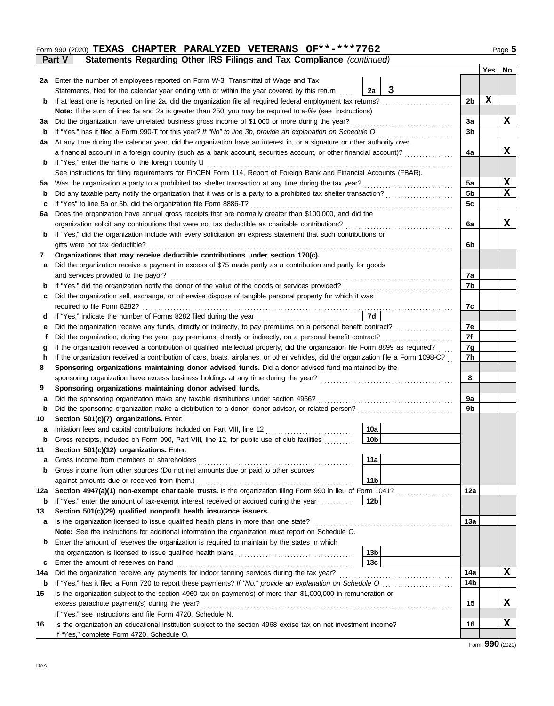### **Part V** Statements Regarding Other IRS Filings and Tax Compliance *(continued)* Form 990 (2020) **TEXAS CHAPTER PARALYZED VETERANS OF\*\*-\*\*\*7762** Page 5

|     |                                                                                                                                    |                        |   |                 | Yes | No          |
|-----|------------------------------------------------------------------------------------------------------------------------------------|------------------------|---|-----------------|-----|-------------|
|     | 2a Enter the number of employees reported on Form W-3, Transmittal of Wage and Tax                                                 |                        |   |                 |     |             |
|     | Statements, filed for the calendar year ending with or within the year covered by this return                                      | 2a                     | 3 |                 |     |             |
| b   | If at least one is reported on line 2a, did the organization file all required federal employment tax returns?                     |                        |   | 2b              | X   |             |
|     | Note: If the sum of lines 1a and 2a is greater than 250, you may be required to e-file (see instructions)                          |                        |   |                 |     |             |
| За  | Did the organization have unrelated business gross income of \$1,000 or more during the year?                                      |                        |   | За              |     | X           |
| b   |                                                                                                                                    |                        |   | 3b              |     |             |
| 4a  | At any time during the calendar year, did the organization have an interest in, or a signature or other authority over,            |                        |   |                 |     |             |
|     | a financial account in a foreign country (such as a bank account, securities account, or other financial account)?                 |                        |   | 4a              |     | X           |
| b   | If "Yes," enter the name of the foreign country <b>u</b>                                                                           |                        |   |                 |     |             |
|     | See instructions for filing requirements for FinCEN Form 114, Report of Foreign Bank and Financial Accounts (FBAR).                |                        |   |                 |     |             |
| 5а  |                                                                                                                                    |                        |   | 5a              |     | $\mathbf x$ |
| b   |                                                                                                                                    |                        |   | 5 <sub>b</sub>  |     | X           |
| c   | If "Yes" to line 5a or 5b, did the organization file Form 8886-T?                                                                  |                        |   | 5c              |     |             |
| 6a  | Does the organization have annual gross receipts that are normally greater than \$100,000, and did the                             |                        |   |                 |     |             |
|     | organization solicit any contributions that were not tax deductible as charitable contributions?                                   |                        |   | 6a              |     | x           |
| b   | If "Yes," did the organization include with every solicitation an express statement that such contributions or                     |                        |   |                 |     |             |
|     | gifts were not tax deductible?                                                                                                     |                        |   | 6b              |     |             |
| 7   | Organizations that may receive deductible contributions under section 170(c).                                                      |                        |   |                 |     |             |
| а   | Did the organization receive a payment in excess of \$75 made partly as a contribution and partly for goods                        |                        |   |                 |     |             |
|     | and services provided to the payor?                                                                                                |                        |   | 7a              |     |             |
| b   |                                                                                                                                    |                        |   | 7b              |     |             |
| c   | Did the organization sell, exchange, or otherwise dispose of tangible personal property for which it was                           |                        |   |                 |     |             |
|     | required to file Form 8282?                                                                                                        |                        |   | 7с              |     |             |
| d   | If "Yes," indicate the number of Forms 8282 filed during the year                                                                  | 7d                     |   |                 |     |             |
| е   |                                                                                                                                    |                        |   | 7e              |     |             |
| t   | Did the organization, during the year, pay premiums, directly or indirectly, on a personal benefit contract?                       |                        |   | 7f              |     |             |
| g   | If the organization received a contribution of qualified intellectual property, did the organization file Form 8899 as required?   |                        |   | 7g              |     |             |
| h   | If the organization received a contribution of cars, boats, airplanes, or other vehicles, did the organization file a Form 1098-C? |                        |   | 7h              |     |             |
| 8   | Sponsoring organizations maintaining donor advised funds. Did a donor advised fund maintained by the                               |                        |   |                 |     |             |
|     |                                                                                                                                    |                        |   | 8               |     |             |
| 9   | Sponsoring organizations maintaining donor advised funds.                                                                          |                        |   |                 |     |             |
| а   | Did the sponsoring organization make any taxable distributions under section 4966?                                                 |                        |   | 9a              |     |             |
| b   |                                                                                                                                    |                        |   | 9b              |     |             |
| 10  | Section 501(c)(7) organizations. Enter:                                                                                            |                        |   |                 |     |             |
| а   | Initiation fees and capital contributions included on Part VIII, line 12                                                           | 10a<br>10 <sub>b</sub> |   |                 |     |             |
| b   | Gross receipts, included on Form 990, Part VIII, line 12, for public use of club facilities                                        |                        |   |                 |     |             |
| 11  | Section 501(c)(12) organizations. Enter:                                                                                           | 11a                    |   |                 |     |             |
| a   |                                                                                                                                    |                        |   |                 |     |             |
| b   | Gross income from other sources (Do not net amounts due or paid to other sources                                                   | 11 <sub>b</sub>        |   |                 |     |             |
| 12a | Section 4947(a)(1) non-exempt charitable trusts. Is the organization filing Form 990 in lieu of Form 1041?                         |                        |   | 12a             |     |             |
| b   | If "Yes," enter the amount of tax-exempt interest received or accrued during the year                                              | 12b                    |   |                 |     |             |
| 13  | Section 501(c)(29) qualified nonprofit health insurance issuers.                                                                   |                        |   |                 |     |             |
| a   |                                                                                                                                    |                        |   | 13а             |     |             |
|     | Note: See the instructions for additional information the organization must report on Schedule O.                                  |                        |   |                 |     |             |
| b   | Enter the amount of reserves the organization is required to maintain by the states in which                                       |                        |   |                 |     |             |
|     |                                                                                                                                    | 13b                    |   |                 |     |             |
| c   |                                                                                                                                    | 13c                    |   |                 |     |             |
| 14a |                                                                                                                                    |                        |   | 14a             |     | X           |
| b   | If "Yes," has it filed a Form 720 to report these payments? If "No," provide an explanation on Schedule O                          |                        |   | 14 <sub>b</sub> |     |             |
| 15  | Is the organization subject to the section 4960 tax on payment(s) of more than \$1,000,000 in remuneration or                      |                        |   |                 |     |             |
|     | excess parachute payment(s) during the year?                                                                                       |                        |   | 15              |     | X           |
|     | If "Yes," see instructions and file Form 4720, Schedule N.                                                                         |                        |   |                 |     |             |
| 16  | Is the organization an educational institution subject to the section 4968 excise tax on net investment income?                    |                        |   | 16              |     | X           |
|     | If "Yes," complete Form 4720, Schedule O.                                                                                          |                        |   |                 |     |             |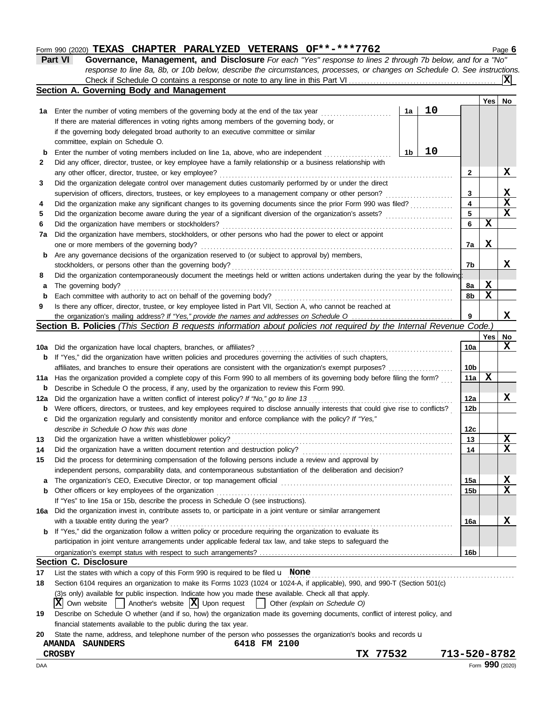#### Form 990 (2020) **TEXAS CHAPTER PARALYZED VETERANS OF\*\*-\*\*\*7762** Page 6 **TEXAS CHAPTER PARALYZED VETERANS OF\*\*-\*\*\*7762**

|                | Section A Coverning Rody and Management                                                                                   |
|----------------|---------------------------------------------------------------------------------------------------------------------------|
|                |                                                                                                                           |
|                | response to line 8a, 8b, or 10b below, describe the circumstances, processes, or changes on Schedule O. See instructions. |
| <b>Part VI</b> | <b>Governance, Management, and Disclosure</b> For each "Yes" response to lines 2 through 7b below, and for a "No"         |

|              | Section A. Governing Body and Management                                                                                                                                                 |    |    |                 |     |         |
|--------------|------------------------------------------------------------------------------------------------------------------------------------------------------------------------------------------|----|----|-----------------|-----|---------|
|              |                                                                                                                                                                                          |    |    |                 | Yes | No      |
| 1a           | Enter the number of voting members of the governing body at the end of the tax year                                                                                                      | 1a | 10 |                 |     |         |
|              | If there are material differences in voting rights among members of the governing body, or                                                                                               |    |    |                 |     |         |
|              | if the governing body delegated broad authority to an executive committee or similar                                                                                                     |    |    |                 |     |         |
|              | committee, explain on Schedule O.                                                                                                                                                        |    |    |                 |     |         |
| b            | Enter the number of voting members included on line 1a, above, who are independent                                                                                                       | 1b | 10 |                 |     |         |
| $\mathbf{2}$ | Did any officer, director, trustee, or key employee have a family relationship or a business relationship with                                                                           |    |    |                 |     |         |
|              | any other officer, director, trustee, or key employee?                                                                                                                                   |    |    | $\mathbf{2}$    |     | X       |
| 3            | Did the organization delegate control over management duties customarily performed by or under the direct                                                                                |    |    |                 |     |         |
|              | supervision of officers, directors, trustees, or key employees to a management company or other person?                                                                                  |    | .  | 3               |     | x       |
| 4            |                                                                                                                                                                                          |    |    | 4               |     | X       |
| 5            |                                                                                                                                                                                          |    |    | 5               |     | X       |
| 6            | Did the organization have members or stockholders?                                                                                                                                       |    |    | 6               | X   |         |
| 7a           | Did the organization have members, stockholders, or other persons who had the power to elect or appoint                                                                                  |    |    |                 |     |         |
|              | one or more members of the governing body?                                                                                                                                               |    |    | 7a              | x   |         |
| b            | Are any governance decisions of the organization reserved to (or subject to approval by) members,                                                                                        |    |    |                 |     |         |
|              | stockholders, or persons other than the governing body?                                                                                                                                  |    |    | 7b              |     | X.      |
| 8            | Did the organization contemporaneously document the meetings held or written actions undertaken during the year by the following:                                                        |    |    |                 |     |         |
| а            | The governing body?                                                                                                                                                                      |    |    | 8a              | x   |         |
| b            | Each committee with authority to act on behalf of the governing body?                                                                                                                    |    |    | 8b              | x   |         |
| 9            | Is there any officer, director, trustee, or key employee listed in Part VII, Section A, who cannot be reached at                                                                         |    |    |                 |     |         |
|              | Section B. Policies (This Section B requests information about policies not required by the Internal Revenue Code.)                                                                      |    |    | 9               |     | X       |
|              |                                                                                                                                                                                          |    |    |                 |     |         |
|              |                                                                                                                                                                                          |    |    | 10a             | Yes | No<br>x |
|              | 10a Did the organization have local chapters, branches, or affiliates?<br>If "Yes," did the organization have written policies and procedures governing the activities of such chapters, |    |    |                 |     |         |
| b            | affiliates, and branches to ensure their operations are consistent with the organization's exempt purposes?                                                                              |    |    | 10 <sub>b</sub> |     |         |
|              | Has the organization provided a complete copy of this Form 990 to all members of its governing body before filing the form?                                                              |    |    | 11a             | x   |         |
| 11a          | Describe in Schedule O the process, if any, used by the organization to review this Form 990.                                                                                            |    |    |                 |     |         |
| b            | Did the organization have a written conflict of interest policy? If "No," go to line 13                                                                                                  |    |    | 12a             |     | X.      |
| 12a          | Were officers, directors, or trustees, and key employees required to disclose annually interests that could give rise to conflicts?                                                      |    |    | 12b             |     |         |
| b            | Did the organization regularly and consistently monitor and enforce compliance with the policy? If "Yes,"                                                                                |    |    |                 |     |         |
| c            | describe in Schedule O how this was done                                                                                                                                                 |    |    | 12c             |     |         |
| 13           | Did the organization have a written whistleblower policy?                                                                                                                                |    |    | 13              |     | X       |
| 14           | Did the organization have a written document retention and destruction policy?                                                                                                           |    |    | 14              |     | X       |
| 15           | Did the process for determining compensation of the following persons include a review and approval by                                                                                   |    |    |                 |     |         |
|              | independent persons, comparability data, and contemporaneous substantiation of the deliberation and decision?                                                                            |    |    |                 |     |         |
| a            |                                                                                                                                                                                          |    |    | 15a             |     | X       |
| b            | Other officers or key employees of the organization                                                                                                                                      |    |    | 15b             |     | X.      |
|              | If "Yes" to line 15a or 15b, describe the process in Schedule O (see instructions).                                                                                                      |    |    |                 |     |         |
| 16a          | Did the organization invest in, contribute assets to, or participate in a joint venture or similar arrangement                                                                           |    |    |                 |     |         |
|              | with a taxable entity during the year?                                                                                                                                                   |    |    | 16a             |     | X       |
| b            | If "Yes," did the organization follow a written policy or procedure requiring the organization to evaluate its                                                                           |    |    |                 |     |         |
|              | participation in joint venture arrangements under applicable federal tax law, and take steps to safeguard the                                                                            |    |    |                 |     |         |
|              |                                                                                                                                                                                          |    |    | 16 <sub>b</sub> |     |         |
|              | <b>Section C. Disclosure</b>                                                                                                                                                             |    |    |                 |     |         |
| 17           | List the states with which a copy of this Form 990 is required to be filed $\mathbf u$ None                                                                                              |    |    |                 |     |         |
| 18           | Section 6104 requires an organization to make its Forms 1023 (1024 or 1024-A, if applicable), 990, and 990-T (Section 501(c)                                                             |    |    |                 |     |         |
|              | (3)s only) available for public inspection. Indicate how you made these available. Check all that apply.                                                                                 |    |    |                 |     |         |
|              | $ \mathbf{X} $ Own website $ \cdot $ Another's website $ \mathbf{X} $ Upon request $ \cdot $ Other (explain on Schedule O)                                                               |    |    |                 |     |         |
| 19           | Describe on Schedule O whether (and if so, how) the organization made its governing documents, conflict of interest policy, and                                                          |    |    |                 |     |         |
|              | financial statements available to the public during the tax year.                                                                                                                        |    |    |                 |     |         |
| 20           | State the name, address, and telephone number of the person who possesses the organization's books and records u                                                                         |    |    |                 |     |         |
|              | 6418 FM 2100<br><b>AMANDA SAUNDERS</b>                                                                                                                                                   |    |    |                 |     |         |
|              | TX 77532<br><b>CROSBY</b>                                                                                                                                                                |    |    | 713-520-8782    |     |         |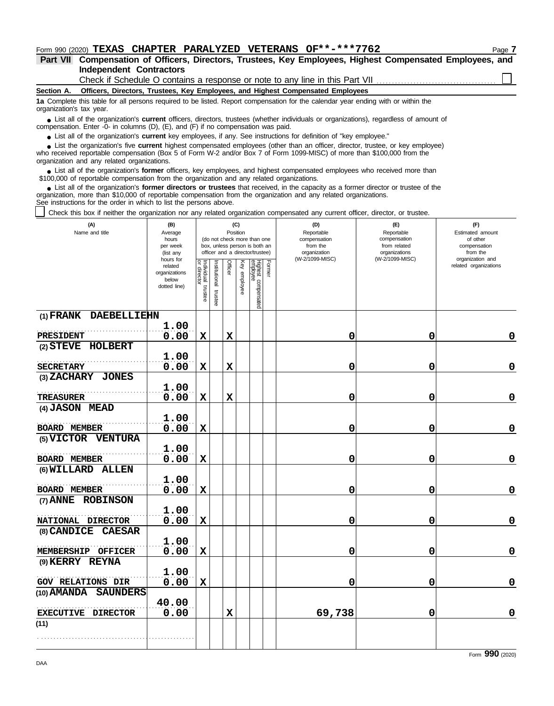## Form 990 (2020) **TEXAS CHAPTER PARALYZED VETERANS OF\*\*-\*\*\*7762** Page 7

**Independent Contractors Part VII Compensation of Officers, Directors, Trustees, Key Employees, Highest Compensated Employees, and**

Check if Schedule O contains a response or note to any line in this Part VII

**Section A. Officers, Directors, Trustees, Key Employees, and Highest Compensated Employees**

**1a** Complete this table for all persons required to be listed. Report compensation for the calendar year ending with or within the organization's tax year.

■ List all of the organization's **current** officers, directors, trustees (whether individuals or organizations), regardless of amount of annount of annount of the companies (D) (E) and (E) if no companiestion was paid compensation. Enter -0- in columns (D), (E), and (F) if no compensation was paid.

● List all of the organization's **current** key employees, if any. See instructions for definition of "key employee."

who received reportable compensation (Box 5 of Form W-2 and/or Box 7 of Form 1099-MISC) of more than \$100,000 from the organization and any related organizations. ■ List the organization's five **current** highest compensated employees (other than an officer, director, trustee, or key employee)<br> **•** Peceived reportable compensation (Box 5 of Form W-2 and/or Box 7 of Form 1000-MISC) o

■ List all of the organization's **former** officers, key employees, and highest compensated employees who received more than<br>00,000 of reportable compensation from the organization and any related organizations \$100,000 of reportable compensation from the organization and any related organizations.

■ List all of the organization's **former directors or trustees** that received, in the capacity as a former director or trustee of the prization more than \$10,000 of reportable compensation from the organization and any re organization, more than \$10,000 of reportable compensation from the organization and any related organizations. See instructions for the order in which to list the persons above.

Check this box if neither the organization nor any related organization compensated any current officer, director, or trustee.

| (A)<br>Name and title        | (B)<br>Average<br>hours<br>per week<br>(list any               |                                   |                       | Position    | (C)          | (do not check more than one<br>box, unless person is both an<br>officer and a director/trustee) |        | (D)<br>Reportable<br>compensation<br>from the<br>organization | (E)<br>Reportable<br>compensation<br>from related<br>organizations<br>(W-2/1099-MISC) | (F)<br>Estimated amount<br>of other<br>compensation<br>from the<br>organization and |
|------------------------------|----------------------------------------------------------------|-----------------------------------|-----------------------|-------------|--------------|-------------------------------------------------------------------------------------------------|--------|---------------------------------------------------------------|---------------------------------------------------------------------------------------|-------------------------------------------------------------------------------------|
|                              | hours for<br>related<br>organizations<br>below<br>dotted line) | Individual trustee<br>or director | Institutional trustee | Officer     | Key employee | Highest compensated<br>employee                                                                 | Former | (W-2/1099-MISC)                                               |                                                                                       | related organizations                                                               |
| (1) FRANK DAEBELLIEHN        |                                                                |                                   |                       |             |              |                                                                                                 |        |                                                               |                                                                                       |                                                                                     |
| <b>PRESIDENT</b>             | 1.00<br>0.00                                                   | $\mathbf x$                       |                       | $\mathbf x$ |              |                                                                                                 |        | 0                                                             | 0                                                                                     | 0                                                                                   |
| (2) STEVE HOLBERT            |                                                                |                                   |                       |             |              |                                                                                                 |        |                                                               |                                                                                       |                                                                                     |
| <b>SECRETARY</b>             | 1.00<br>0.00                                                   | $\mathbf x$                       |                       | $\mathbf x$ |              |                                                                                                 |        | 0                                                             | 0                                                                                     | $\mathbf 0$                                                                         |
| (3) ZACHARY JONES            |                                                                |                                   |                       |             |              |                                                                                                 |        |                                                               |                                                                                       |                                                                                     |
|                              | 1.00                                                           |                                   |                       |             |              |                                                                                                 |        |                                                               |                                                                                       |                                                                                     |
| <b>TREASURER</b>             | 0.00                                                           | X                                 |                       | $\mathbf x$ |              |                                                                                                 |        | 0                                                             | 0                                                                                     | $\mathbf 0$                                                                         |
| (4) JASON MEAD               |                                                                |                                   |                       |             |              |                                                                                                 |        |                                                               |                                                                                       |                                                                                     |
| <b>BOARD MEMBER</b>          | 1.00<br>0.00                                                   | $\mathbf x$                       |                       |             |              |                                                                                                 |        | 0                                                             | 0                                                                                     | $\mathbf 0$                                                                         |
| (5) VICTOR VENTURA           |                                                                |                                   |                       |             |              |                                                                                                 |        |                                                               |                                                                                       |                                                                                     |
|                              | 1.00                                                           |                                   |                       |             |              |                                                                                                 |        |                                                               |                                                                                       |                                                                                     |
| <b>BOARD MEMBER</b>          | 0.00                                                           | $\mathbf x$                       |                       |             |              |                                                                                                 |        | 0                                                             | 0                                                                                     | $\mathbf 0$                                                                         |
| (6) WILLARD ALLEN            |                                                                |                                   |                       |             |              |                                                                                                 |        |                                                               |                                                                                       |                                                                                     |
| <b>BOARD MEMBER</b>          | 1.00<br>0.00                                                   | $\mathbf x$                       |                       |             |              |                                                                                                 |        | 0                                                             | 0                                                                                     | $\mathbf 0$                                                                         |
| (7) ANNE ROBINSON            |                                                                |                                   |                       |             |              |                                                                                                 |        |                                                               |                                                                                       |                                                                                     |
|                              | 1.00                                                           |                                   |                       |             |              |                                                                                                 |        |                                                               |                                                                                       |                                                                                     |
| NATIONAL DIRECTOR            | 0.00                                                           | $\mathbf x$                       |                       |             |              |                                                                                                 |        | 0                                                             | 0                                                                                     | $\mathbf 0$                                                                         |
| (8) CANDICE<br><b>CAESAR</b> | 1.00                                                           |                                   |                       |             |              |                                                                                                 |        |                                                               |                                                                                       |                                                                                     |
| MEMBERSHIP<br><b>OFFICER</b> | 0.00                                                           | $\mathbf x$                       |                       |             |              |                                                                                                 |        | 0                                                             | 0                                                                                     | $\mathbf 0$                                                                         |
| (9) KERRY REYNA              |                                                                |                                   |                       |             |              |                                                                                                 |        |                                                               |                                                                                       |                                                                                     |
|                              | 1.00                                                           |                                   |                       |             |              |                                                                                                 |        |                                                               |                                                                                       |                                                                                     |
| <b>GOV RELATIONS DIR</b>     | 0.00                                                           | $\mathbf x$                       |                       |             |              |                                                                                                 |        | 0                                                             | $\mathbf 0$                                                                           | $\mathbf 0$                                                                         |
| (10) AMANDA SAUNDERS         |                                                                |                                   |                       |             |              |                                                                                                 |        |                                                               |                                                                                       |                                                                                     |
| EXECUTIVE DIRECTOR           | 40.00<br>0.00                                                  |                                   |                       | $\mathbf x$ |              |                                                                                                 |        | 69,738                                                        | 0                                                                                     | $\mathbf 0$                                                                         |
| (11)                         |                                                                |                                   |                       |             |              |                                                                                                 |        |                                                               |                                                                                       |                                                                                     |
|                              |                                                                |                                   |                       |             |              |                                                                                                 |        |                                                               |                                                                                       |                                                                                     |

Form **990** (2020)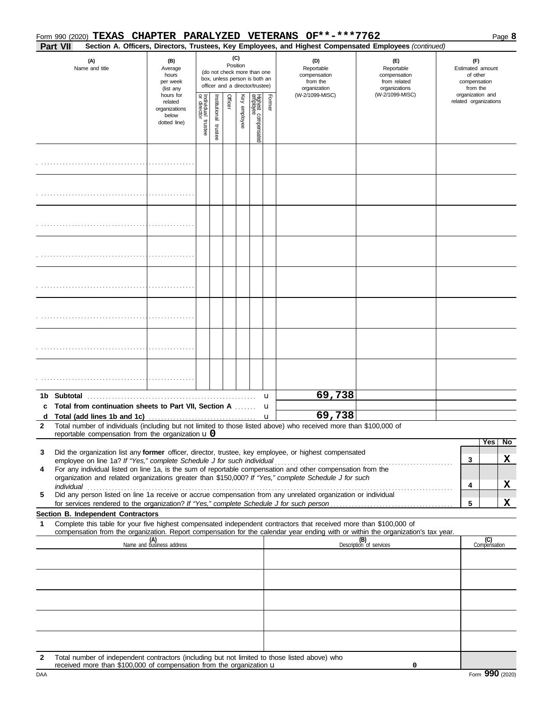|              | Part VII |                                                                      |                                                                |                                      |                      |         |                 |                                                                                                 |        | Form 990 (2020) TEXAS CHAPTER PARALYZED VETERANS OF**-***7762                                                                                                                                                                                                                                                                                 | Section A. Officers, Directors, Trustees, Key Employees, and Highest Compensated Employees (continued)                                                                                      |                                                                 |                       | Page 8       |
|--------------|----------|----------------------------------------------------------------------|----------------------------------------------------------------|--------------------------------------|----------------------|---------|-----------------|-------------------------------------------------------------------------------------------------|--------|-----------------------------------------------------------------------------------------------------------------------------------------------------------------------------------------------------------------------------------------------------------------------------------------------------------------------------------------------|---------------------------------------------------------------------------------------------------------------------------------------------------------------------------------------------|-----------------------------------------------------------------|-----------------------|--------------|
|              |          | (A)<br>Name and title                                                | (B)<br>Average<br>hours<br>per week<br>(list any               |                                      |                      |         | (C)<br>Position | (do not check more than one<br>box, unless person is both an<br>officer and a director/trustee) |        | (D)<br>Reportable<br>compensation<br>from the<br>organization                                                                                                                                                                                                                                                                                 | (E)<br>Reportable<br>compensation<br>from related<br>organizations                                                                                                                          | (F)<br>Estimated amount<br>of other<br>compensation<br>from the |                       |              |
|              |          |                                                                      | hours for<br>related<br>organizations<br>below<br>dotted line) | Individual<br>or director<br>trustee | nstitutional trustee | Officer | Key employee    | Highest compensated<br>employee                                                                 | Former | (W-2/1099-MISC)                                                                                                                                                                                                                                                                                                                               | (W-2/1099-MISC)                                                                                                                                                                             | organization and                                                | related organizations |              |
|              |          |                                                                      |                                                                |                                      |                      |         |                 |                                                                                                 |        |                                                                                                                                                                                                                                                                                                                                               |                                                                                                                                                                                             |                                                                 |                       |              |
|              |          |                                                                      |                                                                |                                      |                      |         |                 |                                                                                                 |        |                                                                                                                                                                                                                                                                                                                                               |                                                                                                                                                                                             |                                                                 |                       |              |
|              |          |                                                                      |                                                                |                                      |                      |         |                 |                                                                                                 |        |                                                                                                                                                                                                                                                                                                                                               |                                                                                                                                                                                             |                                                                 |                       |              |
|              |          |                                                                      |                                                                |                                      |                      |         |                 |                                                                                                 |        |                                                                                                                                                                                                                                                                                                                                               |                                                                                                                                                                                             |                                                                 |                       |              |
|              |          |                                                                      |                                                                |                                      |                      |         |                 |                                                                                                 |        |                                                                                                                                                                                                                                                                                                                                               |                                                                                                                                                                                             |                                                                 |                       |              |
|              |          |                                                                      |                                                                |                                      |                      |         |                 |                                                                                                 |        |                                                                                                                                                                                                                                                                                                                                               |                                                                                                                                                                                             |                                                                 |                       |              |
|              |          |                                                                      |                                                                |                                      |                      |         |                 |                                                                                                 |        |                                                                                                                                                                                                                                                                                                                                               |                                                                                                                                                                                             |                                                                 |                       |              |
|              |          |                                                                      |                                                                |                                      |                      |         |                 |                                                                                                 |        |                                                                                                                                                                                                                                                                                                                                               |                                                                                                                                                                                             |                                                                 |                       |              |
| c            |          | Total from continuation sheets to Part VII, Section A                |                                                                |                                      |                      |         |                 |                                                                                                 | u<br>u | 69,738                                                                                                                                                                                                                                                                                                                                        |                                                                                                                                                                                             |                                                                 |                       |              |
| $\mathbf{2}$ |          | reportable compensation from the organization $\mathbf{u}$ 0         |                                                                |                                      |                      |         |                 |                                                                                                 |        | 69,738<br>Total number of individuals (including but not limited to those listed above) who received more than \$100,000 of                                                                                                                                                                                                                   |                                                                                                                                                                                             |                                                                 |                       |              |
| 3<br>4<br>5  |          |                                                                      |                                                                |                                      |                      |         |                 |                                                                                                 |        | Did the organization list any former officer, director, trustee, key employee, or highest compensated<br>organization and related organizations greater than \$150,000? If "Yes," complete Schedule J for such<br>individual<br>Did any person listed on line 1a receive or accrue compensation from any unrelated organization or individual | employee on line 1a? If "Yes," complete Schedule J for such individual contract contract to the temployee on line 1a, is the sum of reportable compensation and other compensation from the | 3<br>4                                                          | Yes                   | No<br>X<br>X |
|              |          | Section B. Independent Contractors                                   |                                                                |                                      |                      |         |                 |                                                                                                 |        |                                                                                                                                                                                                                                                                                                                                               |                                                                                                                                                                                             | 5                                                               |                       | X            |
| 1            |          |                                                                      |                                                                |                                      |                      |         |                 |                                                                                                 |        | Complete this table for your five highest compensated independent contractors that received more than \$100,000 of                                                                                                                                                                                                                            | compensation from the organization. Report compensation for the calendar year ending with or within the organization's tax year.                                                            |                                                                 |                       |              |
|              |          |                                                                      | (A)<br>Name and business address                               |                                      |                      |         |                 |                                                                                                 |        |                                                                                                                                                                                                                                                                                                                                               | (B)<br>Description of services                                                                                                                                                              |                                                                 | (C)<br>Compensation   |              |
|              |          |                                                                      |                                                                |                                      |                      |         |                 |                                                                                                 |        |                                                                                                                                                                                                                                                                                                                                               |                                                                                                                                                                                             |                                                                 |                       |              |
|              |          |                                                                      |                                                                |                                      |                      |         |                 |                                                                                                 |        |                                                                                                                                                                                                                                                                                                                                               |                                                                                                                                                                                             |                                                                 |                       |              |
|              |          |                                                                      |                                                                |                                      |                      |         |                 |                                                                                                 |        |                                                                                                                                                                                                                                                                                                                                               |                                                                                                                                                                                             |                                                                 |                       |              |
| 2            |          | received more than \$100,000 of compensation from the organization u |                                                                |                                      |                      |         |                 |                                                                                                 |        | Total number of independent contractors (including but not limited to those listed above) who                                                                                                                                                                                                                                                 | 0                                                                                                                                                                                           |                                                                 |                       |              |

**0**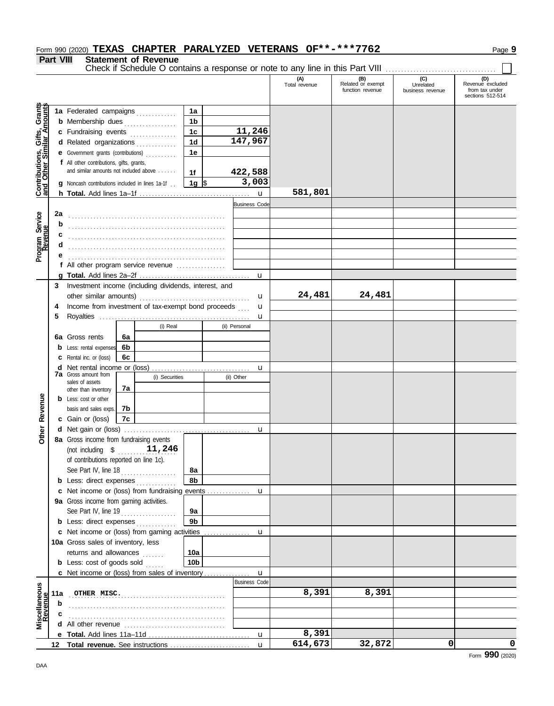## Form 990 (2020) **TEXAS CHAPTER PARALYZED VETERANS OF\*\*-\*\*\*7762** Page 9

**Part VIII Statement of Revenue**

Check if Schedule O contains a response or note to any line in this Part VIII ................................

|                                                                  |     |                                                                           |    |                |                |                      |              | (A)<br>Total revenue | (B)<br>Related or exempt<br>function revenue | (C)<br>Unrelated<br>business revenue | (D)<br>Revenue excluded<br>from tax under<br>sections 512-514 |
|------------------------------------------------------------------|-----|---------------------------------------------------------------------------|----|----------------|----------------|----------------------|--------------|----------------------|----------------------------------------------|--------------------------------------|---------------------------------------------------------------|
|                                                                  |     | 1a Federated campaigns                                                    |    |                | 1a             |                      |              |                      |                                              |                                      |                                                               |
| <b>Contributions, Gifts, Grants</b><br>and Other Similar Amounts |     | <b>b</b> Membership dues                                                  |    |                | 1 <sub>b</sub> |                      |              |                      |                                              |                                      |                                                               |
|                                                                  |     | c Fundraising events                                                      |    |                | 1 <sub>c</sub> |                      | 11,246       |                      |                                              |                                      |                                                               |
|                                                                  |     | d Related organizations                                                   |    | .              | 1 <sub>d</sub> | 147,967              |              |                      |                                              |                                      |                                                               |
|                                                                  |     | Government grants (contributions)                                         |    |                | 1e             |                      |              |                      |                                              |                                      |                                                               |
|                                                                  |     | f All other contributions, gifts, grants,                                 |    |                |                |                      |              |                      |                                              |                                      |                                                               |
|                                                                  |     | and similar amounts not included above                                    |    |                | 1f             | 422,588              |              |                      |                                              |                                      |                                                               |
|                                                                  |     |                                                                           |    |                |                |                      | 3,003        |                      |                                              |                                      |                                                               |
|                                                                  |     | <b>q</b> Noncash contributions included in lines 1a-1f                    |    |                | 1g $\sqrt{3}$  |                      |              | 581,801              |                                              |                                      |                                                               |
|                                                                  |     |                                                                           |    |                |                |                      | $\mathbf u$  |                      |                                              |                                      |                                                               |
|                                                                  |     |                                                                           |    |                |                | <b>Business Code</b> |              |                      |                                              |                                      |                                                               |
|                                                                  | 2a  |                                                                           |    |                |                |                      |              |                      |                                              |                                      |                                                               |
|                                                                  | b   |                                                                           |    |                |                |                      |              |                      |                                              |                                      |                                                               |
|                                                                  | c   |                                                                           |    |                |                |                      |              |                      |                                              |                                      |                                                               |
| Program Service<br>Revenue                                       | d   |                                                                           |    |                |                |                      |              |                      |                                              |                                      |                                                               |
|                                                                  |     |                                                                           |    |                |                |                      |              |                      |                                              |                                      |                                                               |
|                                                                  |     | f All other program service revenue $\ldots$                              |    |                |                |                      |              |                      |                                              |                                      |                                                               |
|                                                                  | a   |                                                                           |    |                |                |                      | $\mathbf u$  |                      |                                              |                                      |                                                               |
|                                                                  | 3   | Investment income (including dividends, interest, and                     |    |                |                |                      |              |                      |                                              |                                      |                                                               |
|                                                                  |     | other similar amounts)                                                    |    |                |                |                      | u            | 24,481               | 24,481                                       |                                      |                                                               |
|                                                                  | 4   | Income from investment of tax-exempt bond proceeds                        |    |                |                |                      | u            |                      |                                              |                                      |                                                               |
|                                                                  | 5   |                                                                           |    |                |                |                      | u            |                      |                                              |                                      |                                                               |
|                                                                  |     |                                                                           |    | (i) Real       |                | (ii) Personal        |              |                      |                                              |                                      |                                                               |
|                                                                  | 6a  | Gross rents                                                               | 6a |                |                |                      |              |                      |                                              |                                      |                                                               |
|                                                                  | b   | Less: rental expenses                                                     | 6b |                |                |                      |              |                      |                                              |                                      |                                                               |
|                                                                  |     | Rental inc. or (loss)                                                     | 6c |                |                |                      |              |                      |                                              |                                      |                                                               |
|                                                                  | d   | <b>7a</b> Gross amount from                                               |    |                |                |                      | u            |                      |                                              |                                      |                                                               |
|                                                                  |     | sales of assets                                                           |    | (i) Securities |                | (ii) Other           |              |                      |                                              |                                      |                                                               |
|                                                                  |     | other than inventory                                                      | 7a |                |                |                      |              |                      |                                              |                                      |                                                               |
|                                                                  | b   | Less: cost or other                                                       |    |                |                |                      |              |                      |                                              |                                      |                                                               |
| Revenue                                                          |     | basis and sales exps.                                                     | 7b |                |                |                      |              |                      |                                              |                                      |                                                               |
|                                                                  |     | c Gain or (loss)                                                          | 7c |                |                |                      |              |                      |                                              |                                      |                                                               |
| <b>Other</b>                                                     |     |                                                                           |    |                |                |                      | u            |                      |                                              |                                      |                                                               |
|                                                                  |     | 8a Gross income from fundraising events                                   |    |                |                |                      |              |                      |                                              |                                      |                                                               |
|                                                                  |     | (not including $$$ 11, 246                                                |    |                |                |                      |              |                      |                                              |                                      |                                                               |
|                                                                  |     | of contributions reported on line 1c).                                    |    |                |                |                      |              |                      |                                              |                                      |                                                               |
|                                                                  |     | See Part IV, line 18                                                      |    |                | 8а             |                      |              |                      |                                              |                                      |                                                               |
|                                                                  |     | <b>b</b> Less: direct expenses                                            |    |                | 8b             |                      |              |                      |                                              |                                      |                                                               |
|                                                                  |     | c Net income or (loss) from fundraising events                            |    |                |                |                      | u            |                      |                                              |                                      |                                                               |
|                                                                  |     | 9a Gross income from gaming activities.                                   |    |                |                |                      |              |                      |                                              |                                      |                                                               |
|                                                                  |     | See Part IV, line 19                                                      |    |                | 9а             |                      |              |                      |                                              |                                      |                                                               |
|                                                                  |     | <b>b</b> Less: direct expenses <i>minimum</i>                             |    |                | 9 <sub>b</sub> |                      |              |                      |                                              |                                      |                                                               |
|                                                                  |     | c Net income or (loss) from gaming activities                             |    |                |                |                      | u            |                      |                                              |                                      |                                                               |
|                                                                  |     | 10a Gross sales of inventory, less                                        |    |                |                |                      |              |                      |                                              |                                      |                                                               |
|                                                                  |     | returns and allowances                                                    |    | .              | 10a            |                      |              |                      |                                              |                                      |                                                               |
|                                                                  |     | <b>b</b> Less: $cost$ of goods sold $\ldots$                              |    |                | 10b            |                      |              |                      |                                              |                                      |                                                               |
|                                                                  |     | <b>c</b> Net income or (loss) from sales of inventory                     |    |                |                |                      | $\mathbf{u}$ |                      |                                              |                                      |                                                               |
|                                                                  |     |                                                                           |    |                |                | <b>Business Code</b> |              |                      |                                              |                                      |                                                               |
|                                                                  | 11a | OTHER MISC.                                                               |    |                |                |                      |              | 8,391                | 8,391                                        |                                      |                                                               |
|                                                                  | b   |                                                                           |    |                |                |                      |              |                      |                                              |                                      |                                                               |
| Miscellaneous<br>Revenue                                         |     |                                                                           |    |                |                |                      |              |                      |                                              |                                      |                                                               |
|                                                                  |     | All other revenue entertainment and the continuum and all other revenues. |    |                |                |                      |              |                      |                                              |                                      |                                                               |
|                                                                  |     |                                                                           |    |                |                |                      | u            | 8,391                |                                              |                                      |                                                               |
|                                                                  | 12  |                                                                           |    |                |                |                      | $\mathbf{u}$ | 614,673              | 32,872                                       | 0                                    | 0                                                             |
|                                                                  |     |                                                                           |    |                |                |                      |              |                      |                                              |                                      | Form 990 (2020)                                               |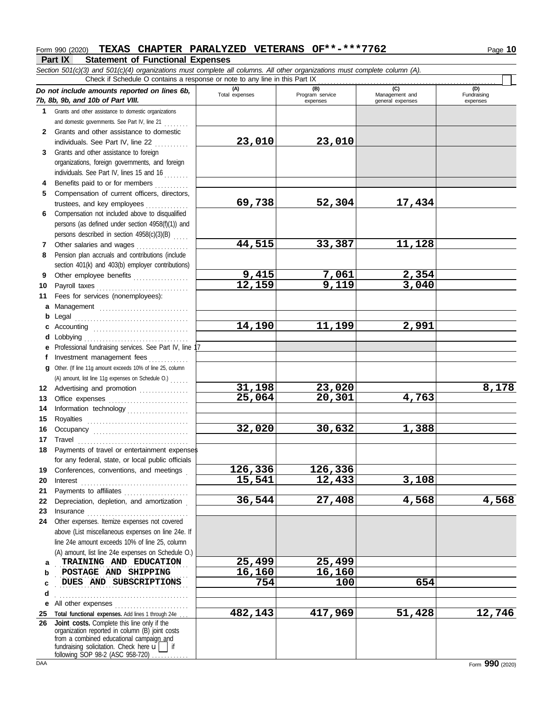## **Part IX Statement of Functional Expenses** Form 990 (2020) **TEXAS CHAPTER PARALYZED VETERANS OF\*\*-\*\*\*7762** Page 10

*Section 501(c)(3) and 501(c)(4) organizations must complete all columns. All other organizations must complete column (A).* **(A) (B) (C) (D)** Total expenses **Program service Program service Program** service **Program** Management and expenses | general expenses Fundraising expenses Check if Schedule O contains a response or note to any line in this Part IX . . . . . . . . . . . . . . . . . . . . . . . . . . . . . . . . . . . . . . . . . . . . . . . . . . . . . . . . . .

|              | Do not include amounts reported on lines 6b,                                                | (A)<br>Total expenses | (B)<br>Program service | (C)<br>Management and | (D)<br>Fundraising |
|--------------|---------------------------------------------------------------------------------------------|-----------------------|------------------------|-----------------------|--------------------|
|              | 7b, 8b, 9b, and 10b of Part VIII.                                                           |                       | expenses               | general expenses      | expenses           |
| 1.           | Grants and other assistance to domestic organizations                                       |                       |                        |                       |                    |
|              | and domestic governments. See Part IV, line 21                                              |                       |                        |                       |                    |
| $\mathbf{2}$ | Grants and other assistance to domestic                                                     |                       | 23,010                 |                       |                    |
|              | individuals. See Part IV, line 22<br>Grants and other assistance to foreign                 | 23,010                |                        |                       |                    |
| 3            | organizations, foreign governments, and foreign                                             |                       |                        |                       |                    |
|              | individuals. See Part IV, lines 15 and 16                                                   |                       |                        |                       |                    |
| 4            | Benefits paid to or for members                                                             |                       |                        |                       |                    |
| 5            | .<br>Compensation of current officers, directors,                                           |                       |                        |                       |                    |
|              |                                                                                             | 69,738                | 52,304                 | 17,434                |                    |
| 6            | Compensation not included above to disqualified                                             |                       |                        |                       |                    |
|              | persons (as defined under section 4958(f)(1)) and                                           |                       |                        |                       |                    |
|              | persons described in section 4958(c)(3)(B)                                                  |                       |                        |                       |                    |
| 7            | Other salaries and wages                                                                    | 44,515                | 33,387                 | 11,128                |                    |
| 8            | Pension plan accruals and contributions (include                                            |                       |                        |                       |                    |
|              | section 401(k) and 403(b) employer contributions)                                           |                       |                        |                       |                    |
| 9            | Other employee benefits                                                                     | <u>9,415</u>          | 7,061                  | 2,354                 |                    |
| 10           | Payroll taxes                                                                               | 12,159                | 9,119                  | 3,040                 |                    |
| 11           | Fees for services (nonemployees):                                                           |                       |                        |                       |                    |
| a            | Management                                                                                  |                       |                        |                       |                    |
| b            | Legal                                                                                       |                       |                        |                       |                    |
| c            |                                                                                             | 14,190                | 11,199                 | 2,991                 |                    |
| d            | Lobbying                                                                                    |                       |                        |                       |                    |
| е            | Professional fundraising services. See Part IV, line                                        |                       |                        |                       |                    |
| f            | Investment management fees<br>.                                                             |                       |                        |                       |                    |
| a            | Other. (If line 11g amount exceeds 10% of line 25, column                                   |                       |                        |                       |                    |
|              | (A) amount, list line 11g expenses on Schedule O.)                                          |                       |                        |                       |                    |
| 12           | Advertising and promotion                                                                   | 31,198                | 23,020                 |                       | 8,178              |
| 13           |                                                                                             | 25,064                | 20,301                 | 4,763                 |                    |
| 14           | Information technology                                                                      |                       |                        |                       |                    |
| 15           |                                                                                             |                       |                        |                       |                    |
| 16           | Occupancy                                                                                   | 32,020                | 30,632                 | 1,388                 |                    |
| 17           | Travel                                                                                      |                       |                        |                       |                    |
| 18           | Payments of travel or entertainment expenses                                                |                       |                        |                       |                    |
|              | for any federal, state, or local public officials                                           | 126,336               |                        |                       |                    |
|              | 19 Conferences, conventions, and meetings                                                   |                       | 126,336                |                       |                    |
| 20           |                                                                                             | 15,541                | 12,433                 | 3,108                 |                    |
| 21<br>22     | Payments to affiliates<br>Depreciation, depletion, and amortization                         | 36,544                | 27,408                 | 4,568                 | 4,568              |
| 23           |                                                                                             |                       |                        |                       |                    |
| 24           | Other expenses. Itemize expenses not covered                                                |                       |                        |                       |                    |
|              | above (List miscellaneous expenses on line 24e. If                                          |                       |                        |                       |                    |
|              | line 24e amount exceeds 10% of line 25, column                                              |                       |                        |                       |                    |
|              | (A) amount, list line 24e expenses on Schedule O.)                                          |                       |                        |                       |                    |
| a            | TRAINING AND EDUCATION                                                                      | 25,499                | 25,499                 |                       |                    |
| b            | POSTAGE AND SHIPPING                                                                        | 16,160                | 16,160                 |                       |                    |
| C            | DUES AND SUBSCRIPTIONS                                                                      | 754                   | 100                    | 654                   |                    |
| d            |                                                                                             |                       |                        |                       |                    |
| е            | All other expenses                                                                          |                       |                        |                       |                    |
| 25           | Total functional expenses. Add lines 1 through 24e                                          | 482,143               | 417,969                | 51,428                | 12,746             |
| 26           | Joint costs. Complete this line only if the                                                 |                       |                        |                       |                    |
|              | organization reported in column (B) joint costs<br>from a combined educational campaign and |                       |                        |                       |                    |
|              | fundraising solicitation. Check here $\mathbf{u}$   if                                      |                       |                        |                       |                    |
|              | following SOP 98-2 (ASC 958-720)                                                            |                       |                        |                       |                    |

DAA **Form 990** (2020)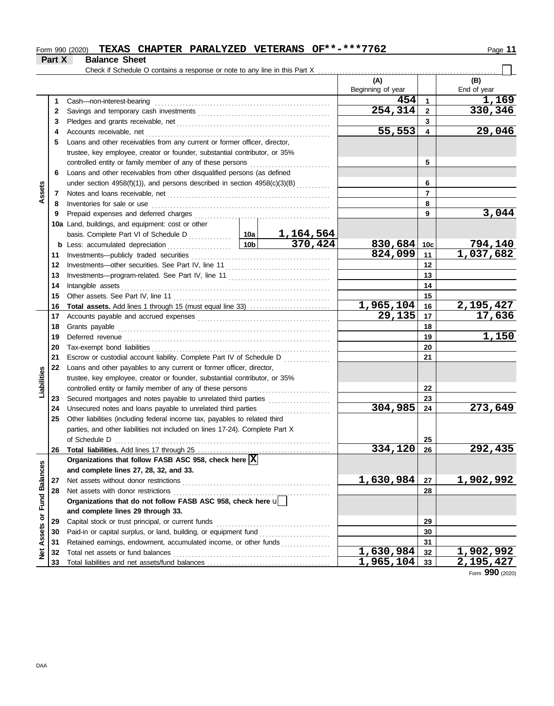## Form 990 (2020) **TEXAS CHAPTER PARALYZED VETERANS OF\*\*-\*\*\*7762** Page 11

## **Part X Balance Sheet**

Check if Schedule O contains a response or note to any line in this Part X . . . . . . . . . . . . . . . . . . . . . . . . . . . . . . . . . . . . . . . . . . . . . . . . . . . . . . . . . .

|                         |    |                                                                                 |                 |                             | (A)                    |                      | (B)                           |
|-------------------------|----|---------------------------------------------------------------------------------|-----------------|-----------------------------|------------------------|----------------------|-------------------------------|
|                         |    |                                                                                 |                 |                             | Beginning of year      |                      | End of year                   |
|                         | 1  | Cash-non-interest-bearing                                                       |                 |                             | 454                    | $\blacktriangleleft$ | <u>1,169</u>                  |
|                         | 2  |                                                                                 |                 |                             | 254,314                | $\mathbf{2}$         | 330,346                       |
|                         | 3  |                                                                                 |                 |                             |                        | 3                    |                               |
|                         | 4  | Accounts receivable, net                                                        |                 |                             | 55,553                 | 4                    | 29,046                        |
|                         | 5  | Loans and other receivables from any current or former officer, director,       |                 |                             |                        |                      |                               |
|                         |    | trustee, key employee, creator or founder, substantial contributor, or 35%      |                 |                             |                        |                      |                               |
|                         |    | controlled entity or family member of any of these persons <i>minimizoronal</i> |                 |                             |                        | 5                    |                               |
|                         | 6  | Loans and other receivables from other disqualified persons (as defined         |                 |                             |                        |                      |                               |
|                         |    | under section 4958(f)(1)), and persons described in section 4958(c)(3)(B)       |                 |                             |                        | 6                    |                               |
| Assets                  | 7  | Notes and loans receivable, net                                                 |                 |                             |                        | $\overline{7}$       |                               |
|                         | 8  | Inventories for sale or use                                                     |                 |                             |                        | 8                    |                               |
|                         | 9  | Prepaid expenses and deferred charges                                           |                 |                             |                        | 9                    | 3,044                         |
|                         |    | 10a Land, buildings, and equipment: cost or other                               |                 |                             |                        |                      |                               |
|                         |    |                                                                                 |                 |                             |                        |                      |                               |
|                         |    | <b>b</b> Less: accumulated depreciation                                         | 10 <sub>b</sub> | $\frac{1,164,564}{370,424}$ | $830,684$ 10c          |                      | <u>794,140</u>                |
|                         | 11 |                                                                                 |                 |                             | 824,099                | 11                   | 1,037,682                     |
|                         | 12 |                                                                                 |                 |                             |                        | $12 \,$              |                               |
|                         | 13 |                                                                                 |                 |                             |                        | 13                   |                               |
|                         | 14 | Intangible assets                                                               |                 |                             |                        | 14                   |                               |
|                         | 15 |                                                                                 |                 |                             |                        | 15                   |                               |
|                         | 16 | <b>Total assets.</b> Add lines 1 through 15 (must equal line 33)                |                 | <u>1,965,104</u>            | 16                     | 2,195,427            |                               |
|                         | 17 |                                                                                 |                 |                             | $\overline{29,135}$    | 17                   | 17,636                        |
|                         | 18 | Grants payable                                                                  |                 |                             |                        | 18                   |                               |
|                         | 19 |                                                                                 |                 |                             |                        | 19                   | 1,150                         |
|                         | 20 | Tax-exempt bond liabilities                                                     |                 |                             |                        | 20                   |                               |
|                         | 21 | Escrow or custodial account liability. Complete Part IV of Schedule D           |                 |                             |                        | 21                   |                               |
|                         | 22 | Loans and other payables to any current or former officer, director,            |                 |                             |                        |                      |                               |
| Liabilities             |    | trustee, key employee, creator or founder, substantial contributor, or 35%      |                 |                             |                        |                      |                               |
|                         |    | controlled entity or family member of any of these persons                      |                 |                             |                        | 22                   |                               |
|                         | 23 |                                                                                 |                 |                             |                        | 23                   |                               |
|                         | 24 |                                                                                 |                 |                             | 304,985                | 24                   | 273,649                       |
|                         | 25 | Other liabilities (including federal income tax, payables to related third      |                 |                             |                        |                      |                               |
|                         |    | parties, and other liabilities not included on lines 17-24). Complete Part X    |                 |                             |                        |                      |                               |
|                         |    | of Schedule D                                                                   |                 |                             |                        | 25                   |                               |
|                         |    |                                                                                 |                 |                             | 334,120                | 26                   | 292,435                       |
|                         |    | Organizations that follow FASB ASC 958, check here $\overline{\text{X}}$        |                 |                             |                        |                      |                               |
|                         |    | and complete lines 27, 28, 32, and 33.                                          |                 |                             |                        |                      |                               |
|                         | 27 | Net assets without donor restrictions                                           |                 |                             | 1,630,984              | 27                   | 1,902,992                     |
|                         | 28 | Net assets with donor restrictions                                              |                 |                             |                        | 28                   |                               |
|                         |    | Organizations that do not follow FASB ASC 958, check here u                     |                 |                             |                        |                      |                               |
|                         |    | and complete lines 29 through 33.                                               |                 |                             |                        |                      |                               |
| Assets or Fund Balances | 29 | Capital stock or trust principal, or current funds                              |                 |                             |                        | 29                   |                               |
|                         | 30 |                                                                                 |                 |                             |                        | 30                   |                               |
|                         | 31 | Retained earnings, endowment, accumulated income, or other funds                |                 |                             | $\overline{1,630,984}$ | 31                   |                               |
| ğ                       | 32 | Total net assets or fund balances                                               |                 |                             | 1,965,104              | 32                   | <u>1,902,992</u><br>2,195,427 |
|                         | 33 |                                                                                 |                 |                             |                        | 33                   |                               |

Form **990** (2020)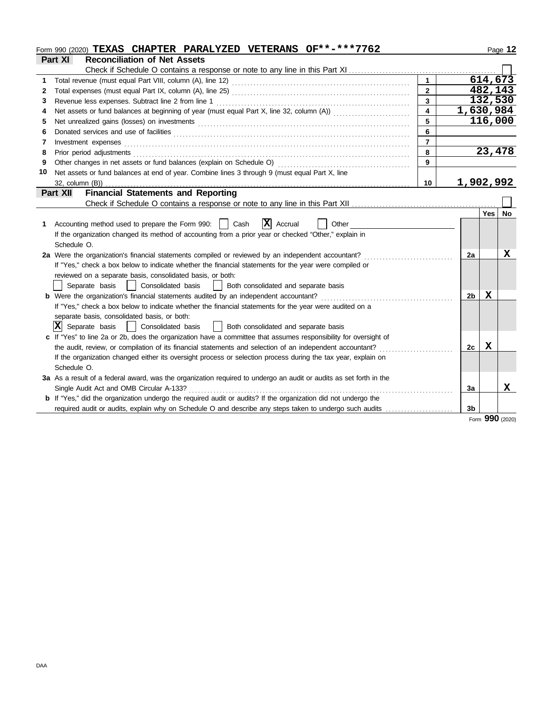| Part XI<br><b>Reconciliation of Net Assets</b><br>614,673<br>1.<br>482,143<br>$\mathbf{2}$<br>2<br>132,530<br>$\overline{3}$<br>3<br>1,630,984<br>4<br>4<br>116,000<br>5<br>5<br>6<br>6<br>7<br>Investment expenses<br>7<br>23,478<br>8<br>Prior period adjustments entertainments and a statements of the statement of the statements of the statements of the statements of the statements of the statements of the statements of the statement of the statements of th<br>8<br>9<br>9<br>10<br>Net assets or fund balances at end of year. Combine lines 3 through 9 (must equal Part X, line<br>1,902,992<br>32, column (B))<br>10<br><b>Financial Statements and Reporting</b><br>Part XII<br>Yes l<br><b>No</b><br>$X$ Accrual<br>Accounting method used to prepare the Form 990:     Cash<br>Other<br>1.<br>If the organization changed its method of accounting from a prior year or checked "Other," explain in<br>Schedule O.<br>x<br>2a Were the organization's financial statements compiled or reviewed by an independent accountant?<br>2a<br>If "Yes," check a box below to indicate whether the financial statements for the year were compiled or<br>reviewed on a separate basis, consolidated basis, or both:<br>  Consolidated basis<br>Separate basis<br>Both consolidated and separate basis<br><b>b</b> Were the organization's financial statements audited by an independent accountant?<br>x<br>2 <sub>b</sub><br>If "Yes," check a box below to indicate whether the financial statements for the year were audited on a<br>separate basis, consolidated basis, or both:<br>$ \mathbf{X} $ Separate basis<br>Consolidated basis<br>Both consolidated and separate basis<br>$\mathbf{1}$<br>c If "Yes" to line 2a or 2b, does the organization have a committee that assumes responsibility for oversight of<br>the audit, review, or compilation of its financial statements and selection of an independent accountant?<br>x<br>2c<br>If the organization changed either its oversight process or selection process during the tax year, explain on<br>Schedule O.<br>3a As a result of a federal award, was the organization required to undergo an audit or audits as set forth in the<br>x<br>Single Audit Act and OMB Circular A-133?<br>3a<br>b If "Yes," did the organization undergo the required audit or audits? If the organization did not undergo the<br>3 <sub>b</sub><br>required audit or audits, explain why on Schedule O and describe any steps taken to undergo such audits<br>Form 990 (2020) | Form 990 (2020) TEXAS CHAPTER PARALYZED VETERANS OF**-***7762 |  |  | Page 12 |
|-----------------------------------------------------------------------------------------------------------------------------------------------------------------------------------------------------------------------------------------------------------------------------------------------------------------------------------------------------------------------------------------------------------------------------------------------------------------------------------------------------------------------------------------------------------------------------------------------------------------------------------------------------------------------------------------------------------------------------------------------------------------------------------------------------------------------------------------------------------------------------------------------------------------------------------------------------------------------------------------------------------------------------------------------------------------------------------------------------------------------------------------------------------------------------------------------------------------------------------------------------------------------------------------------------------------------------------------------------------------------------------------------------------------------------------------------------------------------------------------------------------------------------------------------------------------------------------------------------------------------------------------------------------------------------------------------------------------------------------------------------------------------------------------------------------------------------------------------------------------------------------------------------------------------------------------------------------------------------------------------------------------------------------------------------------------------------------------------------------------------------------------------------------------------------------------------------------------------------------------------------------------------------------------------------------------------------------------------------------------------------------------------------------------------------------------------------------------------------------------------------------------------------------------------|---------------------------------------------------------------|--|--|---------|
|                                                                                                                                                                                                                                                                                                                                                                                                                                                                                                                                                                                                                                                                                                                                                                                                                                                                                                                                                                                                                                                                                                                                                                                                                                                                                                                                                                                                                                                                                                                                                                                                                                                                                                                                                                                                                                                                                                                                                                                                                                                                                                                                                                                                                                                                                                                                                                                                                                                                                                                                               |                                                               |  |  |         |
|                                                                                                                                                                                                                                                                                                                                                                                                                                                                                                                                                                                                                                                                                                                                                                                                                                                                                                                                                                                                                                                                                                                                                                                                                                                                                                                                                                                                                                                                                                                                                                                                                                                                                                                                                                                                                                                                                                                                                                                                                                                                                                                                                                                                                                                                                                                                                                                                                                                                                                                                               |                                                               |  |  |         |
|                                                                                                                                                                                                                                                                                                                                                                                                                                                                                                                                                                                                                                                                                                                                                                                                                                                                                                                                                                                                                                                                                                                                                                                                                                                                                                                                                                                                                                                                                                                                                                                                                                                                                                                                                                                                                                                                                                                                                                                                                                                                                                                                                                                                                                                                                                                                                                                                                                                                                                                                               |                                                               |  |  |         |
|                                                                                                                                                                                                                                                                                                                                                                                                                                                                                                                                                                                                                                                                                                                                                                                                                                                                                                                                                                                                                                                                                                                                                                                                                                                                                                                                                                                                                                                                                                                                                                                                                                                                                                                                                                                                                                                                                                                                                                                                                                                                                                                                                                                                                                                                                                                                                                                                                                                                                                                                               |                                                               |  |  |         |
|                                                                                                                                                                                                                                                                                                                                                                                                                                                                                                                                                                                                                                                                                                                                                                                                                                                                                                                                                                                                                                                                                                                                                                                                                                                                                                                                                                                                                                                                                                                                                                                                                                                                                                                                                                                                                                                                                                                                                                                                                                                                                                                                                                                                                                                                                                                                                                                                                                                                                                                                               |                                                               |  |  |         |
|                                                                                                                                                                                                                                                                                                                                                                                                                                                                                                                                                                                                                                                                                                                                                                                                                                                                                                                                                                                                                                                                                                                                                                                                                                                                                                                                                                                                                                                                                                                                                                                                                                                                                                                                                                                                                                                                                                                                                                                                                                                                                                                                                                                                                                                                                                                                                                                                                                                                                                                                               |                                                               |  |  |         |
|                                                                                                                                                                                                                                                                                                                                                                                                                                                                                                                                                                                                                                                                                                                                                                                                                                                                                                                                                                                                                                                                                                                                                                                                                                                                                                                                                                                                                                                                                                                                                                                                                                                                                                                                                                                                                                                                                                                                                                                                                                                                                                                                                                                                                                                                                                                                                                                                                                                                                                                                               |                                                               |  |  |         |
|                                                                                                                                                                                                                                                                                                                                                                                                                                                                                                                                                                                                                                                                                                                                                                                                                                                                                                                                                                                                                                                                                                                                                                                                                                                                                                                                                                                                                                                                                                                                                                                                                                                                                                                                                                                                                                                                                                                                                                                                                                                                                                                                                                                                                                                                                                                                                                                                                                                                                                                                               |                                                               |  |  |         |
|                                                                                                                                                                                                                                                                                                                                                                                                                                                                                                                                                                                                                                                                                                                                                                                                                                                                                                                                                                                                                                                                                                                                                                                                                                                                                                                                                                                                                                                                                                                                                                                                                                                                                                                                                                                                                                                                                                                                                                                                                                                                                                                                                                                                                                                                                                                                                                                                                                                                                                                                               |                                                               |  |  |         |
|                                                                                                                                                                                                                                                                                                                                                                                                                                                                                                                                                                                                                                                                                                                                                                                                                                                                                                                                                                                                                                                                                                                                                                                                                                                                                                                                                                                                                                                                                                                                                                                                                                                                                                                                                                                                                                                                                                                                                                                                                                                                                                                                                                                                                                                                                                                                                                                                                                                                                                                                               |                                                               |  |  |         |
|                                                                                                                                                                                                                                                                                                                                                                                                                                                                                                                                                                                                                                                                                                                                                                                                                                                                                                                                                                                                                                                                                                                                                                                                                                                                                                                                                                                                                                                                                                                                                                                                                                                                                                                                                                                                                                                                                                                                                                                                                                                                                                                                                                                                                                                                                                                                                                                                                                                                                                                                               |                                                               |  |  |         |
|                                                                                                                                                                                                                                                                                                                                                                                                                                                                                                                                                                                                                                                                                                                                                                                                                                                                                                                                                                                                                                                                                                                                                                                                                                                                                                                                                                                                                                                                                                                                                                                                                                                                                                                                                                                                                                                                                                                                                                                                                                                                                                                                                                                                                                                                                                                                                                                                                                                                                                                                               |                                                               |  |  |         |
|                                                                                                                                                                                                                                                                                                                                                                                                                                                                                                                                                                                                                                                                                                                                                                                                                                                                                                                                                                                                                                                                                                                                                                                                                                                                                                                                                                                                                                                                                                                                                                                                                                                                                                                                                                                                                                                                                                                                                                                                                                                                                                                                                                                                                                                                                                                                                                                                                                                                                                                                               |                                                               |  |  |         |
|                                                                                                                                                                                                                                                                                                                                                                                                                                                                                                                                                                                                                                                                                                                                                                                                                                                                                                                                                                                                                                                                                                                                                                                                                                                                                                                                                                                                                                                                                                                                                                                                                                                                                                                                                                                                                                                                                                                                                                                                                                                                                                                                                                                                                                                                                                                                                                                                                                                                                                                                               |                                                               |  |  |         |
|                                                                                                                                                                                                                                                                                                                                                                                                                                                                                                                                                                                                                                                                                                                                                                                                                                                                                                                                                                                                                                                                                                                                                                                                                                                                                                                                                                                                                                                                                                                                                                                                                                                                                                                                                                                                                                                                                                                                                                                                                                                                                                                                                                                                                                                                                                                                                                                                                                                                                                                                               |                                                               |  |  |         |
|                                                                                                                                                                                                                                                                                                                                                                                                                                                                                                                                                                                                                                                                                                                                                                                                                                                                                                                                                                                                                                                                                                                                                                                                                                                                                                                                                                                                                                                                                                                                                                                                                                                                                                                                                                                                                                                                                                                                                                                                                                                                                                                                                                                                                                                                                                                                                                                                                                                                                                                                               |                                                               |  |  |         |
|                                                                                                                                                                                                                                                                                                                                                                                                                                                                                                                                                                                                                                                                                                                                                                                                                                                                                                                                                                                                                                                                                                                                                                                                                                                                                                                                                                                                                                                                                                                                                                                                                                                                                                                                                                                                                                                                                                                                                                                                                                                                                                                                                                                                                                                                                                                                                                                                                                                                                                                                               |                                                               |  |  |         |
|                                                                                                                                                                                                                                                                                                                                                                                                                                                                                                                                                                                                                                                                                                                                                                                                                                                                                                                                                                                                                                                                                                                                                                                                                                                                                                                                                                                                                                                                                                                                                                                                                                                                                                                                                                                                                                                                                                                                                                                                                                                                                                                                                                                                                                                                                                                                                                                                                                                                                                                                               |                                                               |  |  |         |
|                                                                                                                                                                                                                                                                                                                                                                                                                                                                                                                                                                                                                                                                                                                                                                                                                                                                                                                                                                                                                                                                                                                                                                                                                                                                                                                                                                                                                                                                                                                                                                                                                                                                                                                                                                                                                                                                                                                                                                                                                                                                                                                                                                                                                                                                                                                                                                                                                                                                                                                                               |                                                               |  |  |         |
|                                                                                                                                                                                                                                                                                                                                                                                                                                                                                                                                                                                                                                                                                                                                                                                                                                                                                                                                                                                                                                                                                                                                                                                                                                                                                                                                                                                                                                                                                                                                                                                                                                                                                                                                                                                                                                                                                                                                                                                                                                                                                                                                                                                                                                                                                                                                                                                                                                                                                                                                               |                                                               |  |  |         |
|                                                                                                                                                                                                                                                                                                                                                                                                                                                                                                                                                                                                                                                                                                                                                                                                                                                                                                                                                                                                                                                                                                                                                                                                                                                                                                                                                                                                                                                                                                                                                                                                                                                                                                                                                                                                                                                                                                                                                                                                                                                                                                                                                                                                                                                                                                                                                                                                                                                                                                                                               |                                                               |  |  |         |
|                                                                                                                                                                                                                                                                                                                                                                                                                                                                                                                                                                                                                                                                                                                                                                                                                                                                                                                                                                                                                                                                                                                                                                                                                                                                                                                                                                                                                                                                                                                                                                                                                                                                                                                                                                                                                                                                                                                                                                                                                                                                                                                                                                                                                                                                                                                                                                                                                                                                                                                                               |                                                               |  |  |         |
|                                                                                                                                                                                                                                                                                                                                                                                                                                                                                                                                                                                                                                                                                                                                                                                                                                                                                                                                                                                                                                                                                                                                                                                                                                                                                                                                                                                                                                                                                                                                                                                                                                                                                                                                                                                                                                                                                                                                                                                                                                                                                                                                                                                                                                                                                                                                                                                                                                                                                                                                               |                                                               |  |  |         |
|                                                                                                                                                                                                                                                                                                                                                                                                                                                                                                                                                                                                                                                                                                                                                                                                                                                                                                                                                                                                                                                                                                                                                                                                                                                                                                                                                                                                                                                                                                                                                                                                                                                                                                                                                                                                                                                                                                                                                                                                                                                                                                                                                                                                                                                                                                                                                                                                                                                                                                                                               |                                                               |  |  |         |
|                                                                                                                                                                                                                                                                                                                                                                                                                                                                                                                                                                                                                                                                                                                                                                                                                                                                                                                                                                                                                                                                                                                                                                                                                                                                                                                                                                                                                                                                                                                                                                                                                                                                                                                                                                                                                                                                                                                                                                                                                                                                                                                                                                                                                                                                                                                                                                                                                                                                                                                                               |                                                               |  |  |         |
|                                                                                                                                                                                                                                                                                                                                                                                                                                                                                                                                                                                                                                                                                                                                                                                                                                                                                                                                                                                                                                                                                                                                                                                                                                                                                                                                                                                                                                                                                                                                                                                                                                                                                                                                                                                                                                                                                                                                                                                                                                                                                                                                                                                                                                                                                                                                                                                                                                                                                                                                               |                                                               |  |  |         |
|                                                                                                                                                                                                                                                                                                                                                                                                                                                                                                                                                                                                                                                                                                                                                                                                                                                                                                                                                                                                                                                                                                                                                                                                                                                                                                                                                                                                                                                                                                                                                                                                                                                                                                                                                                                                                                                                                                                                                                                                                                                                                                                                                                                                                                                                                                                                                                                                                                                                                                                                               |                                                               |  |  |         |
|                                                                                                                                                                                                                                                                                                                                                                                                                                                                                                                                                                                                                                                                                                                                                                                                                                                                                                                                                                                                                                                                                                                                                                                                                                                                                                                                                                                                                                                                                                                                                                                                                                                                                                                                                                                                                                                                                                                                                                                                                                                                                                                                                                                                                                                                                                                                                                                                                                                                                                                                               |                                                               |  |  |         |
|                                                                                                                                                                                                                                                                                                                                                                                                                                                                                                                                                                                                                                                                                                                                                                                                                                                                                                                                                                                                                                                                                                                                                                                                                                                                                                                                                                                                                                                                                                                                                                                                                                                                                                                                                                                                                                                                                                                                                                                                                                                                                                                                                                                                                                                                                                                                                                                                                                                                                                                                               |                                                               |  |  |         |
|                                                                                                                                                                                                                                                                                                                                                                                                                                                                                                                                                                                                                                                                                                                                                                                                                                                                                                                                                                                                                                                                                                                                                                                                                                                                                                                                                                                                                                                                                                                                                                                                                                                                                                                                                                                                                                                                                                                                                                                                                                                                                                                                                                                                                                                                                                                                                                                                                                                                                                                                               |                                                               |  |  |         |
|                                                                                                                                                                                                                                                                                                                                                                                                                                                                                                                                                                                                                                                                                                                                                                                                                                                                                                                                                                                                                                                                                                                                                                                                                                                                                                                                                                                                                                                                                                                                                                                                                                                                                                                                                                                                                                                                                                                                                                                                                                                                                                                                                                                                                                                                                                                                                                                                                                                                                                                                               |                                                               |  |  |         |
|                                                                                                                                                                                                                                                                                                                                                                                                                                                                                                                                                                                                                                                                                                                                                                                                                                                                                                                                                                                                                                                                                                                                                                                                                                                                                                                                                                                                                                                                                                                                                                                                                                                                                                                                                                                                                                                                                                                                                                                                                                                                                                                                                                                                                                                                                                                                                                                                                                                                                                                                               |                                                               |  |  |         |
|                                                                                                                                                                                                                                                                                                                                                                                                                                                                                                                                                                                                                                                                                                                                                                                                                                                                                                                                                                                                                                                                                                                                                                                                                                                                                                                                                                                                                                                                                                                                                                                                                                                                                                                                                                                                                                                                                                                                                                                                                                                                                                                                                                                                                                                                                                                                                                                                                                                                                                                                               |                                                               |  |  |         |
|                                                                                                                                                                                                                                                                                                                                                                                                                                                                                                                                                                                                                                                                                                                                                                                                                                                                                                                                                                                                                                                                                                                                                                                                                                                                                                                                                                                                                                                                                                                                                                                                                                                                                                                                                                                                                                                                                                                                                                                                                                                                                                                                                                                                                                                                                                                                                                                                                                                                                                                                               |                                                               |  |  |         |
|                                                                                                                                                                                                                                                                                                                                                                                                                                                                                                                                                                                                                                                                                                                                                                                                                                                                                                                                                                                                                                                                                                                                                                                                                                                                                                                                                                                                                                                                                                                                                                                                                                                                                                                                                                                                                                                                                                                                                                                                                                                                                                                                                                                                                                                                                                                                                                                                                                                                                                                                               |                                                               |  |  |         |
|                                                                                                                                                                                                                                                                                                                                                                                                                                                                                                                                                                                                                                                                                                                                                                                                                                                                                                                                                                                                                                                                                                                                                                                                                                                                                                                                                                                                                                                                                                                                                                                                                                                                                                                                                                                                                                                                                                                                                                                                                                                                                                                                                                                                                                                                                                                                                                                                                                                                                                                                               |                                                               |  |  |         |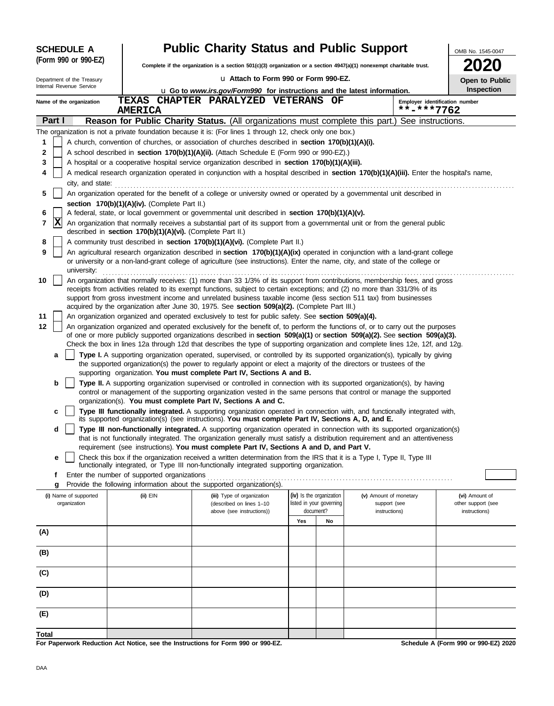| <b>SCHEDULE A</b>          |                                                            | <b>Public Charity Status and Public Support</b>                                                                                                                                                                                                                                                                  |                          |    |                                              | OMB No. 1545-0047                    |
|----------------------------|------------------------------------------------------------|------------------------------------------------------------------------------------------------------------------------------------------------------------------------------------------------------------------------------------------------------------------------------------------------------------------|--------------------------|----|----------------------------------------------|--------------------------------------|
| (Form 990 or 990-EZ)       |                                                            | Complete if the organization is a section 501(c)(3) organization or a section 4947(a)(1) nonexempt charitable trust.                                                                                                                                                                                             |                          |    |                                              |                                      |
| Department of the Treasury |                                                            | u Attach to Form 990 or Form 990-EZ.                                                                                                                                                                                                                                                                             |                          |    |                                              | Open to Public                       |
| Internal Revenue Service   |                                                            | u Go to www.irs.gov/Form990 for instructions and the latest information.                                                                                                                                                                                                                                         |                          |    |                                              | Inspection                           |
| Name of the organization   | <b>TEXAS</b><br><b>AMERICA</b>                             | CHAPTER PARALYZED VETERANS OF                                                                                                                                                                                                                                                                                    |                          |    | Employer identification number<br>**-***7762 |                                      |
| Part I                     |                                                            | Reason for Public Charity Status. (All organizations must complete this part.) See instructions.                                                                                                                                                                                                                 |                          |    |                                              |                                      |
|                            |                                                            | The organization is not a private foundation because it is: (For lines 1 through 12, check only one box.)                                                                                                                                                                                                        |                          |    |                                              |                                      |
| 1                          |                                                            | A church, convention of churches, or association of churches described in section 170(b)(1)(A)(i).                                                                                                                                                                                                               |                          |    |                                              |                                      |
| 2                          |                                                            | A school described in section 170(b)(1)(A)(ii). (Attach Schedule E (Form 990 or 990-EZ).)                                                                                                                                                                                                                        |                          |    |                                              |                                      |
| 3                          |                                                            | A hospital or a cooperative hospital service organization described in section 170(b)(1)(A)(iii).                                                                                                                                                                                                                |                          |    |                                              |                                      |
| 4<br>city, and state:      |                                                            | A medical research organization operated in conjunction with a hospital described in section 170(b)(1)(A)(iii). Enter the hospital's name,                                                                                                                                                                       |                          |    |                                              |                                      |
| 5                          |                                                            | An organization operated for the benefit of a college or university owned or operated by a governmental unit described in                                                                                                                                                                                        |                          |    |                                              |                                      |
|                            | section 170(b)(1)(A)(iv). (Complete Part II.)              |                                                                                                                                                                                                                                                                                                                  |                          |    |                                              |                                      |
| 6                          |                                                            | A federal, state, or local government or governmental unit described in section 170(b)(1)(A)(v).                                                                                                                                                                                                                 |                          |    |                                              |                                      |
| x<br>7                     | described in section 170(b)(1)(A)(vi). (Complete Part II.) | An organization that normally receives a substantial part of its support from a governmental unit or from the general public                                                                                                                                                                                     |                          |    |                                              |                                      |
| 8                          |                                                            | A community trust described in section 170(b)(1)(A)(vi). (Complete Part II.)                                                                                                                                                                                                                                     |                          |    |                                              |                                      |
| 9                          |                                                            | An agricultural research organization described in section 170(b)(1)(A)(ix) operated in conjunction with a land-grant college                                                                                                                                                                                    |                          |    |                                              |                                      |
| university:                |                                                            | or university or a non-land-grant college of agriculture (see instructions). Enter the name, city, and state of the college or                                                                                                                                                                                   |                          |    |                                              |                                      |
| 10                         |                                                            | An organization that normally receives: (1) more than 33 1/3% of its support from contributions, membership fees, and gross                                                                                                                                                                                      |                          |    |                                              |                                      |
|                            |                                                            | receipts from activities related to its exempt functions, subject to certain exceptions; and (2) no more than 331/3% of its<br>support from gross investment income and unrelated business taxable income (less section 511 tax) from businesses                                                                 |                          |    |                                              |                                      |
|                            |                                                            | acquired by the organization after June 30, 1975. See section 509(a)(2). (Complete Part III.)                                                                                                                                                                                                                    |                          |    |                                              |                                      |
| 11                         |                                                            | An organization organized and operated exclusively to test for public safety. See section 509(a)(4).                                                                                                                                                                                                             |                          |    |                                              |                                      |
| 12                         |                                                            | An organization organized and operated exclusively for the benefit of, to perform the functions of, or to carry out the purposes<br>of one or more publicly supported organizations described in section 509(a)(1) or section 509(a)(2). See section 509(a)(3).                                                  |                          |    |                                              |                                      |
|                            |                                                            | Check the box in lines 12a through 12d that describes the type of supporting organization and complete lines 12e, 12f, and 12g.                                                                                                                                                                                  |                          |    |                                              |                                      |
| a                          |                                                            | Type I. A supporting organization operated, supervised, or controlled by its supported organization(s), typically by giving<br>the supported organization(s) the power to regularly appoint or elect a majority of the directors or trustees of the                                                              |                          |    |                                              |                                      |
|                            |                                                            | supporting organization. You must complete Part IV, Sections A and B.                                                                                                                                                                                                                                            |                          |    |                                              |                                      |
| b                          |                                                            | Type II. A supporting organization supervised or controlled in connection with its supported organization(s), by having<br>control or management of the supporting organization vested in the same persons that control or manage the supported<br>organization(s). You must complete Part IV, Sections A and C. |                          |    |                                              |                                      |
| c                          |                                                            | Type III functionally integrated. A supporting organization operated in connection with, and functionally integrated with,                                                                                                                                                                                       |                          |    |                                              |                                      |
| d                          |                                                            | its supported organization(s) (see instructions). You must complete Part IV, Sections A, D, and E.<br>Type III non-functionally integrated. A supporting organization operated in connection with its supported organization(s)                                                                                  |                          |    |                                              |                                      |
|                            |                                                            | that is not functionally integrated. The organization generally must satisfy a distribution requirement and an attentiveness<br>requirement (see instructions). You must complete Part IV, Sections A and D, and Part V.                                                                                         |                          |    |                                              |                                      |
| е                          |                                                            | Check this box if the organization received a written determination from the IRS that it is a Type I, Type II, Type III                                                                                                                                                                                          |                          |    |                                              |                                      |
|                            |                                                            | functionally integrated, or Type III non-functionally integrated supporting organization.                                                                                                                                                                                                                        |                          |    |                                              |                                      |
| f                          | Enter the number of supported organizations                | Provide the following information about the supported organization(s).                                                                                                                                                                                                                                           |                          |    |                                              |                                      |
| g<br>(i) Name of supported | $(ii)$ EIN                                                 | (iii) Type of organization                                                                                                                                                                                                                                                                                       | (iv) Is the organization |    | (v) Amount of monetary                       | (vi) Amount of                       |
| organization               |                                                            | (described on lines 1-10                                                                                                                                                                                                                                                                                         | listed in your governing |    | support (see                                 | other support (see                   |
|                            |                                                            | above (see instructions))                                                                                                                                                                                                                                                                                        | document?<br>Yes         | No | instructions)                                | instructions)                        |
| (A)                        |                                                            |                                                                                                                                                                                                                                                                                                                  |                          |    |                                              |                                      |
| (B)                        |                                                            |                                                                                                                                                                                                                                                                                                                  |                          |    |                                              |                                      |
|                            |                                                            |                                                                                                                                                                                                                                                                                                                  |                          |    |                                              |                                      |
| (C)                        |                                                            |                                                                                                                                                                                                                                                                                                                  |                          |    |                                              |                                      |
| (D)                        |                                                            |                                                                                                                                                                                                                                                                                                                  |                          |    |                                              |                                      |
| (E)                        |                                                            |                                                                                                                                                                                                                                                                                                                  |                          |    |                                              |                                      |
| Total                      |                                                            |                                                                                                                                                                                                                                                                                                                  |                          |    |                                              |                                      |
|                            |                                                            | For Paperwork Reduction Act Notice, see the Instructions for Form 990 or 990-EZ.                                                                                                                                                                                                                                 |                          |    |                                              | Schedule A (Form 990 or 990-EZ) 2020 |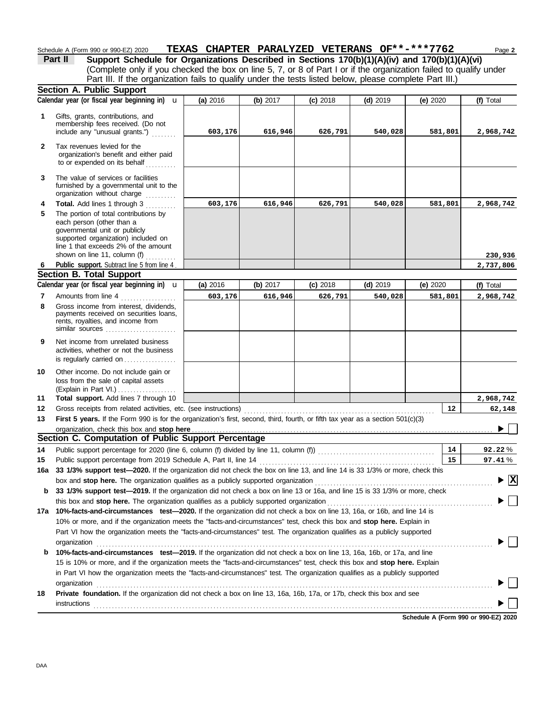|              | Schedule A (Form 990 or 990-EZ) 2020                                                                                                                                                                              | TEXAS CHAPTER PARALYZED VETERANS OF**-***7762 |          |            |            |            | Page 2                                      |
|--------------|-------------------------------------------------------------------------------------------------------------------------------------------------------------------------------------------------------------------|-----------------------------------------------|----------|------------|------------|------------|---------------------------------------------|
|              | Support Schedule for Organizations Described in Sections 170(b)(1)(A)(iv) and 170(b)(1)(A)(vi)<br>Part II                                                                                                         |                                               |          |            |            |            |                                             |
|              | (Complete only if you checked the box on line 5, 7, or 8 of Part I or if the organization failed to qualify under                                                                                                 |                                               |          |            |            |            |                                             |
|              | Part III. If the organization fails to qualify under the tests listed below, please complete Part III.)                                                                                                           |                                               |          |            |            |            |                                             |
|              | Section A. Public Support                                                                                                                                                                                         |                                               |          |            |            |            |                                             |
|              | Calendar year (or fiscal year beginning in) $\mathbf u$                                                                                                                                                           | (a) 2016                                      | (b) 2017 | $(c)$ 2018 | $(d)$ 2019 | (e) $2020$ | (f) Total                                   |
| 1            | Gifts, grants, contributions, and                                                                                                                                                                                 |                                               |          |            |            |            |                                             |
|              | membership fees received. (Do not                                                                                                                                                                                 |                                               |          |            |            |            |                                             |
|              | include any "unusual grants.")                                                                                                                                                                                    | 603,176                                       | 616,946  | 626,791    | 540,028    | 581,801    | 2,968,742                                   |
| $\mathbf{2}$ | Tax revenues levied for the                                                                                                                                                                                       |                                               |          |            |            |            |                                             |
|              | organization's benefit and either paid                                                                                                                                                                            |                                               |          |            |            |            |                                             |
|              | to or expended on its behalf                                                                                                                                                                                      |                                               |          |            |            |            |                                             |
| 3            | The value of services or facilities                                                                                                                                                                               |                                               |          |            |            |            |                                             |
|              | furnished by a governmental unit to the                                                                                                                                                                           |                                               |          |            |            |            |                                             |
|              | organization without charge                                                                                                                                                                                       |                                               |          |            |            |            |                                             |
| 4            | Total. Add lines 1 through 3                                                                                                                                                                                      | 603,176                                       | 616,946  | 626,791    | 540,028    | 581,801    | 2,968,742                                   |
| 5            | The portion of total contributions by<br>each person (other than a                                                                                                                                                |                                               |          |            |            |            |                                             |
|              | governmental unit or publicly                                                                                                                                                                                     |                                               |          |            |            |            |                                             |
|              | supported organization) included on                                                                                                                                                                               |                                               |          |            |            |            |                                             |
|              | line 1 that exceeds 2% of the amount<br>shown on line 11, column (f)                                                                                                                                              |                                               |          |            |            |            |                                             |
| 6            | Public support. Subtract line 5 from line 4.                                                                                                                                                                      |                                               |          |            |            |            | 230,936<br>2,737,806                        |
|              | <b>Section B. Total Support</b>                                                                                                                                                                                   |                                               |          |            |            |            |                                             |
|              | Calendar year (or fiscal year beginning in) $\mathbf u$                                                                                                                                                           | (a) 2016                                      | (b) 2017 | $(c)$ 2018 | $(d)$ 2019 | (e) $2020$ | (f) Total                                   |
| 7            | Amounts from line 4                                                                                                                                                                                               | 603,176                                       | 616,946  | 626,791    | 540,028    | 581,801    | 2,968,742                                   |
| 8            | Gross income from interest, dividends,                                                                                                                                                                            |                                               |          |            |            |            |                                             |
|              | payments received on securities loans,                                                                                                                                                                            |                                               |          |            |            |            |                                             |
|              | rents, royalties, and income from<br>similar sources                                                                                                                                                              |                                               |          |            |            |            |                                             |
|              |                                                                                                                                                                                                                   |                                               |          |            |            |            |                                             |
| 9            | Net income from unrelated business<br>activities, whether or not the business                                                                                                                                     |                                               |          |            |            |            |                                             |
|              | is regularly carried on                                                                                                                                                                                           |                                               |          |            |            |            |                                             |
| 10           | Other income. Do not include gain or                                                                                                                                                                              |                                               |          |            |            |            |                                             |
|              | loss from the sale of capital assets                                                                                                                                                                              |                                               |          |            |            |            |                                             |
|              | (Explain in Part VI.)                                                                                                                                                                                             |                                               |          |            |            |            |                                             |
| 11           | Total support. Add lines 7 through 10                                                                                                                                                                             |                                               |          |            |            |            | 2,968,742                                   |
| 12           | Gross receipts from related activities, etc. (see instructions)                                                                                                                                                   |                                               |          |            |            | 12         | 62,148                                      |
| 13           | First 5 years. If the Form 990 is for the organization's first, second, third, fourth, or fifth tax year as a section 501(c)(3)                                                                                   |                                               |          |            |            |            |                                             |
|              |                                                                                                                                                                                                                   |                                               |          |            |            |            | $\blacktriangleright \Box$                  |
|              | Section C. Computation of Public Support Percentage                                                                                                                                                               |                                               |          |            |            |            |                                             |
| 14           |                                                                                                                                                                                                                   |                                               |          |            |            | 14         | 92.22%                                      |
| 15           | Public support percentage from 2019 Schedule A, Part II, line 14                                                                                                                                                  |                                               |          |            |            | 15         | 97.41%                                      |
| 16a          | 33 1/3% support test-2020. If the organization did not check the box on line 13, and line 14 is 33 1/3% or more, check this                                                                                       |                                               |          |            |            |            | $\blacktriangleright \overline{\mathbf{X}}$ |
| b            | box and stop here. The organization qualifies as a publicly supported organization<br>33 1/3% support test-2019. If the organization did not check a box on line 13 or 16a, and line 15 is 33 1/3% or more, check |                                               |          |            |            |            |                                             |
|              |                                                                                                                                                                                                                   |                                               |          |            |            |            |                                             |
|              | 17a 10%-facts-and-circumstances test-2020. If the organization did not check a box on line 13, 16a, or 16b, and line 14 is                                                                                        |                                               |          |            |            |            |                                             |
|              | 10% or more, and if the organization meets the "facts-and-circumstances" test, check this box and stop here. Explain in                                                                                           |                                               |          |            |            |            |                                             |
|              | Part VI how the organization meets the "facts-and-circumstances" test. The organization qualifies as a publicly supported                                                                                         |                                               |          |            |            |            |                                             |
|              | organization                                                                                                                                                                                                      |                                               |          |            |            |            |                                             |
| b            | 10%-facts-and-circumstances test-2019. If the organization did not check a box on line 13, 16a, 16b, or 17a, and line                                                                                             |                                               |          |            |            |            |                                             |
|              | 15 is 10% or more, and if the organization meets the "facts-and-circumstances" test, check this box and stop here. Explain                                                                                        |                                               |          |            |            |            |                                             |
|              | in Part VI how the organization meets the "facts-and-circumstances" test. The organization qualifies as a publicly supported                                                                                      |                                               |          |            |            |            |                                             |
|              | organization                                                                                                                                                                                                      |                                               |          |            |            |            |                                             |
| 18           | Private foundation. If the organization did not check a box on line 13, 16a, 16b, 17a, or 17b, check this box and see                                                                                             |                                               |          |            |            |            |                                             |
|              | instructions                                                                                                                                                                                                      |                                               |          |            |            |            |                                             |

**Schedule A (Form 990 or 990-EZ) 2020**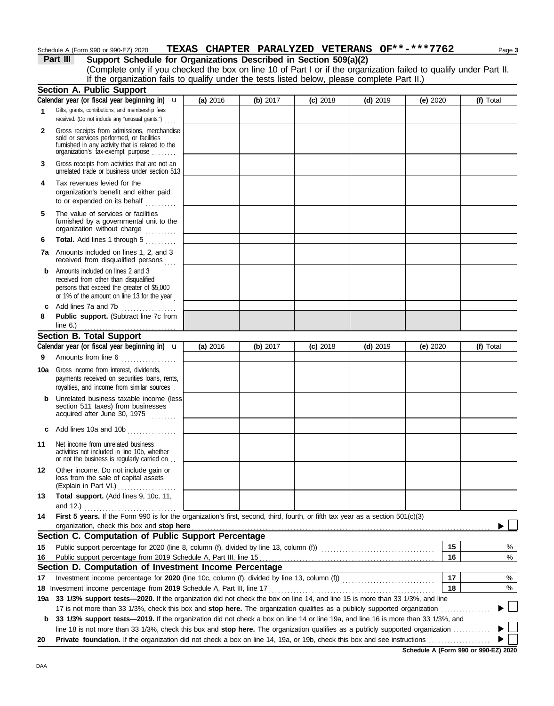## Schedule A (Form 990 or 990-EZ) 2020 **TEXAS CHAPTER PARALYZED VETERANS OF\*\*-\*\*\*7762** Page 3

| Part III | Support Schedule for Organizations Described in Section 509(a)(2)                                                  |
|----------|--------------------------------------------------------------------------------------------------------------------|
|          | (Complete only if you checked the box on line 10 of Part I or if the organization failed to qualify under Part II. |
|          | If the organization fails to qualify under the tests listed below, please complete Part II.)                       |
|          | <b>Section A. Public Support</b>                                                                                   |

|              | 00000011 A. I GDNO OGPPOIL<br>Calendar year (or fiscal year beginning in) $\mathbf u$                                                                                             | (a) 2016 | (b) 2017 | $(c)$ 2018 | $(d)$ 2019 | (e) 2020   |    | (f) Total |
|--------------|-----------------------------------------------------------------------------------------------------------------------------------------------------------------------------------|----------|----------|------------|------------|------------|----|-----------|
| 1            | Gifts, grants, contributions, and membership fees<br>received. (Do not include any "unusual grants.")                                                                             |          |          |            |            |            |    |           |
| $\mathbf{2}$ | Gross receipts from admissions, merchandise<br>sold or services performed, or facilities<br>furnished in any activity that is related to the<br>organization's tax-exempt purpose |          |          |            |            |            |    |           |
| 3            | Gross receipts from activities that are not an<br>unrelated trade or business under section 513                                                                                   |          |          |            |            |            |    |           |
| 4            | Tax revenues levied for the<br>organization's benefit and either paid<br>to or expended on its behalf                                                                             |          |          |            |            |            |    |           |
| 5            | The value of services or facilities<br>furnished by a governmental unit to the<br>organization without charge                                                                     |          |          |            |            |            |    |           |
| 6            | Total. Add lines 1 through 5                                                                                                                                                      |          |          |            |            |            |    |           |
|              | <b>7a</b> Amounts included on lines 1, 2, and 3<br>received from disqualified persons                                                                                             |          |          |            |            |            |    |           |
| b            | Amounts included on lines 2 and 3<br>received from other than disqualified<br>persons that exceed the greater of \$5,000<br>or 1% of the amount on line 13 for the year           |          |          |            |            |            |    |           |
| c            | Add lines 7a and 7b<br>.                                                                                                                                                          |          |          |            |            |            |    |           |
| 8            | Public support. (Subtract line 7c from<br>line $6.$ )                                                                                                                             |          |          |            |            |            |    |           |
|              | <b>Section B. Total Support</b>                                                                                                                                                   |          |          |            |            |            |    |           |
|              | Calendar year (or fiscal year beginning in) $\mathbf u$                                                                                                                           | (a) 2016 | (b) 2017 | $(c)$ 2018 | $(d)$ 2019 | (e) $2020$ |    | (f) Total |
| 9            | Amounts from line 6<br>.                                                                                                                                                          |          |          |            |            |            |    |           |
| 10a          | Gross income from interest, dividends,<br>payments received on securities loans, rents,<br>royalties, and income from similar sources.                                            |          |          |            |            |            |    |           |
| b            | Unrelated business taxable income (less<br>section 511 taxes) from businesses<br>acquired after June 30, 1975                                                                     |          |          |            |            |            |    |           |
| c            | Add lines 10a and 10b                                                                                                                                                             |          |          |            |            |            |    |           |
| 11           | Net income from unrelated business<br>activities not included in line 10b, whether<br>or not the business is regularly carried on                                                 |          |          |            |            |            |    |           |
| 12           | Other income. Do not include gain or<br>loss from the sale of capital assets<br>(Explain in Part VI.)                                                                             |          |          |            |            |            |    |           |
| 13           | Total support. (Add lines 9, 10c, 11,                                                                                                                                             |          |          |            |            |            |    |           |
|              |                                                                                                                                                                                   |          |          |            |            |            |    |           |
| 14           | First 5 years. If the Form 990 is for the organization's first, second, third, fourth, or fifth tax year as a section 501(c)(3)                                                   |          |          |            |            |            |    |           |
|              | organization, check this box and stop here<br>Section C. Computation of Public Support Percentage                                                                                 |          |          |            |            |            |    |           |
|              | Public support percentage for 2020 (line 8, column (f), divided by line 13, column (f)) [[[[[[[[[[[[[[[[[[[[[                                                                     |          |          |            |            | 15         |    | %         |
| 15<br>16     |                                                                                                                                                                                   |          |          |            |            |            | 16 | %         |
|              | Section D. Computation of Investment Income Percentage                                                                                                                            |          |          |            |            |            |    |           |
| 17           |                                                                                                                                                                                   |          |          |            |            | 17         |    | %         |
|              | 18 Investment income percentage from 2019 Schedule A, Part III, line 17                                                                                                           |          |          |            |            |            | 18 | %         |
|              | 19a 33 1/3% support tests-2020. If the organization did not check the box on line 14, and line 15 is more than 33 1/3%, and line                                                  |          |          |            |            |            |    |           |
|              | 17 is not more than 33 1/3%, check this box and stop here. The organization qualifies as a publicly supported organization.                                                       |          |          |            |            |            |    |           |
| b            | 33 1/3% support tests-2019. If the organization did not check a box on line 14 or line 19a, and line 16 is more than 33 1/3%, and                                                 |          |          |            |            |            |    |           |
|              | line 18 is not more than 33 1/3%, check this box and stop here. The organization qualifies as a publicly supported organization                                                   |          |          |            |            |            |    |           |
| 20           |                                                                                                                                                                                   |          |          |            |            |            |    |           |

**Schedule A (Form 990 or 990-EZ) 2020**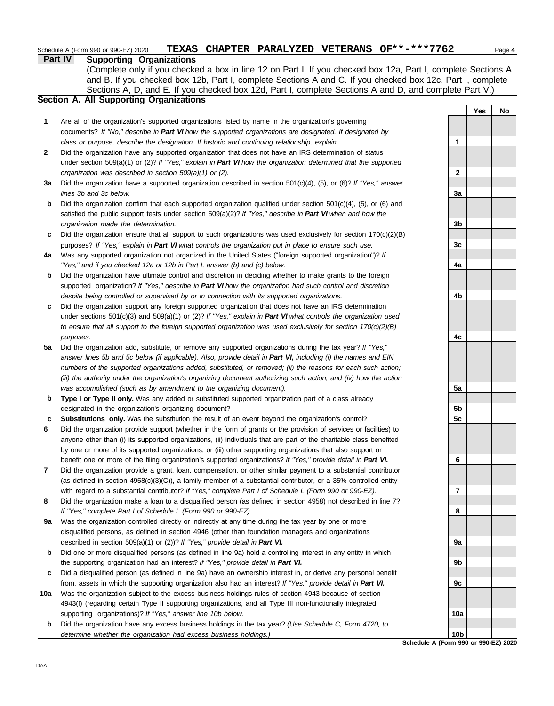## Schedule A (Form 990 or 990-EZ) 2020 **TEXAS CHAPTER PARALYZED VETERANS OF\*\*-\*\*\*7762** Page 4

## **Part IV Supporting Organizations**

Sections A, D, and E. If you checked box 12d, Part I, complete Sections A and D, and complete Part V.) (Complete only if you checked a box in line 12 on Part I. If you checked box 12a, Part I, complete Sections A and B. If you checked box 12b, Part I, complete Sections A and C. If you checked box 12c, Part I, complete

## **Section A. All Supporting Organizations**

- Are all of the organization's supported organizations listed by name in the organization's governing documents? *If "No," describe in Part VI how the supported organizations are designated. If designated by class or purpose, describe the designation. If historic and continuing relationship, explain.* **1**
- Did the organization have any supported organization that does not have an IRS determination of status under section 509(a)(1) or (2)? *If "Yes," explain in Part VI how the organization determined that the supported organization was described in section 509(a)(1) or (2).* **2**
- **3a** Did the organization have a supported organization described in section 501(c)(4), (5), or (6)? *If "Yes," answer lines 3b and 3c below.*
- **b** Did the organization confirm that each supported organization qualified under section 501(c)(4), (5), or (6) and satisfied the public support tests under section 509(a)(2)? *If "Yes," describe in Part VI when and how the organization made the determination.*
- **c** Did the organization ensure that all support to such organizations was used exclusively for section 170(c)(2)(B) purposes? *If "Yes," explain in Part VI what controls the organization put in place to ensure such use.*
- **4a** Was any supported organization not organized in the United States ("foreign supported organization")? *If "Yes," and if you checked 12a or 12b in Part I, answer (b) and (c) below.*
- **b** Did the organization have ultimate control and discretion in deciding whether to make grants to the foreign supported organization? *If "Yes," describe in Part VI how the organization had such control and discretion despite being controlled or supervised by or in connection with its supported organizations.*
- **c** Did the organization support any foreign supported organization that does not have an IRS determination under sections 501(c)(3) and 509(a)(1) or (2)? *If "Yes," explain in Part VI what controls the organization used to ensure that all support to the foreign supported organization was used exclusively for section 170(c)(2)(B) purposes.*
- **5a** Did the organization add, substitute, or remove any supported organizations during the tax year? *If "Yes," answer lines 5b and 5c below (if applicable). Also, provide detail in Part VI, including (i) the names and EIN numbers of the supported organizations added, substituted, or removed; (ii) the reasons for each such action; (iii) the authority under the organization's organizing document authorizing such action; and (iv) how the action was accomplished (such as by amendment to the organizing document).*
- **b** Type I or Type II only. Was any added or substituted supported organization part of a class already designated in the organization's organizing document?
- **c Substitutions only.** Was the substitution the result of an event beyond the organization's control?
- **6** Did the organization provide support (whether in the form of grants or the provision of services or facilities) to anyone other than (i) its supported organizations, (ii) individuals that are part of the charitable class benefited by one or more of its supported organizations, or (iii) other supporting organizations that also support or benefit one or more of the filing organization's supported organizations? *If "Yes," provide detail in Part VI.*
- **7** Did the organization provide a grant, loan, compensation, or other similar payment to a substantial contributor (as defined in section 4958(c)(3)(C)), a family member of a substantial contributor, or a 35% controlled entity with regard to a substantial contributor? *If "Yes," complete Part I of Schedule L (Form 990 or 990-EZ).*
- **8** Did the organization make a loan to a disqualified person (as defined in section 4958) not described in line 7? *If "Yes," complete Part I of Schedule L (Form 990 or 990-EZ).*
- **9a** Was the organization controlled directly or indirectly at any time during the tax year by one or more disqualified persons, as defined in section 4946 (other than foundation managers and organizations described in section 509(a)(1) or (2))? *If "Yes," provide detail in Part VI.*
- **b** Did one or more disqualified persons (as defined in line 9a) hold a controlling interest in any entity in which the supporting organization had an interest? *If "Yes," provide detail in Part VI.*
- **c** Did a disqualified person (as defined in line 9a) have an ownership interest in, or derive any personal benefit from, assets in which the supporting organization also had an interest? *If "Yes," provide detail in Part VI.*
- **10a** Was the organization subject to the excess business holdings rules of section 4943 because of section 4943(f) (regarding certain Type II supporting organizations, and all Type III non-functionally integrated supporting organizations)? *If "Yes," answer line 10b below.*
	- **b** Did the organization have any excess business holdings in the tax year? *(Use Schedule C, Form 4720, to determine whether the organization had excess business holdings.)*



**Schedule A (Form 990 or 990-EZ) 2020**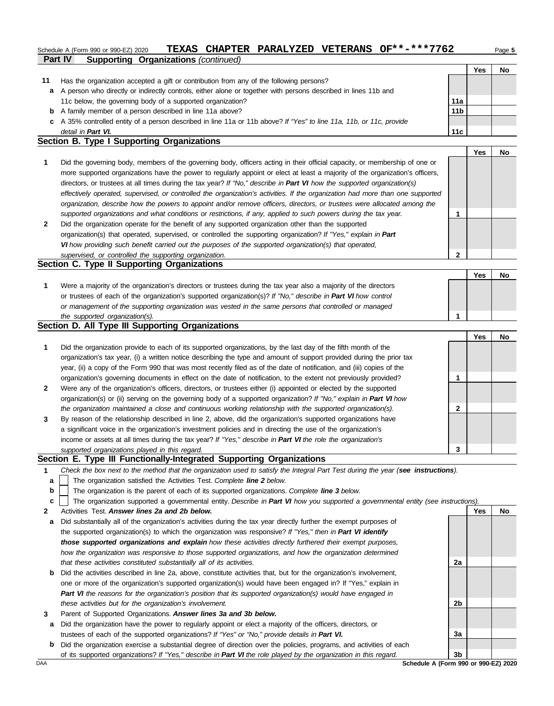### **Part IV Supporting Organizations** *(continued)* Schedule A (Form 990 or 990-EZ) 2020 **TEXAS CHAPTER PARALYZED VETERANS OF\*\*-\*\*\*7762** Page 5

|    |                                                                                                                      |                 | Yes | No |
|----|----------------------------------------------------------------------------------------------------------------------|-----------------|-----|----|
| 11 | Has the organization accepted a gift or contribution from any of the following persons?                              |                 |     |    |
| a  | A person who directly or indirectly controls, either alone or together with persons described in lines 11b and       |                 |     |    |
|    | 11c below, the governing body of a supported organization?                                                           | 11a             |     |    |
|    | <b>b</b> A family member of a person described in line 11a above?                                                    | 11 <sub>b</sub> |     |    |
|    | c A 35% controlled entity of a person described in line 11a or 11b above? If "Yes" to line 11a, 11b, or 11c, provide |                 |     |    |
|    | detail in Part VI.                                                                                                   | 11c             |     |    |

### **Section B. Type I Supporting Organizations**

|   |                                                                                                                                                                                                                                                                                                                                                                                                                                                                                                                                                                                                                                                      | Yes | No |
|---|------------------------------------------------------------------------------------------------------------------------------------------------------------------------------------------------------------------------------------------------------------------------------------------------------------------------------------------------------------------------------------------------------------------------------------------------------------------------------------------------------------------------------------------------------------------------------------------------------------------------------------------------------|-----|----|
|   | Did the governing body, members of the governing body, officers acting in their official capacity, or membership of one or<br>more supported organizations have the power to regularly appoint or elect at least a majority of the organization's officers,<br>directors, or trustees at all times during the tax year? If "No," describe in Part VI how the supported organization(s)<br>effectively operated, supervised, or controlled the organization's activities. If the organization had more than one supported<br>organization, describe how the powers to appoint and/or remove officers, directors, or trustees were allocated among the |     |    |
|   | supported organizations and what conditions or restrictions, if any, applied to such powers during the tax year.                                                                                                                                                                                                                                                                                                                                                                                                                                                                                                                                     |     |    |
| 2 | Did the organization operate for the benefit of any supported organization other than the supported<br>organization(s) that operated, supervised, or controlled the supporting organization? If "Yes," explain in Part<br>VI how providing such benefit carried out the purposes of the supported organization(s) that operated,                                                                                                                                                                                                                                                                                                                     |     |    |
|   | supervised, or controlled the supporting organization.                                                                                                                                                                                                                                                                                                                                                                                                                                                                                                                                                                                               |     |    |
|   | Section C. Type II Supporting Organizations                                                                                                                                                                                                                                                                                                                                                                                                                                                                                                                                                                                                          |     |    |

#### Were a majority of the organization's directors or trustees during the tax year also a majority of the directors or trustees of each of the organization's supported organization(s)? *If "No," describe in Part VI how control* **1** *or management of the supporting organization was vested in the same persons that controlled or managed*  **Yes No**

#### *the supported organization(s).* **Section D. All Type III Supporting Organizations**

|              |                                                                                                                        |   | Yes | No |
|--------------|------------------------------------------------------------------------------------------------------------------------|---|-----|----|
| 1            | Did the organization provide to each of its supported organizations, by the last day of the fifth month of the         |   |     |    |
|              | organization's tax year, (i) a written notice describing the type and amount of support provided during the prior tax  |   |     |    |
|              | year, (ii) a copy of the Form 990 that was most recently filed as of the date of notification, and (iii) copies of the |   |     |    |
|              | organization's governing documents in effect on the date of notification, to the extent not previously provided?       |   |     |    |
| $\mathbf{2}$ | Were any of the organization's officers, directors, or trustees either (i) appointed or elected by the supported       |   |     |    |
|              | organization(s) or (ii) serving on the governing body of a supported organization? If "No," explain in Part VI how     |   |     |    |
|              | the organization maintained a close and continuous working relationship with the supported organization(s).            | 2 |     |    |
| 3            | By reason of the relationship described in line 2, above, did the organization's supported organizations have          |   |     |    |
|              | a significant voice in the organization's investment policies and in directing the use of the organization's           |   |     |    |
|              | income or assets at all times during the tax year? If "Yes," describe in Part VI the role the organization's           |   |     |    |
|              | supported organizations played in this regard.                                                                         |   |     |    |

### **Section E. Type III Functionally-Integrated Supporting Organizations**

- **1** *Check the box next to the method that the organization used to satisfy the Integral Part Test during the year (see instructions).*
	- The organization satisfied the Activities Test. *Complete line 2 below.* **a**
- The organization is the parent of each of its supported organizations. *Complete line 3 below.* **b**
- The organization supported a governmental entity. *Describe in Part VI how you supported a governmental entity (see instructions).* **c**
- **2** Activities Test. *Answer lines 2a and 2b below.*
- **a** Did substantially all of the organization's activities during the tax year directly further the exempt purposes of the supported organization(s) to which the organization was responsive? *If "Yes," then in Part VI identify those supported organizations and explain how these activities directly furthered their exempt purposes, how the organization was responsive to those supported organizations, and how the organization determined that these activities constituted substantially all of its activities.*
- **b** Did the activities described in line 2a, above, constitute activities that, but for the organization's involvement, one or more of the organization's supported organization(s) would have been engaged in? If "Yes," explain in *Part VI the reasons for the organization's position that its supported organization(s) would have engaged in these activities but for the organization's involvement.*
- **3** Parent of Supported Organizations. *Answer lines 3a and 3b below.*
- **a** Did the organization have the power to regularly appoint or elect a majority of the officers, directors, or trustees of each of the supported organizations? *If "Yes" or "No," provide details in Part VI.*
- **b** Did the organization exercise a substantial degree of direction over the policies, programs, and activities of each of its supported organizations? *If "Yes," describe in Part VI the role played by the organization in this regard.*



DAA **Schedule A (Form 990 or 990-EZ) 2020**

**1**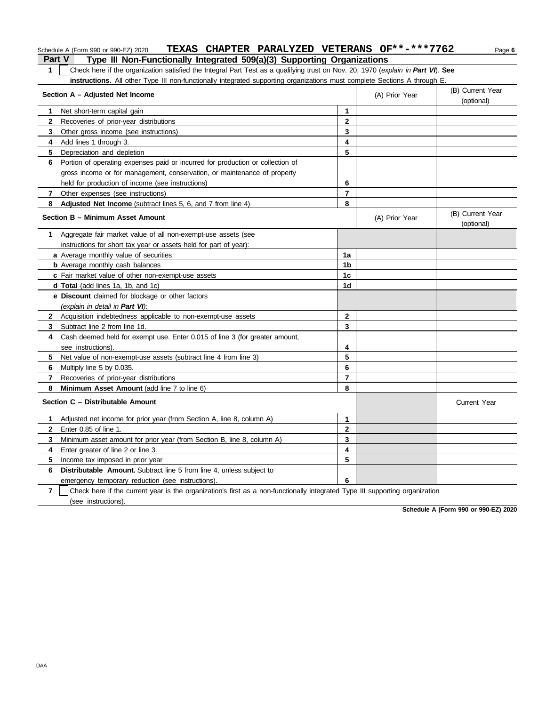## Schedule A (Form 990 or 990-EZ) 2020 **TEXAS CHAPTER PARALYZED VETERANS OF\*\*-\*\*\*7762** Page 6

**Part V Type III Non-Functionally Integrated 509(a)(3) Supporting Organizations 1** Check here if the organization satisfied the Integral Part Test as a qualifying trust on Nov. 20, 1970 (*explain in Part VI*). **See instructions.** All other Type III non-functionally integrated supporting organizations must complete Sections A through E.

|                | Section A – Adjusted Net Income                                                                                              |                | (A) Prior Year | (B) Current Year<br>(optional) |
|----------------|------------------------------------------------------------------------------------------------------------------------------|----------------|----------------|--------------------------------|
| 1.             | Net short-term capital gain                                                                                                  | 1              |                |                                |
| $\mathbf{2}$   | Recoveries of prior-year distributions                                                                                       | $\mathbf{2}$   |                |                                |
| 3              | Other gross income (see instructions)                                                                                        | 3              |                |                                |
| $\overline{4}$ | Add lines 1 through 3.                                                                                                       | 4              |                |                                |
| 5              | Depreciation and depletion                                                                                                   | 5              |                |                                |
| 6              | Portion of operating expenses paid or incurred for production or collection of                                               |                |                |                                |
|                | gross income or for management, conservation, or maintenance of property                                                     |                |                |                                |
|                | held for production of income (see instructions)                                                                             | 6              |                |                                |
| 7              | Other expenses (see instructions)                                                                                            | $\overline{7}$ |                |                                |
| 8              | <b>Adjusted Net Income</b> (subtract lines 5, 6, and 7 from line 4)                                                          | 8              |                |                                |
|                | Section B - Minimum Asset Amount                                                                                             |                | (A) Prior Year | (B) Current Year<br>(optional) |
| 1              | Aggregate fair market value of all non-exempt-use assets (see                                                                |                |                |                                |
|                | instructions for short tax year or assets held for part of year):                                                            |                |                |                                |
|                | a Average monthly value of securities                                                                                        | 1a             |                |                                |
|                | <b>b</b> Average monthly cash balances                                                                                       | 1 <sub>b</sub> |                |                                |
|                | c Fair market value of other non-exempt-use assets                                                                           | 1 <sub>c</sub> |                |                                |
|                | <b>d Total</b> (add lines 1a, 1b, and 1c)                                                                                    | 1d             |                |                                |
|                | <b>e Discount</b> claimed for blockage or other factors                                                                      |                |                |                                |
|                | (explain in detail in Part VI):                                                                                              |                |                |                                |
| $\mathbf{2}$   | Acquisition indebtedness applicable to non-exempt-use assets                                                                 | $\mathbf{2}$   |                |                                |
| 3              | Subtract line 2 from line 1d.                                                                                                | 3              |                |                                |
| 4              | Cash deemed held for exempt use. Enter 0.015 of line 3 (for greater amount,                                                  |                |                |                                |
|                | see instructions).                                                                                                           | 4              |                |                                |
| 5              | Net value of non-exempt-use assets (subtract line 4 from line 3)                                                             | 5              |                |                                |
| 6              | Multiply line 5 by 0.035.                                                                                                    | 6              |                |                                |
| $\mathbf{7}$   | Recoveries of prior-year distributions                                                                                       | $\overline{7}$ |                |                                |
| 8              | Minimum Asset Amount (add line 7 to line 6)                                                                                  | 8              |                |                                |
|                | Section C - Distributable Amount                                                                                             |                |                | <b>Current Year</b>            |
| 1.             | Adjusted net income for prior year (from Section A, line 8, column A)                                                        | 1              |                |                                |
| $\mathbf{2}$   | Enter 0.85 of line 1.                                                                                                        | $\overline{2}$ |                |                                |
| 3              | Minimum asset amount for prior year (from Section B, line 8, column A)                                                       | 3              |                |                                |
| 4              | Enter greater of line 2 or line 3.                                                                                           | 4              |                |                                |
| 5.             | Income tax imposed in prior year                                                                                             | 5              |                |                                |
| 6              | <b>Distributable Amount.</b> Subtract line 5 from line 4, unless subject to                                                  |                |                |                                |
|                | emergency temporary reduction (see instructions).                                                                            | 6              |                |                                |
| $\overline{7}$ | Check here if the current year is the organization's first as a non-functionally integrated Type III supporting organization |                |                |                                |
|                | (see instructions).                                                                                                          |                |                |                                |

**Schedule A (Form 990 or 990-EZ) 2020**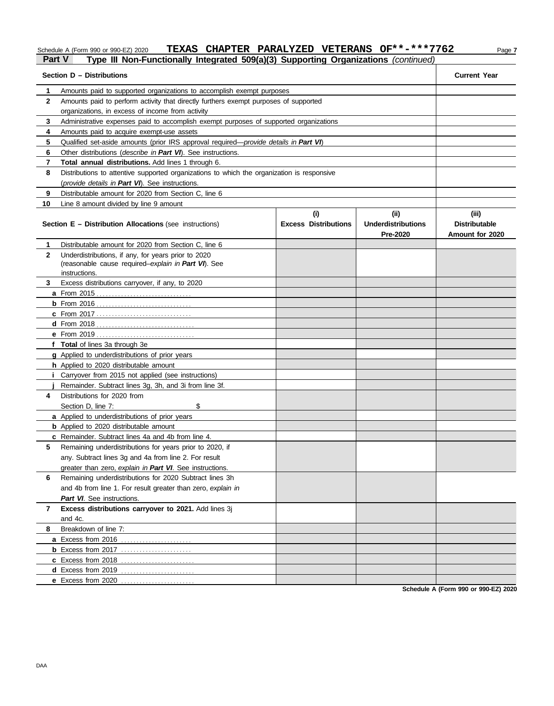## Schedule A (Form 990 or 990-EZ) 2020 **TEXAS CHAPTER PARALYZED VETERANS OF\*\*-\*\*\*7762** Page 7

## **Part V Type III Non-Functionally Integrated 509(a)(3) Supporting Organizations** *(continued)*

| Section D - Distributions | <b>Current Year</b>                                                                        |                                    |                                                     |                                                  |
|---------------------------|--------------------------------------------------------------------------------------------|------------------------------------|-----------------------------------------------------|--------------------------------------------------|
| 1                         | Amounts paid to supported organizations to accomplish exempt purposes                      |                                    |                                                     |                                                  |
| $\mathbf{2}$              | Amounts paid to perform activity that directly furthers exempt purposes of supported       |                                    |                                                     |                                                  |
|                           | organizations, in excess of income from activity                                           |                                    |                                                     |                                                  |
| 3                         | Administrative expenses paid to accomplish exempt purposes of supported organizations      |                                    |                                                     |                                                  |
| 4                         | Amounts paid to acquire exempt-use assets                                                  |                                    |                                                     |                                                  |
| 5                         | Qualified set-aside amounts (prior IRS approval required—provide details in Part VI)       |                                    |                                                     |                                                  |
| 6                         | Other distributions ( <i>describe in Part VI</i> ). See instructions.                      |                                    |                                                     |                                                  |
| 7                         | Total annual distributions. Add lines 1 through 6.                                         |                                    |                                                     |                                                  |
| 8                         | Distributions to attentive supported organizations to which the organization is responsive |                                    |                                                     |                                                  |
|                           | (provide details in Part VI). See instructions.                                            |                                    |                                                     |                                                  |
| 9                         | Distributable amount for 2020 from Section C, line 6                                       |                                    |                                                     |                                                  |
| 10                        | Line 8 amount divided by line 9 amount                                                     |                                    |                                                     |                                                  |
|                           | <b>Section E - Distribution Allocations</b> (see instructions)                             | (i)<br><b>Excess Distributions</b> | (i)<br><b>Underdistributions</b><br><b>Pre-2020</b> | (iii)<br><b>Distributable</b><br>Amount for 2020 |
| 1                         | Distributable amount for 2020 from Section C, line 6                                       |                                    |                                                     |                                                  |
| $\mathbf{2}$              | Underdistributions, if any, for years prior to 2020                                        |                                    |                                                     |                                                  |
|                           | (reasonable cause required-explain in Part VI). See                                        |                                    |                                                     |                                                  |
|                           | instructions.                                                                              |                                    |                                                     |                                                  |
| 3                         | Excess distributions carryover, if any, to 2020                                            |                                    |                                                     |                                                  |
|                           |                                                                                            |                                    |                                                     |                                                  |
|                           |                                                                                            |                                    |                                                     |                                                  |
|                           | <b>c</b> From 2017                                                                         |                                    |                                                     |                                                  |
|                           |                                                                                            |                                    |                                                     |                                                  |
|                           |                                                                                            |                                    |                                                     |                                                  |
|                           | f Total of lines 3a through 3e                                                             |                                    |                                                     |                                                  |
|                           | <b>g</b> Applied to underdistributions of prior years                                      |                                    |                                                     |                                                  |
|                           | h Applied to 2020 distributable amount                                                     |                                    |                                                     |                                                  |
|                           | <i>i</i> Carryover from 2015 not applied (see instructions)                                |                                    |                                                     |                                                  |
|                           | Remainder. Subtract lines 3g, 3h, and 3i from line 3f.                                     |                                    |                                                     |                                                  |
| 4                         | Distributions for 2020 from                                                                |                                    |                                                     |                                                  |
|                           | Section D. line 7:<br>\$                                                                   |                                    |                                                     |                                                  |
|                           | a Applied to underdistributions of prior years                                             |                                    |                                                     |                                                  |
|                           | <b>b</b> Applied to 2020 distributable amount                                              |                                    |                                                     |                                                  |
|                           | c Remainder. Subtract lines 4a and 4b from line 4.                                         |                                    |                                                     |                                                  |
|                           | Remaining underdistributions for years prior to 2020, if                                   |                                    |                                                     |                                                  |
|                           | any. Subtract lines 3g and 4a from line 2. For result                                      |                                    |                                                     |                                                  |
|                           | greater than zero, explain in Part VI. See instructions.                                   |                                    |                                                     |                                                  |
| 6                         | Remaining underdistributions for 2020 Subtract lines 3h                                    |                                    |                                                     |                                                  |
|                           | and 4b from line 1. For result greater than zero, explain in                               |                                    |                                                     |                                                  |
|                           | Part VI. See instructions.                                                                 |                                    |                                                     |                                                  |
| 7                         | Excess distributions carryover to 2021. Add lines 3j                                       |                                    |                                                     |                                                  |
|                           | and 4c.                                                                                    |                                    |                                                     |                                                  |
| 8                         | Breakdown of line 7:                                                                       |                                    |                                                     |                                                  |
|                           | a Excess from 2016                                                                         |                                    |                                                     |                                                  |
|                           |                                                                                            |                                    |                                                     |                                                  |
|                           |                                                                                            |                                    |                                                     |                                                  |
|                           | d Excess from 2019                                                                         |                                    |                                                     |                                                  |
|                           | e Excess from 2020                                                                         |                                    |                                                     |                                                  |

**Schedule A (Form 990 or 990-EZ) 2020**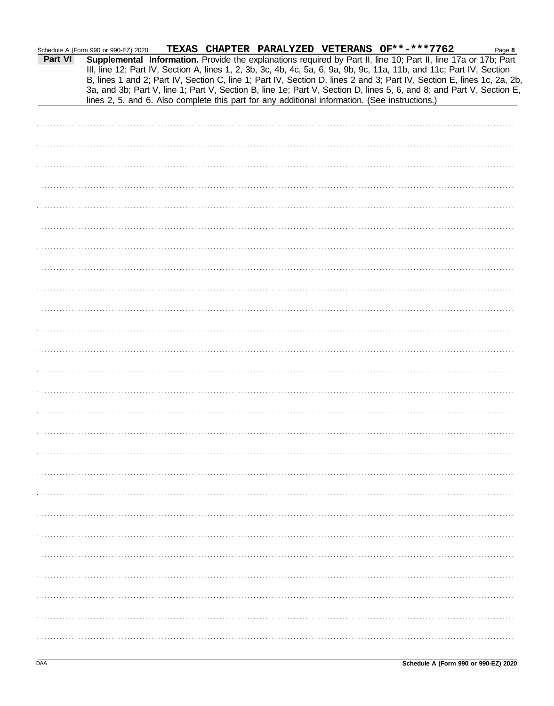| Part VI | TEXAS CHAPTER PARALYZED VETERANS OF**-***7762<br>Schedule A (Form 990 or 990-EZ) 2020<br>Page 8<br>Supplemental Information. Provide the explanations required by Part II, line 10; Part II, line 17a or 17b; Part<br>III, line 12; Part IV, Section A, lines 1, 2, 3b, 3c, 4b, 4c, 5a, 6, 9a, 9b, 9c, 11a, 11b, and 11c; Part IV, Section       |
|---------|--------------------------------------------------------------------------------------------------------------------------------------------------------------------------------------------------------------------------------------------------------------------------------------------------------------------------------------------------|
|         | B, lines 1 and 2; Part IV, Section C, line 1; Part IV, Section D, lines 2 and 3; Part IV, Section E, lines 1c, 2a, 2b,<br>3a, and 3b; Part V, line 1; Part V, Section B, line 1e; Part V, Section D, lines 5, 6, and 8; and Part V, Section E,<br>lines 2, 5, and 6. Also complete this part for any additional information. (See instructions.) |
|         |                                                                                                                                                                                                                                                                                                                                                  |
|         |                                                                                                                                                                                                                                                                                                                                                  |
|         |                                                                                                                                                                                                                                                                                                                                                  |
|         |                                                                                                                                                                                                                                                                                                                                                  |
|         |                                                                                                                                                                                                                                                                                                                                                  |
|         |                                                                                                                                                                                                                                                                                                                                                  |
|         |                                                                                                                                                                                                                                                                                                                                                  |
|         |                                                                                                                                                                                                                                                                                                                                                  |
|         |                                                                                                                                                                                                                                                                                                                                                  |
|         |                                                                                                                                                                                                                                                                                                                                                  |
|         |                                                                                                                                                                                                                                                                                                                                                  |
|         |                                                                                                                                                                                                                                                                                                                                                  |
|         |                                                                                                                                                                                                                                                                                                                                                  |
|         |                                                                                                                                                                                                                                                                                                                                                  |
|         |                                                                                                                                                                                                                                                                                                                                                  |
|         |                                                                                                                                                                                                                                                                                                                                                  |
|         |                                                                                                                                                                                                                                                                                                                                                  |
|         |                                                                                                                                                                                                                                                                                                                                                  |
|         |                                                                                                                                                                                                                                                                                                                                                  |
|         |                                                                                                                                                                                                                                                                                                                                                  |
|         |                                                                                                                                                                                                                                                                                                                                                  |
|         |                                                                                                                                                                                                                                                                                                                                                  |
|         |                                                                                                                                                                                                                                                                                                                                                  |
|         |                                                                                                                                                                                                                                                                                                                                                  |
|         |                                                                                                                                                                                                                                                                                                                                                  |
|         |                                                                                                                                                                                                                                                                                                                                                  |
|         |                                                                                                                                                                                                                                                                                                                                                  |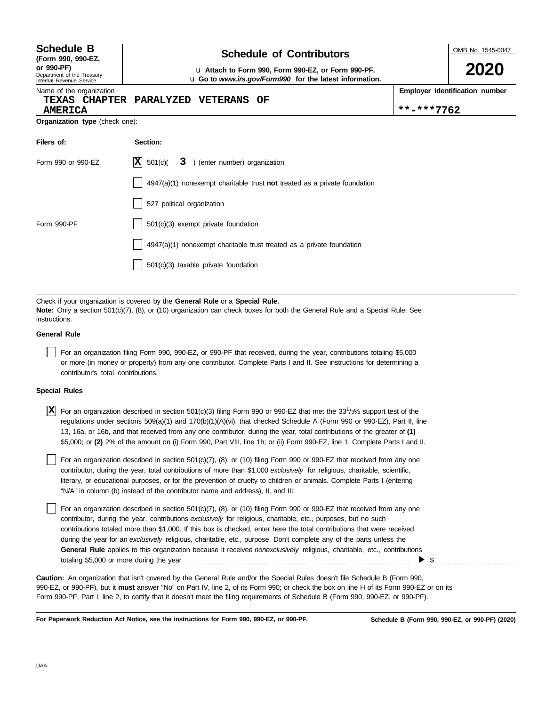| <b>Schedule B</b><br>(Form 990, 990-EZ,                              | <b>Schedule of Contributors</b>                                                                                                                                                                                                               | OMB No. 1545-0047 |                                |  |
|----------------------------------------------------------------------|-----------------------------------------------------------------------------------------------------------------------------------------------------------------------------------------------------------------------------------------------|-------------------|--------------------------------|--|
| or 990-PF)<br>Department of the Treasury<br>Internal Revenue Service |                                                                                                                                                                                                                                               | 2020              |                                |  |
| Name of the organization<br>TEXAS CHAPTER<br><b>AMERICA</b>          | <b>PARALYZED</b><br><b>VETERANS</b><br>OF                                                                                                                                                                                                     | **-***7762        | Employer identification number |  |
| Organization type (check one):                                       |                                                                                                                                                                                                                                               |                   |                                |  |
| Filers of:                                                           | Section:                                                                                                                                                                                                                                      |                   |                                |  |
| Form 990 or 990-EZ                                                   | $ \mathbf{X} $ 501(c)(<br>3 ) (enter number) organization                                                                                                                                                                                     |                   |                                |  |
|                                                                      | $4947(a)(1)$ nonexempt charitable trust not treated as a private foundation                                                                                                                                                                   |                   |                                |  |
|                                                                      | 527 political organization                                                                                                                                                                                                                    |                   |                                |  |
| Form 990-PF                                                          | $501(c)(3)$ exempt private foundation                                                                                                                                                                                                         |                   |                                |  |
|                                                                      | 4947(a)(1) nonexempt charitable trust treated as a private foundation                                                                                                                                                                         |                   |                                |  |
|                                                                      | 501(c)(3) taxable private foundation                                                                                                                                                                                                          |                   |                                |  |
|                                                                      |                                                                                                                                                                                                                                               |                   |                                |  |
| instructions.                                                        | Check if your organization is covered by the General Rule or a Special Rule.<br>Note: Only a section 501(c)(7), (8), or (10) organization can check boxes for both the General Rule and a Special Rule. See                                   |                   |                                |  |
| <b>General Rule</b>                                                  |                                                                                                                                                                                                                                               |                   |                                |  |
|                                                                      | For an organization filing Form 990, 990-EZ, or 990-PF that received, during the year, contributions totaling \$5,000<br>or more (in money or property) from any one contributor. Complete Parts I and II. See instructions for determining a |                   |                                |  |

#### **Special Rules**

| $\boxed{\mathbf{X}}$ For an organization described in section 501(c)(3) filing Form 990 or 990-EZ that met the 33 <sup>1</sup> /3% support test of the |
|--------------------------------------------------------------------------------------------------------------------------------------------------------|
| regulations under sections 509(a)(1) and 170(b)(1)(A)(vi), that checked Schedule A (Form 990 or 990-EZ), Part II, line                                 |
| 13, 16a, or 16b, and that received from any one contributor, during the year, total contributions of the greater of (1)                                |
| \$5,000; or (2) 2% of the amount on (i) Form 990, Part VIII, line 1h; or (ii) Form 990-EZ, line 1. Complete Parts I and II.                            |

literary, or educational purposes, or for the prevention of cruelty to children or animals. Complete Parts I (entering For an organization described in section 501(c)(7), (8), or (10) filing Form 990 or 990-EZ that received from any one contributor, during the year, total contributions of more than \$1,000 *exclusively* for religious, charitable, scientific, "N/A" in column (b) instead of the contributor name and address), II, and III.

For an organization described in section 501(c)(7), (8), or (10) filing Form 990 or 990-EZ that received from any one contributor, during the year, contributions *exclusively* for religious, charitable, etc., purposes, but no such contributions totaled more than \$1,000. If this box is checked, enter here the total contributions that were received during the year for an *exclusively* religious, charitable, etc., purpose. Don't complete any of the parts unless the **General Rule** applies to this organization because it received *nonexclusively* religious, charitable, etc., contributions totaling \$5,000 or more during the year . . . . . . . . . . . . . . . . . . . . . . . . . . . . . . . . . . . . . . . . . . . . . . . . . . . . . . . . . . . . . . . . . . . . . . . . .  $\triangleright$  \$

990-EZ, or 990-PF), but it **must** answer "No" on Part IV, line 2, of its Form 990; or check the box on line H of its Form 990-EZ or on its Form 990-PF, Part I, line 2, to certify that it doesn't meet the filing requirements of Schedule B (Form 990, 990-EZ, or 990-PF). **Caution:** An organization that isn't covered by the General Rule and/or the Special Rules doesn't file Schedule B (Form 990,

**For Paperwork Reduction Act Notice, see the instructions for Form 990, 990-EZ, or 990-PF.**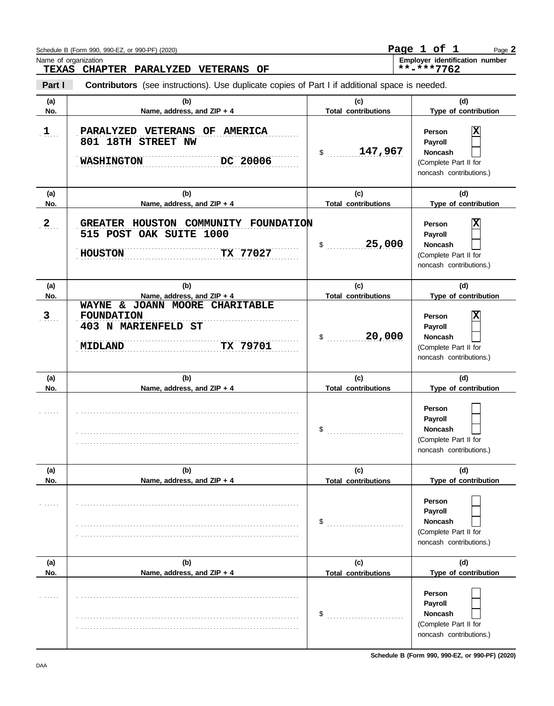|                               | Schedule B (Form 990, 990-EZ, or 990-PF) (2020)                                                          |                                   | Page 1 of 1<br>Page 2                                                                        |
|-------------------------------|----------------------------------------------------------------------------------------------------------|-----------------------------------|----------------------------------------------------------------------------------------------|
| Name of organization<br>TEXAS | CHAPTER PARALYZED VETERANS OF                                                                            |                                   | Employer identification number<br>**-***7762                                                 |
| Part I                        | <b>Contributors</b> (see instructions). Use duplicate copies of Part I if additional space is needed.    |                                   |                                                                                              |
| (a)<br>No.                    | (b)<br>Name, address, and ZIP + 4                                                                        | (c)<br><b>Total contributions</b> | (d)<br>Type of contribution                                                                  |
| $1$                           | PARALYZED VETERANS OF AMERICA<br>801 18TH STREET NW<br><b>WASHINGTON</b><br>DC 20006                     | 147,967<br>$\ddot{\text{S}}$      | Χ<br>Person<br>Payroll<br><b>Noncash</b><br>(Complete Part II for<br>noncash contributions.) |
| (a)<br>No.                    | (b)<br>Name, address, and ZIP + 4                                                                        | (c)<br><b>Total contributions</b> | (d)<br>Type of contribution                                                                  |
| $2_{\ldots}$                  | GREATER HOUSTON COMMUNITY FOUNDATION<br>515 POST OAK SUITE 1000<br><b>HOUSTON</b><br>TX 77027            | 25,000<br>\$                      | Χ<br>Person<br>Payroll<br><b>Noncash</b><br>(Complete Part II for<br>noncash contributions.) |
| (a)<br>No.                    | (b)<br>Name, address, and ZIP + 4                                                                        | (c)<br><b>Total contributions</b> | (d)<br>Type of contribution                                                                  |
| $3$ .                         | WAYNE & JOANN MOORE CHARITABLE<br><b>FOUNDATION</b><br>403 N MARIENFELD ST<br>TX 79701<br><b>MIDLAND</b> | 20,000<br>\$                      | Χ<br>Person<br>Payroll<br><b>Noncash</b><br>(Complete Part II for<br>noncash contributions.) |
| (a)<br>No.                    | (b)<br>Name, address, and ZIP + 4                                                                        | (c)<br><b>Total contributions</b> | (d)<br>Type of contribution                                                                  |
|                               |                                                                                                          | \$                                | Person<br>Payroll<br>Noncash<br>(Complete Part II for<br>noncash contributions.)             |
| (a)<br>No.                    | (b)<br>Name, address, and ZIP + 4                                                                        | (c)<br><b>Total contributions</b> | (d)<br>Type of contribution                                                                  |
|                               |                                                                                                          | \$                                | Person<br>Payroll<br><b>Noncash</b><br>(Complete Part II for<br>noncash contributions.)      |
| (a)<br>No.                    | (b)<br>Name, address, and ZIP + 4                                                                        | (c)<br><b>Total contributions</b> | (d)<br>Type of contribution                                                                  |
|                               |                                                                                                          | \$                                | Person<br>Payroll<br>Noncash<br>(Complete Part II for<br>noncash contributions.)             |

**Schedule B (Form 990, 990-EZ, or 990-PF) (2020)**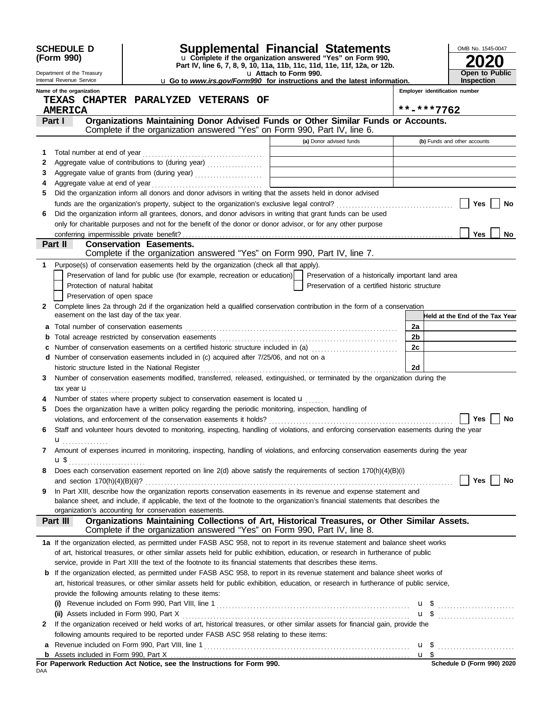|              | <b>SCHEDULE D</b><br>(Form 990)                        |                                                                                                                                                                |  |                       | <b>Supplemental Financial Statements</b><br>u Complete if the organization answered "Yes" on Form 990,<br>Part IV, line 6, 7, 8, 9, 10, 11a, 11b, 11c, 11d, 11e, 11f, 12a, or 12b. |                | OMB No. 1545-0047                                                                                                                             |
|--------------|--------------------------------------------------------|----------------------------------------------------------------------------------------------------------------------------------------------------------------|--|-----------------------|------------------------------------------------------------------------------------------------------------------------------------------------------------------------------------|----------------|-----------------------------------------------------------------------------------------------------------------------------------------------|
|              | Department of the Treasury<br>Internal Revenue Service |                                                                                                                                                                |  | u Attach to Form 990. | <b>u</b> Go to <i>www.irs.gov/Form990</i> for instructions and the latest information.                                                                                             |                | <b>Open to Public</b><br><b>Inspection</b>                                                                                                    |
|              | Name of the organization                               |                                                                                                                                                                |  |                       |                                                                                                                                                                                    |                | Employer identification number                                                                                                                |
|              |                                                        | TEXAS CHAPTER PARALYZED VETERANS OF                                                                                                                            |  |                       |                                                                                                                                                                                    |                |                                                                                                                                               |
|              | <b>AMERICA</b>                                         |                                                                                                                                                                |  |                       |                                                                                                                                                                                    |                | **-***7762                                                                                                                                    |
|              | Part I                                                 | Organizations Maintaining Donor Advised Funds or Other Similar Funds or Accounts.<br>Complete if the organization answered "Yes" on Form 990, Part IV, line 6. |  |                       |                                                                                                                                                                                    |                |                                                                                                                                               |
|              |                                                        |                                                                                                                                                                |  |                       | (a) Donor advised funds                                                                                                                                                            |                | (b) Funds and other accounts                                                                                                                  |
| 1            |                                                        |                                                                                                                                                                |  |                       |                                                                                                                                                                                    |                |                                                                                                                                               |
| 2            |                                                        | Aggregate value of contributions to (during year)                                                                                                              |  |                       |                                                                                                                                                                                    |                |                                                                                                                                               |
| 3            |                                                        | Aggregate value of grants from (during year)                                                                                                                   |  |                       |                                                                                                                                                                                    |                |                                                                                                                                               |
| 4            |                                                        |                                                                                                                                                                |  |                       |                                                                                                                                                                                    |                |                                                                                                                                               |
| 5            |                                                        | Did the organization inform all donors and donor advisors in writing that the assets held in donor advised                                                     |  |                       |                                                                                                                                                                                    |                |                                                                                                                                               |
|              |                                                        |                                                                                                                                                                |  |                       |                                                                                                                                                                                    |                | Yes<br>No                                                                                                                                     |
| 6            |                                                        | Did the organization inform all grantees, donors, and donor advisors in writing that grant funds can be used                                                   |  |                       |                                                                                                                                                                                    |                |                                                                                                                                               |
|              |                                                        | only for charitable purposes and not for the benefit of the donor or donor advisor, or for any other purpose                                                   |  |                       |                                                                                                                                                                                    |                |                                                                                                                                               |
|              | Part II                                                | <b>Conservation Easements.</b>                                                                                                                                 |  |                       |                                                                                                                                                                                    |                | Yes<br>No.                                                                                                                                    |
|              |                                                        | Complete if the organization answered "Yes" on Form 990, Part IV, line 7.                                                                                      |  |                       |                                                                                                                                                                                    |                |                                                                                                                                               |
| 1            |                                                        | Purpose(s) of conservation easements held by the organization (check all that apply).                                                                          |  |                       |                                                                                                                                                                                    |                |                                                                                                                                               |
|              |                                                        | Preservation of land for public use (for example, recreation or education)                                                                                     |  |                       | Preservation of a historically important land area                                                                                                                                 |                |                                                                                                                                               |
|              | Protection of natural habitat                          |                                                                                                                                                                |  |                       | Preservation of a certified historic structure                                                                                                                                     |                |                                                                                                                                               |
|              | Preservation of open space                             |                                                                                                                                                                |  |                       |                                                                                                                                                                                    |                |                                                                                                                                               |
| $\mathbf{2}$ |                                                        | Complete lines 2a through 2d if the organization held a qualified conservation contribution in the form of a conservation                                      |  |                       |                                                                                                                                                                                    |                |                                                                                                                                               |
|              | easement on the last day of the tax year.              |                                                                                                                                                                |  |                       |                                                                                                                                                                                    |                | Held at the End of the Tax Year                                                                                                               |
| а            |                                                        |                                                                                                                                                                |  |                       |                                                                                                                                                                                    | 2a             |                                                                                                                                               |
| b            |                                                        | Total acreage restricted by conservation easements                                                                                                             |  |                       |                                                                                                                                                                                    | 2 <sub>b</sub> |                                                                                                                                               |
| c            |                                                        | Number of conservation easements on a certified historic structure included in (a) [[[[[[[[[[[[[[[[[[[[[[[[[]]]]]]]                                            |  |                       |                                                                                                                                                                                    | 2c             |                                                                                                                                               |
| d            |                                                        | Number of conservation easements included in (c) acquired after 7/25/06, and not on a                                                                          |  |                       |                                                                                                                                                                                    |                |                                                                                                                                               |
|              |                                                        | historic structure listed in the National Register                                                                                                             |  |                       |                                                                                                                                                                                    | 2d             |                                                                                                                                               |
| 3            |                                                        | Number of conservation easements modified, transferred, released, extinguished, or terminated by the organization during the                                   |  |                       |                                                                                                                                                                                    |                |                                                                                                                                               |
|              | tax year $\mathbf{u}$ ,                                | Number of states where property subject to conservation easement is located u                                                                                  |  |                       |                                                                                                                                                                                    |                |                                                                                                                                               |
| 5            |                                                        | Does the organization have a written policy regarding the periodic monitoring, inspection, handling of                                                         |  |                       |                                                                                                                                                                                    |                |                                                                                                                                               |
|              |                                                        | violations, and enforcement of the conservation easements it holds?                                                                                            |  |                       |                                                                                                                                                                                    |                | <b>Yes</b><br>No                                                                                                                              |
| 6            |                                                        | Staff and volunteer hours devoted to monitoring, inspecting, handling of violations, and enforcing conservation easements during the year                      |  |                       |                                                                                                                                                                                    |                |                                                                                                                                               |
|              | $\mathbf{u}_{\dots\dots\dots\dots\dots}$               |                                                                                                                                                                |  |                       |                                                                                                                                                                                    |                |                                                                                                                                               |
| 7            |                                                        | Amount of expenses incurred in monitoring, inspecting, handling of violations, and enforcing conservation easements during the year                            |  |                       |                                                                                                                                                                                    |                |                                                                                                                                               |
|              | <b>u</b> \$ <sub></sub>                                |                                                                                                                                                                |  |                       |                                                                                                                                                                                    |                |                                                                                                                                               |
| 8            |                                                        | Does each conservation easement reported on line $2(d)$ above satisfy the requirements of section $170(h)(4)(B)(i)$                                            |  |                       |                                                                                                                                                                                    |                |                                                                                                                                               |
|              |                                                        |                                                                                                                                                                |  |                       |                                                                                                                                                                                    |                | <b>Yes</b><br>No                                                                                                                              |
| 9            |                                                        | In Part XIII, describe how the organization reports conservation easements in its revenue and expense statement and                                            |  |                       |                                                                                                                                                                                    |                |                                                                                                                                               |
|              |                                                        | balance sheet, and include, if applicable, the text of the footnote to the organization's financial statements that describes the                              |  |                       |                                                                                                                                                                                    |                |                                                                                                                                               |
|              | Part III                                               | organization's accounting for conservation easements.<br>Organizations Maintaining Collections of Art, Historical Treasures, or Other Similar Assets.          |  |                       |                                                                                                                                                                                    |                |                                                                                                                                               |
|              |                                                        | Complete if the organization answered "Yes" on Form 990, Part IV, line 8.                                                                                      |  |                       |                                                                                                                                                                                    |                |                                                                                                                                               |
|              |                                                        | 1a If the organization elected, as permitted under FASB ASC 958, not to report in its revenue statement and balance sheet works                                |  |                       |                                                                                                                                                                                    |                |                                                                                                                                               |
|              |                                                        | of art, historical treasures, or other similar assets held for public exhibition, education, or research in furtherance of public                              |  |                       |                                                                                                                                                                                    |                |                                                                                                                                               |
|              |                                                        | service, provide in Part XIII the text of the footnote to its financial statements that describes these items.                                                 |  |                       |                                                                                                                                                                                    |                |                                                                                                                                               |
|              |                                                        | <b>b</b> If the organization elected, as permitted under FASB ASC 958, to report in its revenue statement and balance sheet works of                           |  |                       |                                                                                                                                                                                    |                |                                                                                                                                               |
|              |                                                        | art, historical treasures, or other similar assets held for public exhibition, education, or research in furtherance of public service,                        |  |                       |                                                                                                                                                                                    |                |                                                                                                                                               |
|              |                                                        | provide the following amounts relating to these items:                                                                                                         |  |                       |                                                                                                                                                                                    |                |                                                                                                                                               |
|              |                                                        |                                                                                                                                                                |  |                       |                                                                                                                                                                                    |                | (i) Revenue included on Form 990, Part VIII, line 1 $\ldots$ $\ldots$ $\ldots$ $\ldots$ $\ldots$ $\ldots$ $\ldots$ $\ldots$ $\ldots$ $\ldots$ |
|              |                                                        |                                                                                                                                                                |  |                       |                                                                                                                                                                                    |                | $\mathbf{u}$ \$                                                                                                                               |
| 2            |                                                        | If the organization received or held works of art, historical treasures, or other similar assets for financial gain, provide the                               |  |                       |                                                                                                                                                                                    |                |                                                                                                                                               |
|              |                                                        | following amounts required to be reported under FASB ASC 958 relating to these items:                                                                          |  |                       |                                                                                                                                                                                    |                |                                                                                                                                               |
| a            |                                                        |                                                                                                                                                                |  |                       |                                                                                                                                                                                    |                |                                                                                                                                               |
| b            |                                                        | For Paperwork Reduction Act Notice, see the Instructions for Form 990.                                                                                         |  |                       |                                                                                                                                                                                    |                | Schedule D (Form 990) 2020                                                                                                                    |
| DAA          |                                                        |                                                                                                                                                                |  |                       |                                                                                                                                                                                    |                |                                                                                                                                               |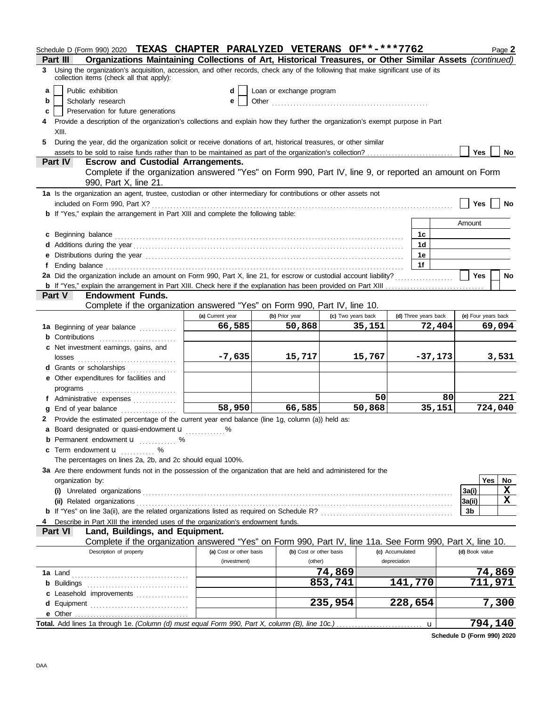|    | Schedule D (Form 990) 2020 TEXAS CHAPTER PARALYZED VETERANS OF**-***7762                                                                                                                                                       |                         |                          |                    |                 |                      |                | Page 2              |
|----|--------------------------------------------------------------------------------------------------------------------------------------------------------------------------------------------------------------------------------|-------------------------|--------------------------|--------------------|-----------------|----------------------|----------------|---------------------|
|    | Organizations Maintaining Collections of Art, Historical Treasures, or Other Similar Assets (continued)<br>Part III                                                                                                            |                         |                          |                    |                 |                      |                |                     |
|    | 3 Using the organization's acquisition, accession, and other records, check any of the following that make significant use of its<br>collection items (check all that apply):                                                  |                         |                          |                    |                 |                      |                |                     |
| a  | Public exhibition                                                                                                                                                                                                              | d                       | Loan or exchange program |                    |                 |                      |                |                     |
| b  | Scholarly research                                                                                                                                                                                                             | e                       |                          |                    |                 |                      |                |                     |
| c  | Preservation for future generations                                                                                                                                                                                            |                         |                          |                    |                 |                      |                |                     |
|    | Provide a description of the organization's collections and explain how they further the organization's exempt purpose in Part                                                                                                 |                         |                          |                    |                 |                      |                |                     |
|    | XIII.                                                                                                                                                                                                                          |                         |                          |                    |                 |                      |                |                     |
| 5. | During the year, did the organization solicit or receive donations of art, historical treasures, or other similar                                                                                                              |                         |                          |                    |                 |                      |                |                     |
|    | assets to be sold to raise funds rather than to be maintained as part of the organization's collection?                                                                                                                        |                         |                          |                    |                 |                      | Yes            | No                  |
|    | <b>Part IV</b><br><b>Escrow and Custodial Arrangements.</b>                                                                                                                                                                    |                         |                          |                    |                 |                      |                |                     |
|    | Complete if the organization answered "Yes" on Form 990, Part IV, line 9, or reported an amount on Form<br>990, Part X, line 21.                                                                                               |                         |                          |                    |                 |                      |                |                     |
|    | 1a Is the organization an agent, trustee, custodian or other intermediary for contributions or other assets not                                                                                                                |                         |                          |                    |                 |                      |                |                     |
|    |                                                                                                                                                                                                                                |                         |                          |                    |                 |                      | Yes            | No                  |
|    | b If "Yes," explain the arrangement in Part XIII and complete the following table:                                                                                                                                             |                         |                          |                    |                 |                      |                |                     |
|    |                                                                                                                                                                                                                                |                         |                          |                    |                 |                      | Amount         |                     |
|    | c Beginning balance expressions and contact the contract of the contract of the contract of the contract of the contract of the contract of the contract of the contract of the contract of the contract of the contract of th |                         |                          |                    |                 | 1c                   |                |                     |
|    |                                                                                                                                                                                                                                |                         |                          |                    |                 | 1d                   |                |                     |
|    | e Distributions during the year manufactured contains and the year manufactured with the year manufactured with the set of the set of the set of the set of the set of the set of the set of the set of the set of the set of  |                         |                          |                    |                 | 1e                   |                |                     |
|    |                                                                                                                                                                                                                                |                         |                          |                    |                 | 1f                   |                |                     |
|    |                                                                                                                                                                                                                                |                         |                          |                    |                 |                      | <b>Yes</b>     | No                  |
|    |                                                                                                                                                                                                                                |                         |                          |                    |                 |                      |                |                     |
|    | <b>Part V</b><br><b>Endowment Funds.</b>                                                                                                                                                                                       |                         |                          |                    |                 |                      |                |                     |
|    | Complete if the organization answered "Yes" on Form 990, Part IV, line 10.                                                                                                                                                     |                         |                          |                    |                 |                      |                |                     |
|    |                                                                                                                                                                                                                                | (a) Current year        | (b) Prior year           | (c) Two years back |                 | (d) Three years back |                | (e) Four years back |
|    | 1a Beginning of year balance                                                                                                                                                                                                   | 66,585                  | 50,868                   |                    | 35,151          | 72,404               |                | 69,094              |
|    | <b>b</b> Contributions <b>contributions</b>                                                                                                                                                                                    |                         |                          |                    |                 |                      |                |                     |
|    | c Net investment earnings, gains, and                                                                                                                                                                                          |                         |                          |                    |                 |                      |                |                     |
|    |                                                                                                                                                                                                                                | $-7,635$                | 15,717                   |                    | 15,767          | $-37,173$            |                | 3,531               |
|    | d Grants or scholarships                                                                                                                                                                                                       |                         |                          |                    |                 |                      |                |                     |
|    | e Other expenditures for facilities and                                                                                                                                                                                        |                         |                          |                    |                 |                      |                |                     |
|    |                                                                                                                                                                                                                                |                         |                          |                    |                 |                      |                |                     |
|    | f Administrative expenses                                                                                                                                                                                                      |                         |                          |                    | 50              | 80                   |                | 221                 |
|    | g End of year balance                                                                                                                                                                                                          | $\overline{58,950}$     | 66,585                   |                    | 50,868          | 35,151               |                | 724,040             |
|    | 2 Provide the estimated percentage of the current year end balance (line 1g, column (a)) held as:                                                                                                                              |                         |                          |                    |                 |                      |                |                     |
|    | a Board designated or quasi-endowment <b>u</b>                                                                                                                                                                                 |                         |                          |                    |                 |                      |                |                     |
|    | <b>b</b> Permanent endowment <b>u</b> %                                                                                                                                                                                        |                         |                          |                    |                 |                      |                |                     |
|    | c Term endowment <b>u</b> %                                                                                                                                                                                                    |                         |                          |                    |                 |                      |                |                     |
|    | The percentages on lines 2a, 2b, and 2c should equal 100%.                                                                                                                                                                     |                         |                          |                    |                 |                      |                |                     |
|    | 3a Are there endowment funds not in the possession of the organization that are held and administered for the                                                                                                                  |                         |                          |                    |                 |                      |                |                     |
|    | organization by:                                                                                                                                                                                                               |                         |                          |                    |                 |                      |                | Yes<br>No           |
|    |                                                                                                                                                                                                                                |                         |                          |                    |                 |                      | 3a(i)          | X                   |
|    |                                                                                                                                                                                                                                |                         |                          |                    |                 |                      | 3a(ii)         | X                   |
|    |                                                                                                                                                                                                                                |                         |                          |                    |                 |                      | 3b             |                     |
|    | Describe in Part XIII the intended uses of the organization's endowment funds.                                                                                                                                                 |                         |                          |                    |                 |                      |                |                     |
|    | Land, Buildings, and Equipment.<br>Part VI                                                                                                                                                                                     |                         |                          |                    |                 |                      |                |                     |
|    | Complete if the organization answered "Yes" on Form 990, Part IV, line 11a. See Form 990, Part X, line 10.                                                                                                                     |                         |                          |                    |                 |                      |                |                     |
|    | Description of property                                                                                                                                                                                                        | (a) Cost or other basis | (b) Cost or other basis  |                    | (c) Accumulated |                      | (d) Book value |                     |
|    |                                                                                                                                                                                                                                | (investment)            | (other)                  |                    | depreciation    |                      |                |                     |
|    |                                                                                                                                                                                                                                |                         |                          | 74,869             |                 |                      |                | 74,869              |
|    |                                                                                                                                                                                                                                |                         |                          | 853,741            |                 | 141,770              |                | 711,971             |
|    |                                                                                                                                                                                                                                |                         |                          |                    |                 |                      |                |                     |
|    |                                                                                                                                                                                                                                |                         |                          | 235,954            |                 | 228,654              |                | 7,300               |
|    |                                                                                                                                                                                                                                |                         |                          |                    |                 |                      |                |                     |
|    | Total. Add lines 1a through 1e. (Column (d) must equal Form 990, Part X, column (B), line 10c.)                                                                                                                                |                         |                          |                    |                 |                      |                | 794,140             |
|    |                                                                                                                                                                                                                                |                         |                          |                    |                 | u                    |                |                     |

**Schedule D (Form 990) 2020**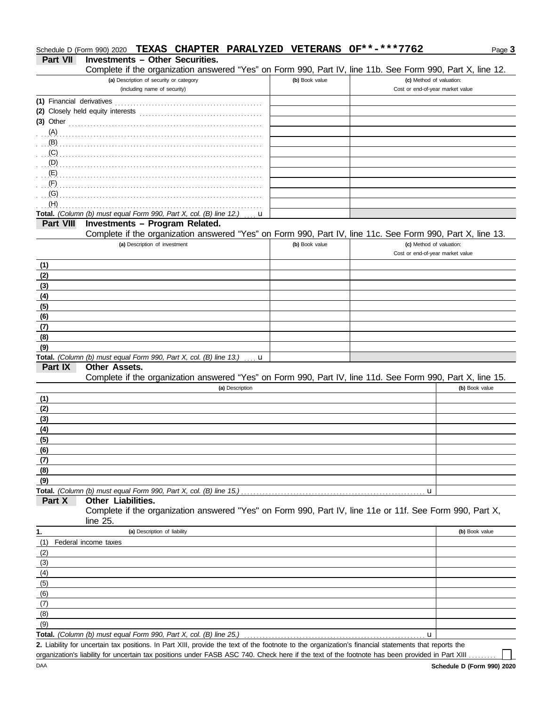## **Part VII Investments – Other Securities.** Schedule D (Form 990) 2020 **TEXAS CHAPTER PARALYZED VETERANS OF\*\*-\*\*\*7762**

Complete if the organization answered "Yes" on Form 990, Part IV, line 11b. See Form 990, Part X, line 12.

| Complete if the organization answered thes for Form sec, Fall IV, the TTD. See Form sec, Fall $\lambda$ , the TZ.                                    |                |                                                              |  |
|------------------------------------------------------------------------------------------------------------------------------------------------------|----------------|--------------------------------------------------------------|--|
| (a) Description of security or category<br>(including name of security)                                                                              | (b) Book value | (c) Method of valuation:<br>Cost or end-of-year market value |  |
| (1) Financial derivatives                                                                                                                            |                |                                                              |  |
| (2) Closely held equity interests                                                                                                                    |                |                                                              |  |
| (3) Other                                                                                                                                            |                |                                                              |  |
| (A)                                                                                                                                                  |                |                                                              |  |
| (B)                                                                                                                                                  |                |                                                              |  |
| (C)                                                                                                                                                  |                |                                                              |  |
| (D)                                                                                                                                                  |                |                                                              |  |
| (E)                                                                                                                                                  |                |                                                              |  |
| (F)                                                                                                                                                  |                |                                                              |  |
| (G)                                                                                                                                                  |                |                                                              |  |
| (H)                                                                                                                                                  |                |                                                              |  |
| Total. (Column (b) must equal Form 990, Part X, col. (B) line 12.)<br>u                                                                              |                |                                                              |  |
| Investments - Program Related.<br><b>Part VIII</b>                                                                                                   |                |                                                              |  |
| Complete if the organization answered "Yes" on Form 990, Part IV, line 11c. See Form 990, Part X, line 13.                                           |                |                                                              |  |
| (a) Description of investment                                                                                                                        | (b) Book value | (c) Method of valuation:                                     |  |
|                                                                                                                                                      |                | Cost or end-of-year market value                             |  |
| (1)                                                                                                                                                  |                |                                                              |  |
| (2)                                                                                                                                                  |                |                                                              |  |
| (3)                                                                                                                                                  |                |                                                              |  |
| (4)                                                                                                                                                  |                |                                                              |  |
| (5)                                                                                                                                                  |                |                                                              |  |
| (6)                                                                                                                                                  |                |                                                              |  |
| (7)                                                                                                                                                  |                |                                                              |  |
| (8)                                                                                                                                                  |                |                                                              |  |
| (9)                                                                                                                                                  |                |                                                              |  |
| Total. (Column (b) must equal Form 990, Part X, col. (B) line 13.)<br>u                                                                              |                |                                                              |  |
| Part IX<br>Other Assets.                                                                                                                             |                |                                                              |  |
| Complete if the organization answered "Yes" on Form 990, Part IV, line 11d. See Form 990, Part X, line 15.                                           |                |                                                              |  |
| (a) Description                                                                                                                                      |                | (b) Book value                                               |  |
| (1)                                                                                                                                                  |                |                                                              |  |
| (2)                                                                                                                                                  |                |                                                              |  |
| (3)                                                                                                                                                  |                |                                                              |  |
| (4)                                                                                                                                                  |                |                                                              |  |
| (5)                                                                                                                                                  |                |                                                              |  |
| (6)                                                                                                                                                  |                |                                                              |  |
| (7)                                                                                                                                                  |                |                                                              |  |
| (8)<br>(9)                                                                                                                                           |                |                                                              |  |
| Total. (Column (b) must equal Form 990, Part X, col. (B) line 15.)                                                                                   |                | u                                                            |  |
| <b>Other Liabilities.</b><br>Part X                                                                                                                  |                |                                                              |  |
| Complete if the organization answered "Yes" on Form 990, Part IV, line 11e or 11f. See Form 990, Part X,                                             |                |                                                              |  |
| line 25.                                                                                                                                             |                |                                                              |  |
| (a) Description of liability<br>1.                                                                                                                   |                | (b) Book value                                               |  |
| (1)<br>Federal income taxes                                                                                                                          |                |                                                              |  |
| (2)                                                                                                                                                  |                |                                                              |  |
| (3)                                                                                                                                                  |                |                                                              |  |
| (4)                                                                                                                                                  |                |                                                              |  |
| (5)                                                                                                                                                  |                |                                                              |  |
| (6)                                                                                                                                                  |                |                                                              |  |
| (7)                                                                                                                                                  |                |                                                              |  |
| (8)                                                                                                                                                  |                |                                                              |  |
| (9)                                                                                                                                                  |                |                                                              |  |
| Total. (Column (b) must equal Form 990, Part X, col. (B) line 25.)                                                                                   |                | u                                                            |  |
| 2. Liability for uncertain tax positions. In Part XIII, provide the text of the footnote to the organization's financial statements that reports the |                |                                                              |  |

organization's liability for uncertain tax positions under FASB ASC 740. Check here if the text of the footnote has been provided in Part XIII

 $\perp$ 

Page **3**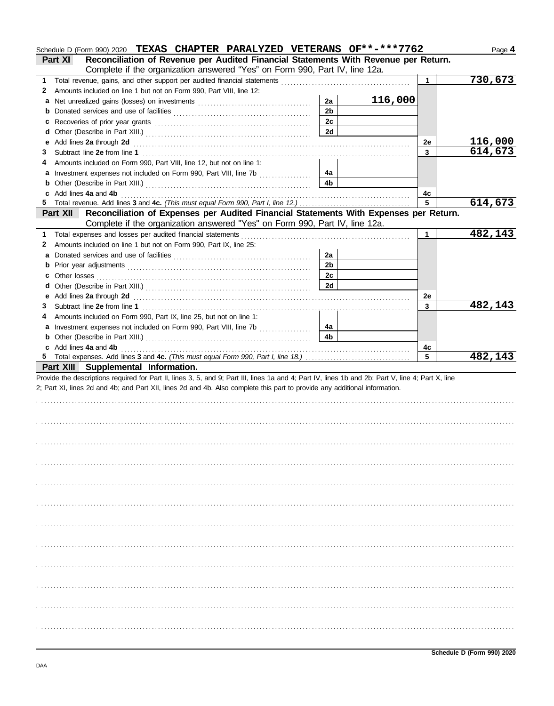|    | Schedule D (Form 990) 2020 TEXAS CHAPTER PARALYZED VETERANS OF**-***7762                                                                                                                                                       |                |         |              | Page 4   |
|----|--------------------------------------------------------------------------------------------------------------------------------------------------------------------------------------------------------------------------------|----------------|---------|--------------|----------|
|    | Reconciliation of Revenue per Audited Financial Statements With Revenue per Return.<br>Part XI                                                                                                                                 |                |         |              |          |
|    | Complete if the organization answered "Yes" on Form 990, Part IV, line 12a.                                                                                                                                                    |                |         |              |          |
| 1  | Total revenue, gains, and other support per audited financial statements                                                                                                                                                       |                |         | 1            | 730, 673 |
| 2  | Amounts included on line 1 but not on Form 990, Part VIII, line 12:                                                                                                                                                            |                |         |              |          |
| a  |                                                                                                                                                                                                                                | 2a             | 116,000 |              |          |
| b  |                                                                                                                                                                                                                                | 2 <sub>b</sub> |         |              |          |
| c  | Recoveries of prior year grants [11] resonance in the contract of prior year grants [11] resonance in the contract of the contract of the contract of the contract of the contract of the contract of the contract of the cont | 2c             |         |              |          |
| d  |                                                                                                                                                                                                                                | 2d             |         |              |          |
|    | Add lines 2a through 2d                                                                                                                                                                                                        |                |         | 2e           | 116,000  |
| 3  | Subtract line 2e from line 1                                                                                                                                                                                                   |                |         | $\mathbf{3}$ | 614,673  |
|    | Amounts included on Form 990, Part VIII, line 12, but not on line 1:                                                                                                                                                           |                |         |              |          |
| a  | Investment expenses not included on Form 990, Part VIII, line 7b [                                                                                                                                                             | 4a             |         |              |          |
|    |                                                                                                                                                                                                                                | 4b             |         |              |          |
|    | Add lines 4a and 4b                                                                                                                                                                                                            |                |         | 4c           |          |
| 5  |                                                                                                                                                                                                                                |                |         | 5            | 614,673  |
|    | Reconciliation of Expenses per Audited Financial Statements With Expenses per Return.<br>Part XII                                                                                                                              |                |         |              |          |
|    | Complete if the organization answered "Yes" on Form 990, Part IV, line 12a.                                                                                                                                                    |                |         |              |          |
| 1. | Total expenses and losses per audited financial statements                                                                                                                                                                     |                |         | 1            | 482,143  |
| 2  | Amounts included on line 1 but not on Form 990, Part IX, line 25:                                                                                                                                                              |                |         |              |          |
| a  |                                                                                                                                                                                                                                | 2a             |         |              |          |
| b  |                                                                                                                                                                                                                                | 2 <sub>b</sub> |         |              |          |
| c  | Other losses                                                                                                                                                                                                                   | 2c             |         |              |          |
| d  |                                                                                                                                                                                                                                | 2d             |         |              |          |
|    | Add lines 2a through 2d                                                                                                                                                                                                        |                |         | 2e           |          |
| 3  | Subtract line 2e from line 1                                                                                                                                                                                                   |                |         | 3            | 482,143  |
|    | Amounts included on Form 990, Part IX, line 25, but not on line 1:                                                                                                                                                             |                |         |              |          |
| a  | Investment expenses not included on Form 990, Part VIII, line 7b [                                                                                                                                                             | 4a             |         |              |          |
| b  |                                                                                                                                                                                                                                | 4b             |         |              |          |
|    | c Add lines 4a and 4b                                                                                                                                                                                                          |                |         | 4c           |          |
|    |                                                                                                                                                                                                                                |                |         | 5            | 482,143  |
|    | Part XIII Supplemental Information.                                                                                                                                                                                            |                |         |              |          |
|    | Provide the descriptions required for Part II, lines 3, 5, and 9; Part III, lines 1a and 4; Part IV, lines 1b and 2b; Part V, line 4; Part X, line                                                                             |                |         |              |          |
|    |                                                                                                                                                                                                                                |                |         |              |          |
|    |                                                                                                                                                                                                                                |                |         |              |          |
|    | 2; Part XI, lines 2d and 4b; and Part XII, lines 2d and 4b. Also complete this part to provide any additional information.                                                                                                     |                |         |              |          |
|    |                                                                                                                                                                                                                                |                |         |              |          |
|    |                                                                                                                                                                                                                                |                |         |              |          |
|    |                                                                                                                                                                                                                                |                |         |              |          |
|    |                                                                                                                                                                                                                                |                |         |              |          |
|    |                                                                                                                                                                                                                                |                |         |              |          |
|    |                                                                                                                                                                                                                                |                |         |              |          |
|    |                                                                                                                                                                                                                                |                |         |              |          |
|    |                                                                                                                                                                                                                                |                |         |              |          |
|    |                                                                                                                                                                                                                                |                |         |              |          |
|    |                                                                                                                                                                                                                                |                |         |              |          |
|    |                                                                                                                                                                                                                                |                |         |              |          |
|    |                                                                                                                                                                                                                                |                |         |              |          |
|    |                                                                                                                                                                                                                                |                |         |              |          |
|    |                                                                                                                                                                                                                                |                |         |              |          |
|    |                                                                                                                                                                                                                                |                |         |              |          |
|    |                                                                                                                                                                                                                                |                |         |              |          |
|    |                                                                                                                                                                                                                                |                |         |              |          |
|    |                                                                                                                                                                                                                                |                |         |              |          |
|    |                                                                                                                                                                                                                                |                |         |              |          |
|    |                                                                                                                                                                                                                                |                |         |              |          |
|    |                                                                                                                                                                                                                                |                |         |              |          |
|    |                                                                                                                                                                                                                                |                |         |              |          |
|    |                                                                                                                                                                                                                                |                |         |              |          |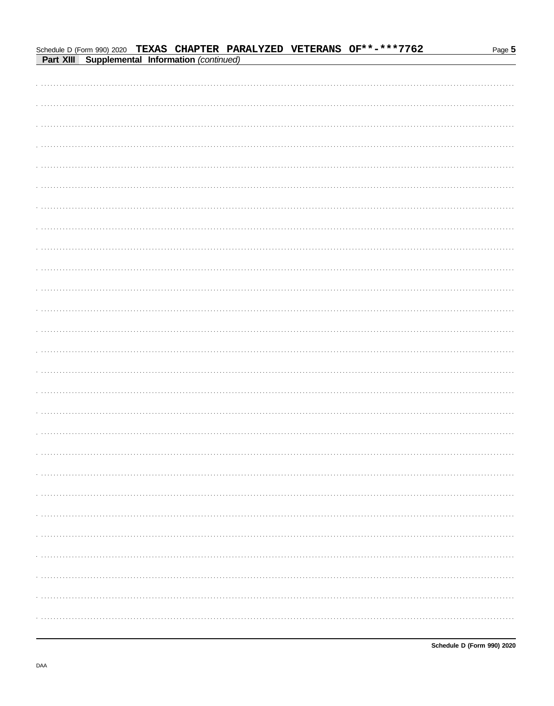|  | Schedule D (Form 990) 2020 TEXAS CHAPTER PARALYZED VETERANS OF**-***7762<br>Part XIII Supplemental Information (continued) |  | Page 5 |
|--|----------------------------------------------------------------------------------------------------------------------------|--|--------|
|  |                                                                                                                            |  |        |
|  |                                                                                                                            |  |        |
|  |                                                                                                                            |  |        |
|  |                                                                                                                            |  |        |
|  |                                                                                                                            |  |        |
|  |                                                                                                                            |  |        |
|  |                                                                                                                            |  |        |
|  |                                                                                                                            |  |        |
|  |                                                                                                                            |  |        |
|  |                                                                                                                            |  |        |
|  |                                                                                                                            |  |        |
|  |                                                                                                                            |  |        |
|  |                                                                                                                            |  |        |
|  |                                                                                                                            |  |        |
|  |                                                                                                                            |  |        |
|  |                                                                                                                            |  |        |
|  |                                                                                                                            |  |        |
|  |                                                                                                                            |  |        |
|  |                                                                                                                            |  |        |
|  |                                                                                                                            |  |        |
|  |                                                                                                                            |  |        |
|  |                                                                                                                            |  |        |
|  |                                                                                                                            |  |        |
|  |                                                                                                                            |  |        |
|  |                                                                                                                            |  |        |
|  |                                                                                                                            |  |        |
|  |                                                                                                                            |  |        |
|  |                                                                                                                            |  |        |
|  |                                                                                                                            |  |        |
|  |                                                                                                                            |  |        |
|  |                                                                                                                            |  |        |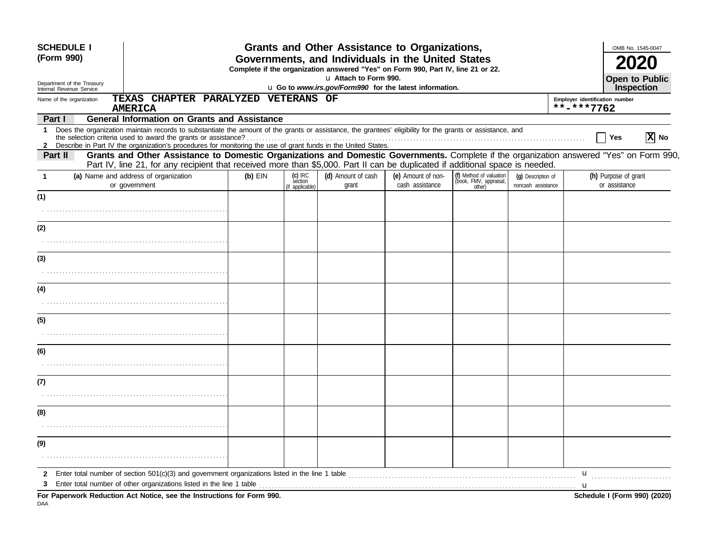| <b>SCHEDULE I</b><br>(Form 990)<br>Department of the Treasury |                                                                                                                                                                                                                                                                                                                                               |           |                                       | u Attach to Form 990.       | <b>Grants and Other Assistance to Organizations,</b><br>Governments, and Individuals in the United States<br>Complete if the organization answered "Yes" on Form 990, Part IV, line 21 or 22. |                                                             |                                          |                                              | OMB No. 1545-0047<br><b>Open to Public</b> |
|---------------------------------------------------------------|-----------------------------------------------------------------------------------------------------------------------------------------------------------------------------------------------------------------------------------------------------------------------------------------------------------------------------------------------|-----------|---------------------------------------|-----------------------------|-----------------------------------------------------------------------------------------------------------------------------------------------------------------------------------------------|-------------------------------------------------------------|------------------------------------------|----------------------------------------------|--------------------------------------------|
| Internal Revenue Service                                      |                                                                                                                                                                                                                                                                                                                                               |           |                                       |                             | u Go to www.irs.gov/Form990 for the latest information.                                                                                                                                       |                                                             |                                          |                                              | Inspection                                 |
| Name of the organization                                      | TEXAS CHAPTER PARALYZED VETERANS OF<br><b>AMERICA</b>                                                                                                                                                                                                                                                                                         |           |                                       |                             |                                                                                                                                                                                               |                                                             |                                          | Employer identification number<br>**-***7762 |                                            |
| Part I                                                        | <b>General Information on Grants and Assistance</b>                                                                                                                                                                                                                                                                                           |           |                                       |                             |                                                                                                                                                                                               |                                                             |                                          |                                              |                                            |
| 1.<br>$\mathbf{2}$                                            | Does the organization maintain records to substantiate the amount of the grants or assistance, the grantees' eligibility for the grants or assistance, and<br>the selection criteria used to award the grants or assistance?<br>Describe in Part IV the organization's procedures for monitoring the use of grant funds in the United States. |           |                                       |                             |                                                                                                                                                                                               |                                                             |                                          |                                              | X No<br>Yes                                |
| Part II                                                       | Grants and Other Assistance to Domestic Organizations and Domestic Governments. Complete if the organization answered "Yes" on Form 990,<br>Part IV, line 21, for any recipient that received more than \$5,000. Part II can be duplicated if additional space is needed.                                                                     |           |                                       |                             |                                                                                                                                                                                               |                                                             |                                          |                                              |                                            |
| $\mathbf 1$                                                   | (a) Name and address of organization<br>or government                                                                                                                                                                                                                                                                                         | $(b)$ EIN | (c) IRC<br>section<br>(if applicable) | (d) Amount of cash<br>grant | (e) Amount of non-<br>cash assistance                                                                                                                                                         | (f) Method of valuation<br>(book, FMV, appraisal,<br>other) | (q) Description of<br>noncash assistance |                                              | (h) Purpose of grant<br>or assistance      |
| (1)                                                           |                                                                                                                                                                                                                                                                                                                                               |           |                                       |                             |                                                                                                                                                                                               |                                                             |                                          |                                              |                                            |
|                                                               |                                                                                                                                                                                                                                                                                                                                               |           |                                       |                             |                                                                                                                                                                                               |                                                             |                                          |                                              |                                            |
| (2)                                                           |                                                                                                                                                                                                                                                                                                                                               |           |                                       |                             |                                                                                                                                                                                               |                                                             |                                          |                                              |                                            |
| (3)                                                           |                                                                                                                                                                                                                                                                                                                                               |           |                                       |                             |                                                                                                                                                                                               |                                                             |                                          |                                              |                                            |
|                                                               |                                                                                                                                                                                                                                                                                                                                               |           |                                       |                             |                                                                                                                                                                                               |                                                             |                                          |                                              |                                            |
| (4)                                                           |                                                                                                                                                                                                                                                                                                                                               |           |                                       |                             |                                                                                                                                                                                               |                                                             |                                          |                                              |                                            |
|                                                               |                                                                                                                                                                                                                                                                                                                                               |           |                                       |                             |                                                                                                                                                                                               |                                                             |                                          |                                              |                                            |
| (5)                                                           |                                                                                                                                                                                                                                                                                                                                               |           |                                       |                             |                                                                                                                                                                                               |                                                             |                                          |                                              |                                            |
|                                                               |                                                                                                                                                                                                                                                                                                                                               |           |                                       |                             |                                                                                                                                                                                               |                                                             |                                          |                                              |                                            |
| (6)                                                           |                                                                                                                                                                                                                                                                                                                                               |           |                                       |                             |                                                                                                                                                                                               |                                                             |                                          |                                              |                                            |
|                                                               |                                                                                                                                                                                                                                                                                                                                               |           |                                       |                             |                                                                                                                                                                                               |                                                             |                                          |                                              |                                            |
|                                                               |                                                                                                                                                                                                                                                                                                                                               |           |                                       |                             |                                                                                                                                                                                               |                                                             |                                          |                                              |                                            |
| (7)                                                           |                                                                                                                                                                                                                                                                                                                                               |           |                                       |                             |                                                                                                                                                                                               |                                                             |                                          |                                              |                                            |
| (8)                                                           |                                                                                                                                                                                                                                                                                                                                               |           |                                       |                             |                                                                                                                                                                                               |                                                             |                                          |                                              |                                            |
|                                                               |                                                                                                                                                                                                                                                                                                                                               |           |                                       |                             |                                                                                                                                                                                               |                                                             |                                          |                                              |                                            |
| (9)                                                           |                                                                                                                                                                                                                                                                                                                                               |           |                                       |                             |                                                                                                                                                                                               |                                                             |                                          |                                              |                                            |
| $\mathbf{2}$                                                  |                                                                                                                                                                                                                                                                                                                                               |           |                                       |                             |                                                                                                                                                                                               |                                                             |                                          | $\mathbf u$                                  |                                            |
| 3                                                             | Enter total number of other organizations listed in the line 1 table                                                                                                                                                                                                                                                                          |           |                                       |                             |                                                                                                                                                                                               |                                                             |                                          |                                              |                                            |
| DAA                                                           | For Paperwork Reduction Act Notice, see the Instructions for Form 990.                                                                                                                                                                                                                                                                        |           |                                       |                             |                                                                                                                                                                                               |                                                             |                                          |                                              | Schedule I (Form 990) (2020)               |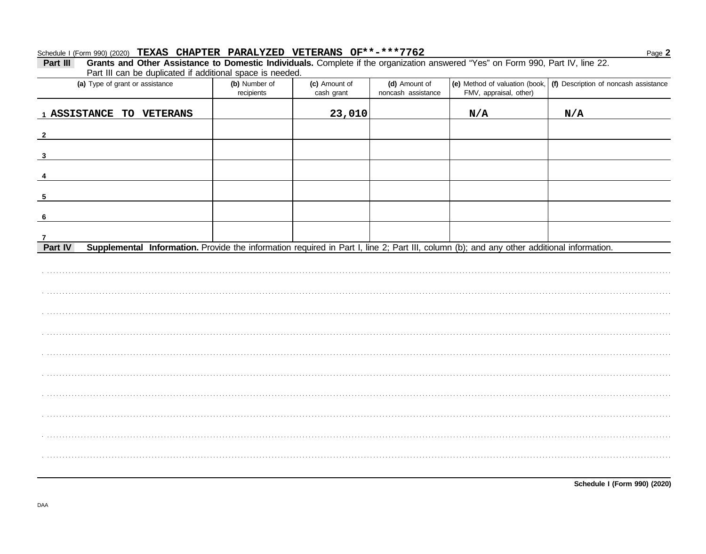## Schedule I (Form 990) (2020) TEXAS CHAPTER PARALYZED VETERANS OF\*\*-\*\*\*7762

#### Grants and Other Assistance to Domestic Individuals. Complete if the organization answered "Yes" on Form 990, Part IV, line 22. Part III Part III can be duplicated if additional space is needed. (a) Type of grant or assistance (b) Number of (e) Method of valuation (book, | (f) Description of noncash assistance (c) Amount of (d) Amount of recipients noncash assistance FMV, appraisal, other) cash grant 23,010 1 ASSISTANCE TO VETERANS  $N/A$  $N/A$  $\overline{\mathbf{2}}$  $\mathbf{3}$  $\overline{4}$ 5 - 6

 $\overline{7}$ Supplemental Information. Provide the information required in Part I, line 2; Part III, column (b); and any other additional information. **Part IV** 

Page 2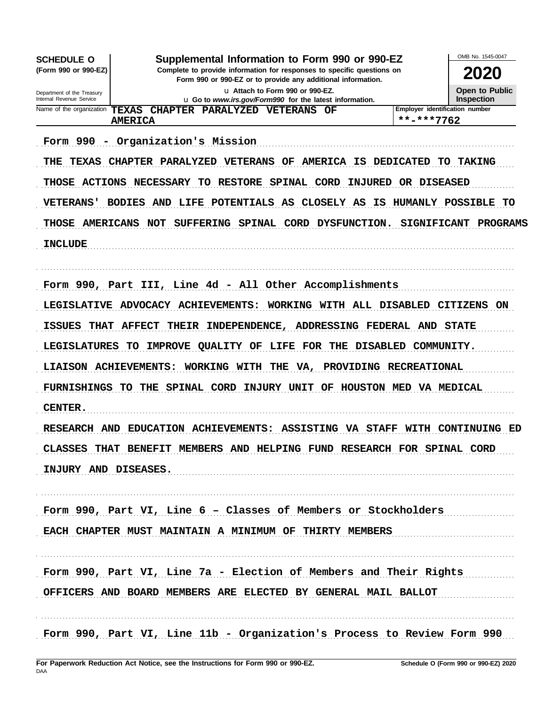| <b>SCHEDULE O</b><br>(Form 990 or 990-EZ)              | Supplemental Information to Form 990 or 990-EZ<br>Complete to provide information for responses to specific questions on |                     | OMB No. 1545-0047<br><b>2020</b>           |
|--------------------------------------------------------|--------------------------------------------------------------------------------------------------------------------------|---------------------|--------------------------------------------|
|                                                        | Form 990 or 990-EZ or to provide any additional information.                                                             |                     |                                            |
| Department of the Treasury<br>Internal Revenue Service | u Attach to Form 990 or 990-EZ.<br>u Go to www.irs.gov/Form990 for the latest information.                               |                     | <b>Open to Public</b><br><b>Inspection</b> |
| Name of the organization<br><b>TEXAS</b>               | CHAPTER PARALYZED VETERANS OF                                                                                            |                     | Employer identification number             |
|                                                        | <b>AMERICA</b>                                                                                                           | **-***7762          |                                            |
|                                                        | Form 990 - Organization's Mission                                                                                        |                     |                                            |
| THE<br><b>TEXAS</b>                                    | CHAPTER PARALYZED VETERANS OF<br><b>AMERICA IS DEDICATED</b>                                                             |                     | <b>TAKING</b><br>TO .                      |
|                                                        | THOSE ACTIONS NECESSARY TO RESTORE SPINAL CORD                                                                           | INJURED OR DISEASED |                                            |
| <b>VETERANS'</b>                                       | BODIES AND LIFE POTENTIALS AS CLOSELY AS IS                                                                              |                     | HUMANLY POSSIBLE TO                        |
| <b>THOSE</b><br><b>AMERICANS NOT</b>                   | SUFFERING SPINAL CORD DYSFUNCTION.                                                                                       | <b>SIGNIFICANT</b>  | PROGRAMS                                   |
| <b>INCLUDE</b>                                         |                                                                                                                          |                     |                                            |
|                                                        |                                                                                                                          |                     |                                            |
|                                                        | Form 990, Part III, Line 4d - All Other Accomplishments                                                                  |                     |                                            |
|                                                        | LEGISLATIVE ADVOCACY ACHIEVEMENTS: WORKING WITH ALL DISABLED CITIZENS ON                                                 |                     |                                            |
| <b>ISSUES</b><br><b>THAT</b>                           | THEIR INDEPENDENCE,<br>ADDRESSING FEDERAL AND STATE<br><b>AFFECT</b>                                                     |                     |                                            |
| <b>LEGISLATURES</b>                                    | IMPROVE QUALITY OF<br>LIFE FOR THE DISABLED<br>TO.                                                                       |                     | COMMUNITY.                                 |
| LIAISON ACHIEVEMENTS:                                  | WORKING WITH<br>VA, PROVIDING<br>THE                                                                                     | <b>RECREATIONAL</b> |                                            |
|                                                        | FURNISHINGS TO THE SPINAL CORD INJURY UNIT OF HOUSTON MED VA MEDICAL                                                     |                     |                                            |
| CENTER.                                                |                                                                                                                          |                     |                                            |
|                                                        | RESEARCH AND EDUCATION ACHIEVEMENTS: ASSISTING VA STAFF WITH CONTINUING ED                                               |                     |                                            |
|                                                        | CLASSES THAT BENEFIT MEMBERS AND HELPING FUND RESEARCH FOR SPINAL CORD                                                   |                     |                                            |
| INJURY AND DISEASES.                                   |                                                                                                                          |                     |                                            |
|                                                        |                                                                                                                          |                     |                                            |
|                                                        | Form 990, Part VI, Line 6 - Classes of Members or Stockholders                                                           |                     |                                            |
|                                                        | EACH CHAPTER MUST MAINTAIN A MINIMUM OF THIRTY MEMBERS                                                                   |                     |                                            |
|                                                        |                                                                                                                          |                     |                                            |
|                                                        | Form 990, Part VI, Line 7a - Election of Members and Their Rights                                                        |                     |                                            |
|                                                        |                                                                                                                          |                     |                                            |
|                                                        | OFFICERS AND BOARD MEMBERS ARE ELECTED BY GENERAL MAIL BALLOT                                                            |                     |                                            |
|                                                        |                                                                                                                          |                     |                                            |
|                                                        | Form 990, Part VI, Line 11b - Organization's Process to Review Form 990                                                  |                     |                                            |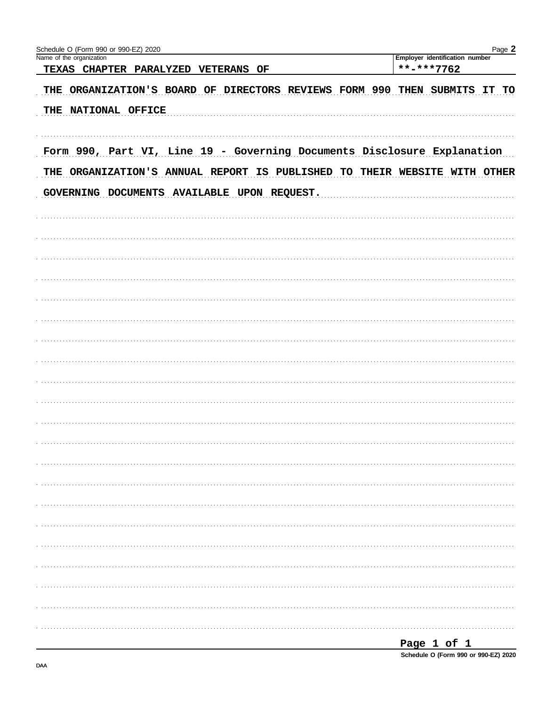| Schedule O (Form 990 or 990-EZ) 2020                                                                                                                 | Page 2                                       |
|------------------------------------------------------------------------------------------------------------------------------------------------------|----------------------------------------------|
| Name of the organization<br>TEXAS CHAPTER PARALYZED VETERANS OF                                                                                      | Employer identification number<br>**-***7762 |
| THE ORGANIZATION'S BOARD OF DIRECTORS REVIEWS FORM 990 THEN SUBMITS                                                                                  | IT<br>TO                                     |
| THE NATIONAL OFFICE                                                                                                                                  |                                              |
| Form 990, Part VI, Line 19 - Governing Documents Disclosure Explanation<br>THE ORGANIZATION'S ANNUAL REPORT IS PUBLISHED TO THEIR WEBSITE WITH OTHER |                                              |
| GOVERNING DOCUMENTS AVAILABLE UPON REQUEST.                                                                                                          |                                              |
|                                                                                                                                                      |                                              |
|                                                                                                                                                      |                                              |
|                                                                                                                                                      |                                              |
|                                                                                                                                                      |                                              |
|                                                                                                                                                      |                                              |
|                                                                                                                                                      |                                              |
|                                                                                                                                                      |                                              |
|                                                                                                                                                      |                                              |
|                                                                                                                                                      |                                              |
|                                                                                                                                                      |                                              |
|                                                                                                                                                      |                                              |
|                                                                                                                                                      |                                              |
|                                                                                                                                                      |                                              |
|                                                                                                                                                      |                                              |
|                                                                                                                                                      |                                              |
|                                                                                                                                                      |                                              |
|                                                                                                                                                      |                                              |
|                                                                                                                                                      |                                              |
|                                                                                                                                                      |                                              |
|                                                                                                                                                      |                                              |
|                                                                                                                                                      |                                              |
|                                                                                                                                                      |                                              |
|                                                                                                                                                      |                                              |
|                                                                                                                                                      |                                              |
|                                                                                                                                                      | Page 1 of 1                                  |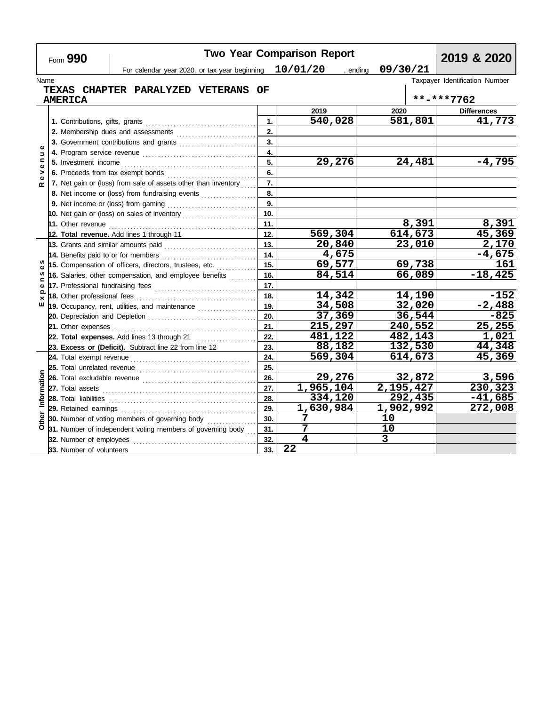|                              | Form 990                                                                                                |     | <b>Two Year Comparison Report</b> |                      | 2019 & 2020                    |
|------------------------------|---------------------------------------------------------------------------------------------------------|-----|-----------------------------------|----------------------|--------------------------------|
|                              | For calendar year 2020, or tax year beginning $10/01/20$                                                |     |                                   | 09/30/21<br>, ending |                                |
| Name                         |                                                                                                         |     |                                   |                      | Taxpayer Identification Number |
|                              | <b>TEXAS CHAPTER PARALYZED VETERANS</b>                                                                 | OF  |                                   |                      |                                |
|                              | <b>AMERICA</b>                                                                                          |     |                                   |                      | **-***7762                     |
|                              |                                                                                                         |     | 2019                              | 2020                 | <b>Differences</b>             |
|                              |                                                                                                         | 1.  | 540,028                           | 581,801              | 41,773                         |
|                              |                                                                                                         | 2.  |                                   |                      |                                |
|                              |                                                                                                         | 3.  |                                   |                      |                                |
| Φ<br>$\overline{a}$          |                                                                                                         | 4.  |                                   |                      |                                |
| $\blacksquare$               | 5. Investment income                                                                                    | 5.  | 29,276                            | 24,481               | $-4,795$                       |
| $\bullet$<br>>               | 6. Proceeds from tax exempt bonds                                                                       | 6.  |                                   |                      |                                |
| Φ<br>œ                       | 7. Net gain or (loss) from sale of assets other than inventory                                          | 7.  |                                   |                      |                                |
|                              | 8. Net income or (loss) from fundraising events                                                         | 8.  |                                   |                      |                                |
|                              |                                                                                                         | 9.  |                                   |                      |                                |
|                              | 10. Net gain or (loss) on sales of inventory $\ldots$                                                   | 10. |                                   |                      |                                |
|                              |                                                                                                         | 11. |                                   | 8,391                | 8,391                          |
|                              | 12. Total revenue. Add lines 1 through 11                                                               | 12. | 569,304                           | 614, 673             | 45,369                         |
|                              | 13. Grants and similar amounts paid $\begin{bmatrix} 1 & 0 & 0 \\ 0 & 1 & 0 \\ 0 & 0 & 1 \end{bmatrix}$ | 13. | 20,840                            | 23,010               | 2,170                          |
|                              | 14. Benefits paid to or for members                                                                     | 14. | 4,675                             |                      | $-4,675$                       |
| w                            | 15. Compensation of officers, directors, trustees, etc.                                                 | 15. | 69,577                            | 69,738               | 161                            |
| w                            | 16. Salaries, other compensation, and employee benefits                                                 | 16. | 84,514                            | 66,089               | $-18,425$                      |
| $\mathbf{C}$<br>$\mathbf{Q}$ |                                                                                                         | 17. |                                   |                      |                                |
| Ω                            |                                                                                                         | 18. | 14,342                            | 14,190               | $-152$                         |
| ш                            | 19. Occupancy, rent, utilities, and maintenance <i>[[[[[[[[[[[[[[[[[[[[]]]]</i> ]                       | 19. | 34,508                            | 32,020               | $-2,488$                       |
|                              |                                                                                                         | 20. | 37,369                            | 36,544               | $-825$                         |
|                              | 21. Other expenses                                                                                      | 21. | 215,297                           | 240,552              | 25,255                         |
|                              | 22. Total expenses. Add lines 13 through 21                                                             | 22. | 481,122                           | 482,143              | 1,021                          |
|                              | 23. Excess or (Deficit). Subtract line 22 from line 12                                                  | 23. | 88,182                            | 132,530              | 44,348                         |
|                              |                                                                                                         | 24. | 569,304                           | 614,673              | 45,369                         |
|                              |                                                                                                         | 25. |                                   |                      |                                |
|                              |                                                                                                         | 26. | 29,276                            | 32,872               | 3,596                          |
|                              |                                                                                                         | 27. | $\overline{1,965,104}$            | 2,195,427            | 230,323                        |
| Information                  |                                                                                                         | 28. | 334,120                           | 292,435              | $-41,685$                      |
|                              |                                                                                                         | 29. | 1,630,984                         | 1,902,992            | 272,008                        |
| Other                        | 30. Number of voting members of governing body                                                          | 30. | 7                                 | 10                   |                                |
|                              | 31. Number of independent voting members of governing body                                              | 31. | 7                                 | 10                   |                                |
|                              | 32. Number of employees                                                                                 | 32. | $\overline{\mathbf{4}}$           | 3                    |                                |
|                              | 33. Number of volunteers                                                                                | 33. | 22                                |                      |                                |

<u> Tanzania (h. 1888).</u>

 $\Gamma$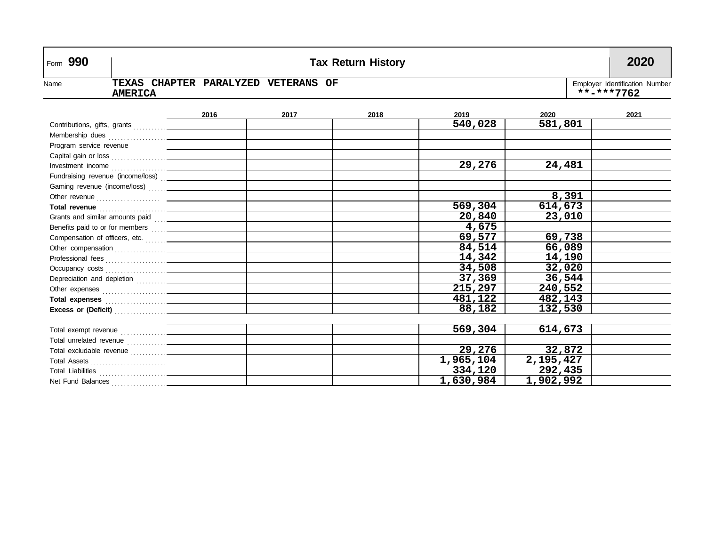| Form 990                |                                                                                                       |      |      | <b>Tax Return History</b> |           |           | 2020 |  |
|-------------------------|-------------------------------------------------------------------------------------------------------|------|------|---------------------------|-----------|-----------|------|--|
| Name                    | TEXAS CHAPTER PARALYZED VETERANS OF<br>Employer Identification Number<br>**-***7762<br><b>AMERICA</b> |      |      |                           |           |           |      |  |
|                         |                                                                                                       | 2016 | 2017 | 2018                      | 2019      | 2020      | 2021 |  |
|                         |                                                                                                       |      |      |                           | 540,028   | 581,801   |      |  |
|                         |                                                                                                       |      |      |                           |           |           |      |  |
| Program service revenue |                                                                                                       |      |      |                           |           |           |      |  |
|                         |                                                                                                       |      |      |                           |           |           |      |  |
|                         |                                                                                                       |      |      |                           | 29,276    | 24,481    |      |  |
|                         | Fundraising revenue (income/loss) [11] [2000]                                                         |      |      |                           |           |           |      |  |
|                         |                                                                                                       |      |      |                           |           |           |      |  |
|                         |                                                                                                       |      |      |                           |           | 8,391     |      |  |
|                         | Total revenue <i>communical communication</i>                                                         |      |      |                           | 569,304   | 614,673   |      |  |
|                         | Grants and similar amounts paid [11] [2000]                                                           |      |      |                           | 20,840    | 23,010    |      |  |
|                         |                                                                                                       |      |      |                           | 4,675     |           |      |  |
|                         |                                                                                                       |      |      |                           | 69,577    | 69,738    |      |  |
|                         |                                                                                                       |      |      |                           | 84,514    | 66,089    |      |  |
|                         |                                                                                                       |      |      |                           | 14,342    | 14,190    |      |  |
|                         |                                                                                                       |      |      |                           | 34,508    | 32,020    |      |  |
|                         |                                                                                                       |      |      |                           | 37,369    | 36,544    |      |  |
|                         |                                                                                                       |      |      |                           | 215,297   | 240,552   |      |  |
|                         |                                                                                                       |      |      |                           | 481,122   | 482,143   |      |  |
|                         | Excess or (Deficit) <b>Excess</b> or (Deficit)                                                        |      |      |                           | 88,182    | 132,530   |      |  |
|                         |                                                                                                       |      |      |                           |           |           |      |  |
|                         |                                                                                                       |      |      |                           | 569,304   | 614,673   |      |  |
|                         |                                                                                                       |      |      |                           |           |           |      |  |
|                         |                                                                                                       |      |      |                           | 29,276    | 32,872    |      |  |
|                         |                                                                                                       |      |      |                           | 1,965,104 | 2,195,427 |      |  |
|                         |                                                                                                       |      |      |                           | 334,120   | 292,435   |      |  |
|                         |                                                                                                       |      |      |                           | 1,630,984 | 1,902,992 |      |  |

 $\Gamma$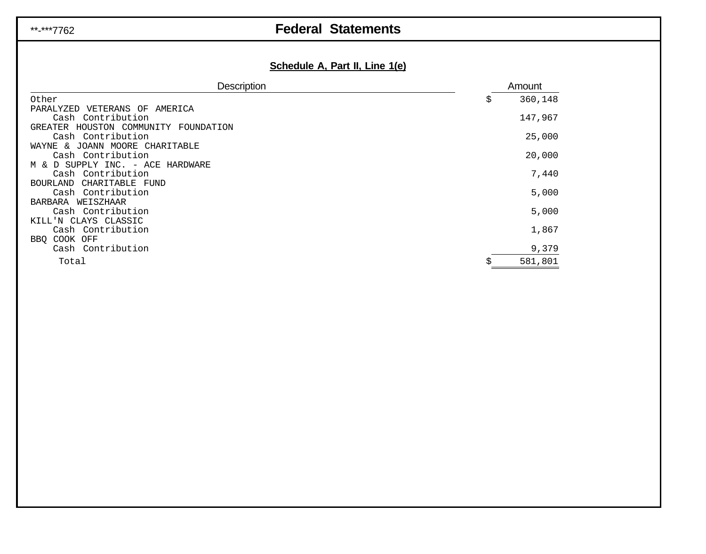## \*\*-\*\*\*7762 **Federal Statements**

## **Schedule A, Part II, Line 1(e)**

| <b>Description</b>                                         | Amount        |
|------------------------------------------------------------|---------------|
| Other                                                      | \$<br>360,148 |
| PARALYZED VETERANS OF<br>AMERICA                           |               |
| Cash Contribution                                          | 147,967       |
| GREATER HOUSTON COMMUNITY FOUNDATION                       |               |
| Cash Contribution                                          | 25,000        |
| JOANN MOORE CHARITABLE<br>WAYNE<br>୍ଧ<br>Cash Contribution | 20,000        |
| M & D SUPPLY INC. - ACE HARDWARE                           |               |
| Cash Contribution                                          | 7,440         |
| CHARITABLE FUND<br><b>BOURLAND</b>                         |               |
| Cash Contribution                                          | 5,000         |
| WEISZHAAR<br>BARBARA                                       |               |
| Cash Contribution                                          | 5,000         |
| KILL'N CLAYS CLASSIC                                       |               |
| Cash Contribution                                          | 1,867         |
| BBO COOK OFF<br>Cash Contribution                          | 9,379         |
|                                                            |               |
| Total                                                      | 581,801       |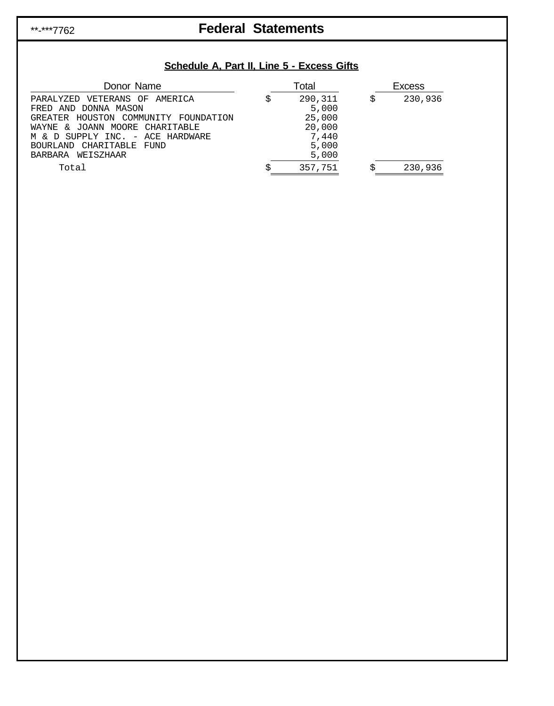## \*\*-\*\*\*7762 **Federal Statements**

## **Schedule A, Part II, Line 5 - Excess Gifts**

| Donor Name                                                                                                                                                                                                              | $\tau$ otal                                                     | <b>Excess</b> |
|-------------------------------------------------------------------------------------------------------------------------------------------------------------------------------------------------------------------------|-----------------------------------------------------------------|---------------|
| PARALYZED VETERANS OF AMERICA<br>FRED AND DONNA MASON<br>GREATER HOUSTON COMMUNITY FOUNDATION<br>WAYNE & JOANN MOORE CHARITABLE<br>M & D SUPPLY INC. - ACE HARDWARE<br>CHARITABLE FUND<br>BOURLAND<br>BARBARA WEISZHAAR | 290,311<br>5,000<br>25,000<br>20,000<br>7,440<br>5,000<br>5,000 | \$<br>230,936 |
| Total                                                                                                                                                                                                                   | 357,751                                                         | 230,936       |